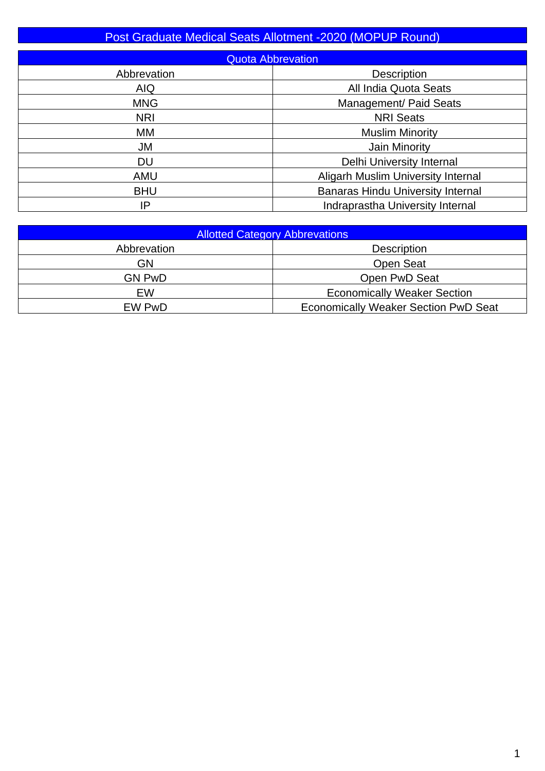## Post Graduate Medical Seats Allotment -2020 (MOPUP Round)

| <b>Quota Abbrevation</b> |                                           |  |  |  |  |  |  |
|--------------------------|-------------------------------------------|--|--|--|--|--|--|
| Abbrevation              | <b>Description</b>                        |  |  |  |  |  |  |
| <b>AIQ</b>               | All India Quota Seats                     |  |  |  |  |  |  |
| <b>MNG</b>               | Management/ Paid Seats                    |  |  |  |  |  |  |
| <b>NRI</b>               | <b>NRI Seats</b>                          |  |  |  |  |  |  |
| МM                       | <b>Muslim Minority</b>                    |  |  |  |  |  |  |
| <b>JM</b>                | Jain Minority                             |  |  |  |  |  |  |
| <b>DU</b>                | Delhi University Internal                 |  |  |  |  |  |  |
| <b>AMU</b>               | <b>Aligarh Muslim University Internal</b> |  |  |  |  |  |  |
| <b>BHU</b>               | <b>Banaras Hindu University Internal</b>  |  |  |  |  |  |  |
| IP                       | Indraprastha University Internal          |  |  |  |  |  |  |

| <b>Allotted Category Abbrevations</b> |                                             |  |  |  |  |  |
|---------------------------------------|---------------------------------------------|--|--|--|--|--|
| Abbrevation                           | <b>Description</b>                          |  |  |  |  |  |
| GN                                    | <b>Open Seat</b>                            |  |  |  |  |  |
| GN PwD                                | Open PwD Seat                               |  |  |  |  |  |
| EW                                    | <b>Economically Weaker Section</b>          |  |  |  |  |  |
| EW PwD                                | <b>Economically Weaker Section PwD Seat</b> |  |  |  |  |  |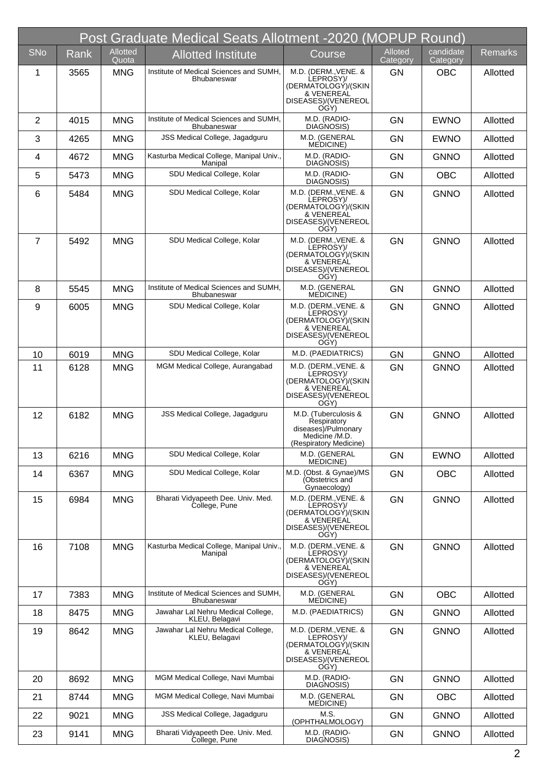|                | Post Graduate Medical Seats Allotment -2020 (MOPUP Round) |                          |                                                               |                                                                                                        |                     |                       |                |  |  |
|----------------|-----------------------------------------------------------|--------------------------|---------------------------------------------------------------|--------------------------------------------------------------------------------------------------------|---------------------|-----------------------|----------------|--|--|
| SNo            | Rank                                                      | <b>Allotted</b><br>Quota | <b>Allotted Institute</b>                                     | Course                                                                                                 | Alloted<br>Category | candidate<br>Category | <b>Remarks</b> |  |  |
| 1              | 3565                                                      | <b>MNG</b>               | Institute of Medical Sciences and SUMH,<br><b>Bhubaneswar</b> | M.D. (DERM., VENE. &<br>LEPROSY)/<br>(DERMATOLOGY)/(SKIN<br>& VENEREAL<br>DISEASES)/(VENEREOL<br>OGY)  | <b>GN</b>           | <b>OBC</b>            | Allotted       |  |  |
| $\overline{2}$ | 4015                                                      | <b>MNG</b>               | Institute of Medical Sciences and SUMH.<br><b>Bhubaneswar</b> | M.D. (RADIO-<br>DIAGNOSIS)                                                                             | <b>GN</b>           | <b>EWNO</b>           | Allotted       |  |  |
| 3              | 4265                                                      | <b>MNG</b>               | JSS Medical College, Jagadguru                                | M.D. (GENERAL<br><b>MEDICINE</b> )                                                                     | <b>GN</b>           | <b>EWNO</b>           | Allotted       |  |  |
| 4              | 4672                                                      | <b>MNG</b>               | Kasturba Medical College, Manipal Univ.,<br>Manipal           | M.D. (RADIO-<br>DIAGNOSIS)                                                                             | <b>GN</b>           | <b>GNNO</b>           | Allotted       |  |  |
| 5              | 5473                                                      | <b>MNG</b>               | SDU Medical College, Kolar                                    | M.D. (RADIO-<br>DIAGNOSIS)                                                                             | <b>GN</b>           | <b>OBC</b>            | Allotted       |  |  |
| 6              | 5484                                                      | <b>MNG</b>               | SDU Medical College, Kolar                                    | M.D. (DERM., VENE. &<br>LEPROSY)/<br>(DERMATOLOGÝ)/(SKIN<br>& VENEREAL<br>DISEASES)/(VENEREOL<br>OGY)  | <b>GN</b>           | <b>GNNO</b>           | Allotted       |  |  |
| $\overline{7}$ | 5492                                                      | <b>MNG</b>               | SDU Medical College, Kolar                                    | M.D. (DERM., VENE. &<br>LEPROSY)/<br>(DERMATOLOGY)/(SKIN<br>& VENEREAL<br>DISEASES)/(VENEREOL<br>OGY)  | <b>GN</b>           | <b>GNNO</b>           | Allotted       |  |  |
| 8              | 5545                                                      | <b>MNG</b>               | Institute of Medical Sciences and SUMH,<br><b>Bhubaneswar</b> | M.D. (GENERAL<br>MEDICINE)                                                                             | <b>GN</b>           | <b>GNNO</b>           | Allotted       |  |  |
| 9              | 6005                                                      | <b>MNG</b>               | SDU Medical College, Kolar                                    | M.D. (DERM., VENE. &<br>LEPROSY)/<br>(DERMATOLOGY)/(SKIN<br>& VENEREAL<br>DISEASES)/(VENEREOL<br>OGY)  | <b>GN</b>           | <b>GNNO</b>           | Allotted       |  |  |
| 10             | 6019                                                      | <b>MNG</b>               | SDU Medical College, Kolar                                    | M.D. (PAEDIATRICS)                                                                                     | <b>GN</b>           | <b>GNNO</b>           | Allotted       |  |  |
| 11             | 6128                                                      | <b>MNG</b>               | MGM Medical College, Aurangabad                               | M.D. (DERM., VENE. &<br>LEPROSY)/<br>(DERMATOLOGY)/(SKIN<br>& VENEREAL<br>DISEASES)/(VENEREOL<br>OGY)  | <b>GN</b>           | <b>GNNO</b>           | Allotted       |  |  |
| 12             | 6182                                                      | <b>MNG</b>               | JSS Medical College, Jagadguru                                | M.D. (Tuberculosis &<br>Respiratory<br>diseases)/Pulmonary<br>Medicine /M.D.<br>(Respiratory Medicine) | <b>GN</b>           | <b>GNNO</b>           | Allotted       |  |  |
| 13             | 6216                                                      | <b>MNG</b>               | SDU Medical College, Kolar                                    | M.D. (GENERAL<br><b>MEDICINE</b> )                                                                     | GN                  | <b>EWNO</b>           | Allotted       |  |  |
| 14             | 6367                                                      | <b>MNG</b>               | SDU Medical College, Kolar                                    | M.D. (Obst. & Gynae)/MS<br>(Obstetrics and<br>Gynaecology)                                             | <b>GN</b>           | <b>OBC</b>            | Allotted       |  |  |
| 15             | 6984                                                      | <b>MNG</b>               | Bharati Vidyapeeth Dee. Univ. Med.<br>College, Pune           | M.D. (DERM., VENE. &<br>LEPROSY)/<br>(DERMATOLOGY)/(SKIN<br>& VENEREAL<br>DISEASES)/(VENEREOL<br>OGY)  | GN                  | <b>GNNO</b>           | Allotted       |  |  |
| 16             | 7108                                                      | <b>MNG</b>               | Kasturba Medical College, Manipal Univ.,<br>Manipal           | M.D. (DERM., VENE. &<br>LEPROSY)/<br>(DERMATOLOGY)/(SKIN<br>& VENEREAL<br>DISEASES)/(VENEREOL<br>OGY)  | <b>GN</b>           | <b>GNNO</b>           | Allotted       |  |  |
| 17             | 7383                                                      | <b>MNG</b>               | Institute of Medical Sciences and SUMH.<br>Bhubaneswar        | M.D. (GENERAL<br>MEDICINE)                                                                             | <b>GN</b>           | <b>OBC</b>            | Allotted       |  |  |
| 18             | 8475                                                      | <b>MNG</b>               | Jawahar Lal Nehru Medical College,<br>KLEU, Belagavi          | M.D. (PAEDIATRICS)                                                                                     | GN                  | <b>GNNO</b>           | Allotted       |  |  |
| 19             | 8642                                                      | <b>MNG</b>               | Jawahar Lal Nehru Medical College,<br>KLEU, Belagavi          | M.D. (DERM., VENE. &<br>LEPROSY)/<br>(DERMATOLOGY)/(SKIN<br>& VENEREAL<br>DISEASES)/(VENEREOL<br>OGY)  | <b>GN</b>           | <b>GNNO</b>           | Allotted       |  |  |
| 20             | 8692                                                      | <b>MNG</b>               | MGM Medical College, Navi Mumbai                              | M.D. (RADIO-<br>DIAGNOSIS)                                                                             | <b>GN</b>           | <b>GNNO</b>           | Allotted       |  |  |
| 21             | 8744                                                      | <b>MNG</b>               | MGM Medical College, Navi Mumbai                              | M.D. (GENERAL<br><b>MEDICINE</b> )                                                                     | GN                  | <b>OBC</b>            | Allotted       |  |  |
| 22             | 9021                                                      | <b>MNG</b>               | JSS Medical College, Jagadguru                                | M.S.<br>(OPHTHALMOLOGY)                                                                                | <b>GN</b>           | <b>GNNO</b>           | Allotted       |  |  |
| 23             | 9141                                                      | <b>MNG</b>               | Bharati Vidyapeeth Dee. Univ. Med.<br>College, Pune           | M.D. (RADIO-<br>DIAGNOSIS)                                                                             | GN                  | <b>GNNO</b>           | Allotted       |  |  |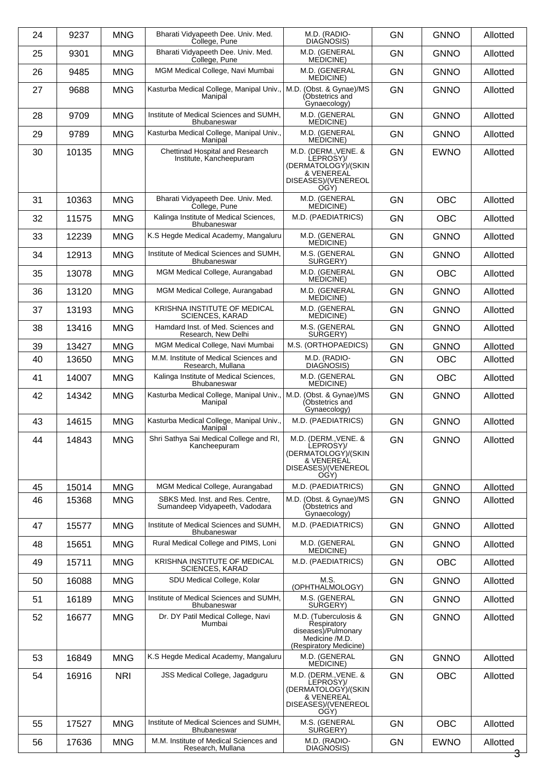| 24 | 9237  | <b>MNG</b> | Bharati Vidvapeeth Dee, Univ, Med.<br>College, Pune                | M.D. (RADIO-<br>DIAGNOSIS)                                                                             | <b>GN</b> | <b>GNNO</b> | Allotted |
|----|-------|------------|--------------------------------------------------------------------|--------------------------------------------------------------------------------------------------------|-----------|-------------|----------|
| 25 | 9301  | <b>MNG</b> | Bharati Vidyapeeth Dee. Univ. Med.<br>College, Pune                | M.D. (GENERAL<br>MEDICINE)                                                                             | <b>GN</b> | <b>GNNO</b> | Allotted |
| 26 | 9485  | <b>MNG</b> | MGM Medical College, Navi Mumbai                                   | M.D. (GENERAL<br><b>MEDICINE</b> )                                                                     | <b>GN</b> | <b>GNNO</b> | Allotted |
| 27 | 9688  | <b>MNG</b> | Kasturba Medical College, Manipal Univ.,<br>Manipal                | M.D. (Obst. & Gynae)/MS<br>(Obstetrics and<br>Gynaecology)                                             | <b>GN</b> | <b>GNNO</b> | Allotted |
| 28 | 9709  | <b>MNG</b> | Institute of Medical Sciences and SUMH.<br><b>Bhubaneswar</b>      | M.D. (GENERAL<br>MEDICINE)                                                                             | <b>GN</b> | <b>GNNO</b> | Allotted |
| 29 | 9789  | <b>MNG</b> | Kasturba Medical College, Manipal Univ.,<br>Manipal                | M.D. (GENERAL<br><b>MEDICINE</b> )                                                                     | <b>GN</b> | <b>GNNO</b> | Allotted |
| 30 | 10135 | <b>MNG</b> | Chettinad Hospital and Research<br>Institute, Kancheepuram         | M.D. (DERM., VENE. &<br>LEPROSY)/<br>(DERMATOLOGY)/(SKIN<br>& VENEREAL<br>DISEASES)/(VENEREOL<br>OGY)  | <b>GN</b> | <b>EWNO</b> | Allotted |
| 31 | 10363 | <b>MNG</b> | Bharati Vidyapeeth Dee. Univ. Med.<br>College, Pune                | M.D. (GENERAL<br><b>MEDICINE</b> )                                                                     | <b>GN</b> | <b>OBC</b>  | Allotted |
| 32 | 11575 | <b>MNG</b> | Kalinga Institute of Medical Sciences,<br>Bhubaneswar              | M.D. (PAEDIATRICS)                                                                                     | <b>GN</b> | <b>OBC</b>  | Allotted |
| 33 | 12239 | <b>MNG</b> | K.S Hegde Medical Academy, Mangaluru                               | M.D. (GENERAL<br><b>MEDICINE</b> )                                                                     | <b>GN</b> | <b>GNNO</b> | Allotted |
| 34 | 12913 | <b>MNG</b> | Institute of Medical Sciences and SUMH,<br><b>Bhubaneswar</b>      | M.S. (GENERAL<br>SURGERY)                                                                              | <b>GN</b> | <b>GNNO</b> | Allotted |
| 35 | 13078 | <b>MNG</b> | MGM Medical College, Aurangabad                                    | M.D. (GENERAL<br>MEDICINE)                                                                             | <b>GN</b> | <b>OBC</b>  | Allotted |
| 36 | 13120 | <b>MNG</b> | MGM Medical College, Aurangabad                                    | M.D. (GENERAL<br>MEDICINE)                                                                             | <b>GN</b> | <b>GNNO</b> | Allotted |
| 37 | 13193 | <b>MNG</b> | KRISHNA INSTITUTE OF MEDICAL<br><b>SCIENCES, KARAD</b>             | M.D. (GENERAL<br><b>MEDICINE</b> )                                                                     | <b>GN</b> | <b>GNNO</b> | Allotted |
| 38 | 13416 | <b>MNG</b> | Hamdard Inst. of Med. Sciences and<br>Research, New Delhi          | M.S. (GENERAL<br>SURGERY)                                                                              | <b>GN</b> | <b>GNNO</b> | Allotted |
| 39 | 13427 | <b>MNG</b> | MGM Medical College, Navi Mumbai                                   | M.S. (ORTHOPAEDICS)                                                                                    | <b>GN</b> | <b>GNNO</b> | Allotted |
| 40 | 13650 | <b>MNG</b> | M.M. Institute of Medical Sciences and<br>Research, Mullana        | M.D. (RADIO-<br>DIAGNOSIS)                                                                             | <b>GN</b> | <b>OBC</b>  | Allotted |
| 41 | 14007 | <b>MNG</b> | Kalinga Institute of Medical Sciences,<br>Bhubaneswar              | M.D. (GENERAL<br><b>MEDICINE</b> )                                                                     | <b>GN</b> | <b>OBC</b>  | Allotted |
| 42 | 14342 | <b>MNG</b> | Kasturba Medical College, Manipal Univ.,<br>Manipal                | M.D. (Obst. & Gynae)/MS<br>(Obstetrics and<br>Gynaecology)                                             | <b>GN</b> | <b>GNNO</b> | Allotted |
| 43 | 14615 | <b>MNG</b> | Kasturba Medical College, Manipal Univ.,<br>Manipal                | M.D. (PAEDIATRICS)                                                                                     | <b>GN</b> | <b>GNNO</b> | Allotted |
| 44 | 14843 | <b>MNG</b> | Shri Sathya Sai Medical College and RI,<br>Kancheepuram            | M.D. (DERM., VENE. &<br>LEPROSY)/<br>(DERMATOLOGÝ)/(SKIN<br>& VENEREAL<br>DISEASES)/(VENEREOL<br>OGY)  | <b>GN</b> | <b>GNNO</b> | Allotted |
| 45 | 15014 | <b>MNG</b> | MGM Medical College, Aurangabad                                    | M.D. (PAEDIATRICS)                                                                                     | GN        | <b>GNNO</b> | Allotted |
| 46 | 15368 | <b>MNG</b> | SBKS Med. Inst. and Res. Centre,<br>Sumandeep Vidyapeeth, Vadodara | M.D. (Obst. & Gynae)/MS<br>(Obstetrics and<br>Gynaecology)                                             | <b>GN</b> | <b>GNNO</b> | Allotted |
| 47 | 15577 | <b>MNG</b> | Institute of Medical Sciences and SUMH,<br><b>Bhubaneswar</b>      | M.D. (PAEDIATRICS)                                                                                     | <b>GN</b> | <b>GNNO</b> | Allotted |
| 48 | 15651 | <b>MNG</b> | Rural Medical College and PIMS, Loni                               | M.D. (GENERAL<br><b>MEDICINE</b> )                                                                     | <b>GN</b> | <b>GNNO</b> | Allotted |
| 49 | 15711 | <b>MNG</b> | KRISHNA INSTITUTE OF MEDICAL<br><b>SCIENCES, KARAD</b>             | M.D. (PAEDIATRICS)                                                                                     | <b>GN</b> | <b>OBC</b>  | Allotted |
| 50 | 16088 | <b>MNG</b> | SDU Medical College, Kolar                                         | M.S.<br>(OPHTHALMOLOGY)                                                                                | GN        | <b>GNNO</b> | Allotted |
| 51 | 16189 | <b>MNG</b> | Institute of Medical Sciences and SUMH,<br><b>Bhubaneswar</b>      | M.S. (GENERAL<br>SURGERY)                                                                              | <b>GN</b> | <b>GNNO</b> | Allotted |
| 52 | 16677 | <b>MNG</b> | Dr. DY Patil Medical College, Navi<br>Mumbai                       | M.D. (Tuberculosis &<br>Respiratory<br>diseases)/Pulmonary<br>Medicine /M.D.<br>(Respiratory Medicine) | <b>GN</b> | <b>GNNO</b> | Allotted |
| 53 | 16849 | <b>MNG</b> | K.S Hegde Medical Academy, Mangaluru                               | M.D. (GENERAL<br>MEDICINE)                                                                             | <b>GN</b> | <b>GNNO</b> | Allotted |
| 54 | 16916 | <b>NRI</b> | JSS Medical College, Jagadguru                                     | M.D. (DERM., VENE. &<br>LEPROSY)/<br>(DERMATOLOGY)/(SKIN<br>& VENEREAL<br>DISEASES)/(VENEREOL<br>OGY)  | <b>GN</b> | <b>OBC</b>  | Allotted |
| 55 | 17527 | <b>MNG</b> | Institute of Medical Sciences and SUMH.<br><b>Bhubaneswar</b>      | M.S. (GENERAL<br>SURGERY)                                                                              | GN        | <b>OBC</b>  | Allotted |
| 56 | 17636 | <b>MNG</b> | M.M. Institute of Medical Sciences and<br>Research, Mullana        | M.D. (RADIO-<br>DIAGNOSIS)                                                                             | GN        | <b>EWNO</b> | Allotted |
|    |       |            |                                                                    |                                                                                                        |           |             |          |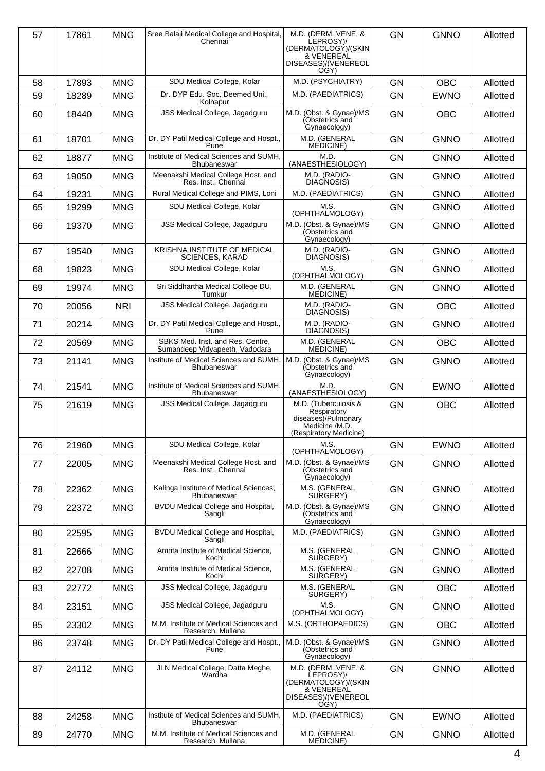| 57 | 17861 | <b>MNG</b> | Sree Balaji Medical College and Hospital,<br>Chennai               | M.D. (DERM., VENE. &<br>LEPROSY)/<br>(DERMATOLOGÝ)/(SKIN<br>& VENEREAL<br>DISEASES)/(VENEREOL<br>OGY)  | <b>GN</b> | <b>GNNO</b> | Allotted |
|----|-------|------------|--------------------------------------------------------------------|--------------------------------------------------------------------------------------------------------|-----------|-------------|----------|
| 58 | 17893 | <b>MNG</b> | SDU Medical College, Kolar                                         | M.D. (PSYCHIATRY)                                                                                      | GN        | <b>OBC</b>  | Allotted |
| 59 | 18289 | <b>MNG</b> | Dr. DYP Edu. Soc. Deemed Uni.,<br>Kolhapur                         | M.D. (PAEDIATRICS)                                                                                     | <b>GN</b> | <b>EWNO</b> | Allotted |
| 60 | 18440 | <b>MNG</b> | JSS Medical College, Jagadguru                                     | M.D. (Obst. & Gynae)/MS<br>(Obstetrics and<br>Gynaecology)                                             | <b>GN</b> | <b>OBC</b>  | Allotted |
| 61 | 18701 | <b>MNG</b> | Dr. DY Patil Medical College and Hospt.,<br>Pune                   | M.D. (GENERAL<br>MEDICINE)                                                                             | <b>GN</b> | <b>GNNO</b> | Allotted |
| 62 | 18877 | <b>MNG</b> | Institute of Medical Sciences and SUMH,<br><b>Bhubaneswar</b>      | M.D.<br>(ANAESTHESIOLOGY)                                                                              | <b>GN</b> | <b>GNNO</b> | Allotted |
| 63 | 19050 | <b>MNG</b> | Meenakshi Medical College Host. and<br>Res. Inst., Chennai         | M.D. (RADIO-<br>DIAGNOSIS)                                                                             | GN        | <b>GNNO</b> | Allotted |
| 64 | 19231 | <b>MNG</b> | Rural Medical College and PIMS, Loni                               | M.D. (PAEDIATRICS)                                                                                     | <b>GN</b> | <b>GNNO</b> | Allotted |
| 65 | 19299 | <b>MNG</b> | SDU Medical College, Kolar                                         | M.S.<br>(OPHTHALMOLOGY)                                                                                | <b>GN</b> | <b>GNNO</b> | Allotted |
| 66 | 19370 | <b>MNG</b> | <b>JSS Medical College, Jagadguru</b>                              | M.D. (Obst. & Gynae)/MS<br>(Obstetrics and<br>Gynaecology)                                             | <b>GN</b> | <b>GNNO</b> | Allotted |
| 67 | 19540 | <b>MNG</b> | KRISHNA INSTITUTE OF MEDICAL<br><b>SCIENCES, KARAD</b>             | M.D. (RADIO-<br>DIAGNOSIS)                                                                             | <b>GN</b> | <b>GNNO</b> | Allotted |
| 68 | 19823 | <b>MNG</b> | SDU Medical College, Kolar                                         | M.S.<br>(OPHTHALMOLOGY)                                                                                | <b>GN</b> | <b>GNNO</b> | Allotted |
| 69 | 19974 | <b>MNG</b> | Sri Siddhartha Medical College DU,<br>Tumkur                       | M.D. (GENERAL<br>MEDICINE)                                                                             | <b>GN</b> | <b>GNNO</b> | Allotted |
| 70 | 20056 | <b>NRI</b> | JSS Medical College, Jagadguru                                     | M.D. (RADIO-<br>DIAGNOSIS)                                                                             | <b>GN</b> | <b>OBC</b>  | Allotted |
| 71 | 20214 | <b>MNG</b> | Dr. DY Patil Medical College and Hospt.,<br>Pune                   | M.D. (RADIO-<br>DIAGNOSIS)                                                                             | <b>GN</b> | <b>GNNO</b> | Allotted |
| 72 | 20569 | <b>MNG</b> | SBKS Med. Inst. and Res. Centre,<br>Sumandeep Vidyapeeth, Vadodara | M.D. (GENERAL<br><b>MEDICINE</b> )                                                                     | <b>GN</b> | <b>OBC</b>  | Allotted |
| 73 | 21141 | <b>MNG</b> | Institute of Medical Sciences and SUMH,<br><b>Bhubaneswar</b>      | M.D. (Obst. & Gynae)/MS<br>(Obstetrics and<br>Gynaecology)                                             | <b>GN</b> | <b>GNNO</b> | Allotted |
| 74 | 21541 | <b>MNG</b> | Institute of Medical Sciences and SUMH,<br>Bhubaneswar             | M.D.<br>(ANAESTHESIOLOGY)                                                                              | <b>GN</b> | <b>EWNO</b> | Allotted |
| 75 | 21619 | <b>MNG</b> | <b>JSS Medical College, Jagadguru</b>                              | M.D. (Tuberculosis &<br>Respiratory<br>diseases)/Pulmonary<br>Medicine /M.D.<br>(Respiratory Medicine) | <b>GN</b> | <b>OBC</b>  | Allotted |
| 76 | 21960 | <b>MNG</b> | SDU Medical College, Kolar                                         | M.S.<br>(OPHTHALMOLOGY)                                                                                | <b>GN</b> | <b>EWNO</b> | Allotted |
| 77 | 22005 | <b>MNG</b> | Meenakshi Medical College Host. and<br>Res. Inst., Chennai         | M.D. (Obst. & Gynae)/MS<br>(Obstetrics and<br>Gynaecology)                                             | GN        | <b>GNNO</b> | Allotted |
| 78 | 22362 | <b>MNG</b> | Kalinga Institute of Medical Sciences,<br>Bhubaneswar              | M.S. (GENERAL<br>SURGERY)                                                                              | <b>GN</b> | <b>GNNO</b> | Allotted |
| 79 | 22372 | <b>MNG</b> | BVDU Medical College and Hospital,<br>Sangli                       | M.D. (Obst. & Gynae)/MS<br>(Obstetrics and<br>Gynaecology)                                             | <b>GN</b> | <b>GNNO</b> | Allotted |
| 80 | 22595 | <b>MNG</b> | BVDU Medical College and Hospital,<br>Sangli                       | M.D. (PAEDIATRICS)                                                                                     | <b>GN</b> | <b>GNNO</b> | Allotted |
| 81 | 22666 | <b>MNG</b> | Amrita Institute of Medical Science,<br>Kochi                      | M.S. (GENERAL<br>SURGERY)                                                                              | GN        | <b>GNNO</b> | Allotted |
| 82 | 22708 | <b>MNG</b> | Amrita Institute of Medical Science,<br>Kochi                      | M.S. (GENERAL<br>SURGERY)                                                                              | <b>GN</b> | <b>GNNO</b> | Allotted |
| 83 | 22772 | <b>MNG</b> | JSS Medical College, Jagadguru                                     | M.S. (GENERAL<br>SURGERY)                                                                              | <b>GN</b> | <b>OBC</b>  | Allotted |
| 84 | 23151 | <b>MNG</b> | JSS Medical College, Jagadguru                                     | M.S.<br>(OPHTHALMOLOGY)                                                                                | <b>GN</b> | <b>GNNO</b> | Allotted |
| 85 | 23302 | <b>MNG</b> | M.M. Institute of Medical Sciences and<br>Research, Mullana        | M.S. (ORTHOPAEDICS)                                                                                    | <b>GN</b> | <b>OBC</b>  | Allotted |
| 86 | 23748 | <b>MNG</b> | Dr. DY Patil Medical College and Hospt.,<br>Pune                   | M.D. (Obst. & Gynae)/MS<br>(Obstetrics and<br>Gynaecology)                                             | <b>GN</b> | <b>GNNO</b> | Allotted |
| 87 | 24112 | <b>MNG</b> | JLN Medical College, Datta Meghe,<br>Wardha                        | M.D. (DERM., VENE. &<br>LEPROSY)/<br>(DERMATOLOGÝ)/(SKIN<br>& VENEREAL<br>DISEASES)/(VENEREOL<br>OGY)  | <b>GN</b> | <b>GNNO</b> | Allotted |
| 88 | 24258 | <b>MNG</b> | Institute of Medical Sciences and SUMH,<br>Bhubaneswar             | M.D. (PAEDIATRICS)                                                                                     | GN        | <b>EWNO</b> | Allotted |
| 89 | 24770 | <b>MNG</b> | M.M. Institute of Medical Sciences and<br>Research, Mullana        | M.D. (GENERAL<br>MEDICINE)                                                                             | <b>GN</b> | <b>GNNO</b> | Allotted |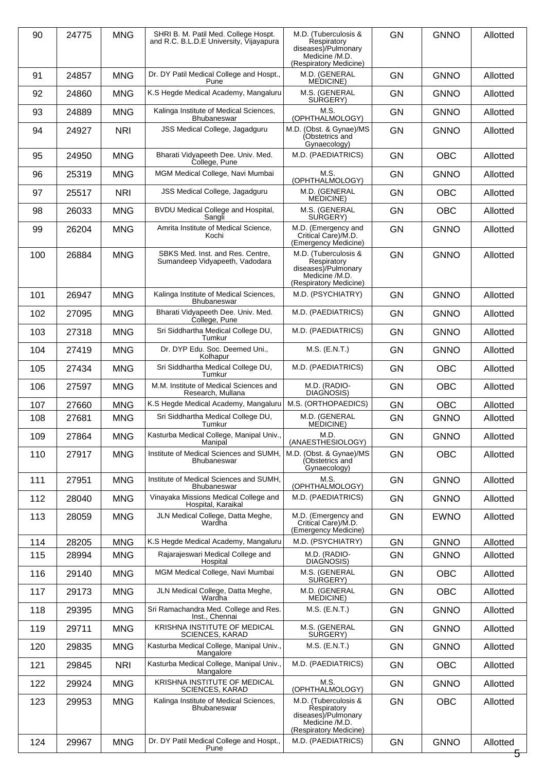| 90  | 24775 | <b>MNG</b> | SHRI B. M. Patil Med. College Hospt.<br>and R.C. B.L.D.E University, Vijayapura | M.D. (Tuberculosis &<br>Respiratory<br>diseases)/Pulmonary<br>Medicine /M.D.<br>(Respiratory Medicine) | <b>GN</b> | <b>GNNO</b> | Allotted |
|-----|-------|------------|---------------------------------------------------------------------------------|--------------------------------------------------------------------------------------------------------|-----------|-------------|----------|
| 91  | 24857 | <b>MNG</b> | Dr. DY Patil Medical College and Hospt.,<br>Pune                                | M.D. (GENERAL<br><b>MEDICINE</b> )                                                                     | <b>GN</b> | <b>GNNO</b> | Allotted |
| 92  | 24860 | <b>MNG</b> | K.S Hegde Medical Academy, Mangaluru                                            | M.S. (GENERAL<br>SURGERY)                                                                              | <b>GN</b> | <b>GNNO</b> | Allotted |
| 93  | 24889 | <b>MNG</b> | Kalinga Institute of Medical Sciences,<br><b>Bhubaneswar</b>                    | M.S.<br>(OPHTHALMOLOGY)                                                                                | <b>GN</b> | <b>GNNO</b> | Allotted |
| 94  | 24927 | <b>NRI</b> | JSS Medical College, Jagadguru                                                  | M.D. (Obst. & Gynae)/MS<br>(Obstetrics and<br>Gynaecology)                                             | <b>GN</b> | <b>GNNO</b> | Allotted |
| 95  | 24950 | <b>MNG</b> | Bharati Vidyapeeth Dee. Univ. Med.<br>College, Pune                             | M.D. (PAEDIATRICS)                                                                                     | <b>GN</b> | <b>OBC</b>  | Allotted |
| 96  | 25319 | <b>MNG</b> | MGM Medical College, Navi Mumbai                                                | M.S.<br>(OPHTHALMOLOGY)                                                                                | GN        | <b>GNNO</b> | Allotted |
| 97  | 25517 | <b>NRI</b> | JSS Medical College, Jagadguru                                                  | M.D. (GENERAL<br>MEDICINE)                                                                             | <b>GN</b> | <b>OBC</b>  | Allotted |
| 98  | 26033 | <b>MNG</b> | BVDU Medical College and Hospital,<br>Sangli                                    | M.S. (GENERAL<br>SURGERY)                                                                              | <b>GN</b> | <b>OBC</b>  | Allotted |
| 99  | 26204 | <b>MNG</b> | Amrita Institute of Medical Science,<br>Kochi                                   | M.D. (Emergency and<br>Critical Care)/M.D.<br>(Emergency Medicine)                                     | <b>GN</b> | <b>GNNO</b> | Allotted |
| 100 | 26884 | <b>MNG</b> | SBKS Med. Inst. and Res. Centre,<br>Sumandeep Vidyapeeth, Vadodara              | M.D. (Tuberculosis &<br>Respiratory<br>diseases)/Pulmonary<br>Medicine /M.D.<br>(Respiratory Medicine) | <b>GN</b> | <b>GNNO</b> | Allotted |
| 101 | 26947 | <b>MNG</b> | Kalinga Institute of Medical Sciences,<br>Bhubaneswar                           | M.D. (PSYCHIATRY)                                                                                      | GN        | <b>GNNO</b> | Allotted |
| 102 | 27095 | <b>MNG</b> | Bharati Vidyapeeth Dee. Univ. Med.<br>College, Pune                             | M.D. (PAEDIATRICS)                                                                                     | <b>GN</b> | <b>GNNO</b> | Allotted |
| 103 | 27318 | <b>MNG</b> | Sri Siddhartha Medical College DU,<br>Tumkur                                    | M.D. (PAEDIATRICS)                                                                                     | <b>GN</b> | <b>GNNO</b> | Allotted |
| 104 | 27419 | <b>MNG</b> | Dr. DYP Edu. Soc. Deemed Uni.,<br>Kolhapur                                      | M.S. (E.N.T.)                                                                                          | <b>GN</b> | <b>GNNO</b> | Allotted |
| 105 | 27434 | <b>MNG</b> | Sri Siddhartha Medical College DU,<br>Tumkur                                    | M.D. (PAEDIATRICS)                                                                                     | <b>GN</b> | <b>OBC</b>  | Allotted |
| 106 | 27597 | <b>MNG</b> | M.M. Institute of Medical Sciences and<br>Research, Mullana                     | M.D. (RADIO-<br>DIAGNOSIS)                                                                             | <b>GN</b> | <b>OBC</b>  | Allotted |
| 107 | 27660 | <b>MNG</b> | K.S Hegde Medical Academy, Mangaluru                                            | M.S. (ORTHOPAEDICS)                                                                                    | GN        | <b>OBC</b>  | Allotted |
| 108 | 27681 | <b>MNG</b> | Sri Siddhartha Medical College DU,<br>Tumkur                                    | M.D. (GENERAL<br>MEDICINE)                                                                             | <b>GN</b> | <b>GNNO</b> | Allotted |
| 109 | 27864 | <b>MNG</b> | Kasturba Medical College, Manipal Univ.,<br>Manipal                             | M.D.<br>(ANAESTHESIOLOGY)                                                                              | GN        | <b>GNNO</b> | Allotted |
| 110 | 27917 | <b>MNG</b> | Institute of Medical Sciences and SUMH,<br><b>Bhubaneswar</b>                   | M.D. (Obst. & Gynae)/MS<br>(Obstetrics and<br>Gynaecology)                                             | GN        | <b>OBC</b>  | Allotted |
| 111 | 27951 | <b>MNG</b> | Institute of Medical Sciences and SUMH,<br><b>Bhubaneswar</b>                   | M.S.<br>(OPHTHALMOLOGY)                                                                                | <b>GN</b> | <b>GNNO</b> | Allotted |
| 112 | 28040 | <b>MNG</b> | Vinayaka Missions Medical College and<br>Hospital, Karaikal                     | M.D. (PAEDIATRICS)                                                                                     | GN        | <b>GNNO</b> | Allotted |
| 113 | 28059 | <b>MNG</b> | JLN Medical College, Datta Meghe,<br>Wardha                                     | M.D. (Emergency and<br>Critical Care)/M.D.<br>(Emergency Medicine)                                     | <b>GN</b> | <b>EWNO</b> | Allotted |
| 114 | 28205 | <b>MNG</b> | K.S Hegde Medical Academy, Mangaluru                                            | M.D. (PSYCHIATRY)                                                                                      | <b>GN</b> | <b>GNNO</b> | Allotted |
| 115 | 28994 | <b>MNG</b> | Rajarajeswari Medical College and<br>Hospital                                   | M.D. (RADIO-<br>DIAGNOSIS)                                                                             | <b>GN</b> | <b>GNNO</b> | Allotted |
| 116 | 29140 | <b>MNG</b> | MGM Medical College, Navi Mumbai                                                | M.S. (GENERAL<br>SURGERY)                                                                              | <b>GN</b> | <b>OBC</b>  | Allotted |
| 117 | 29173 | <b>MNG</b> | JLN Medical College, Datta Meghe,<br>Wardha                                     | M.D. (GENERAL<br>MEDICINE)                                                                             | GN        | <b>OBC</b>  | Allotted |
| 118 | 29395 | <b>MNG</b> | Sri Ramachandra Med. College and Res.<br>Inst., Chennai                         | M.S. (E.N.T.)                                                                                          | <b>GN</b> | <b>GNNO</b> | Allotted |
| 119 | 29711 | <b>MNG</b> | KRISHNA INSTITUTE OF MEDICAL<br><b>SCIENCES, KARAD</b>                          | M.S. (GENERAL<br>SURGERY)                                                                              | <b>GN</b> | <b>GNNO</b> | Allotted |
| 120 | 29835 | <b>MNG</b> | Kasturba Medical College, Manipal Univ.,<br>Mangalore                           | $M.S.$ (E.N.T.)                                                                                        | GN        | <b>GNNO</b> | Allotted |
| 121 | 29845 | <b>NRI</b> | Kasturba Medical College, Manipal Univ.,<br>Mangalore                           | M.D. (PAEDIATRICS)                                                                                     | <b>GN</b> | <b>OBC</b>  | Allotted |
| 122 | 29924 | <b>MNG</b> | KRISHNA INSTITUTE OF MEDICAL<br><b>SCIENCES, KARAD</b>                          | M.S.<br>(OPHTHALMOLOGY)                                                                                | <b>GN</b> | <b>GNNO</b> | Allotted |
| 123 | 29953 | <b>MNG</b> | Kalinga Institute of Medical Sciences,<br>Bhubaneswar                           | M.D. (Tuberculosis &<br>Respiratory<br>diseases)/Pulmonary<br>Medicine /M.D.<br>(Respiratory Medicine) | GN        | <b>OBC</b>  | Allotted |
| 124 | 29967 | <b>MNG</b> | Dr. DY Patil Medical College and Hospt.,<br>Pune                                | M.D. (PAEDIATRICS)                                                                                     | <b>GN</b> | <b>GNNO</b> | Allotted |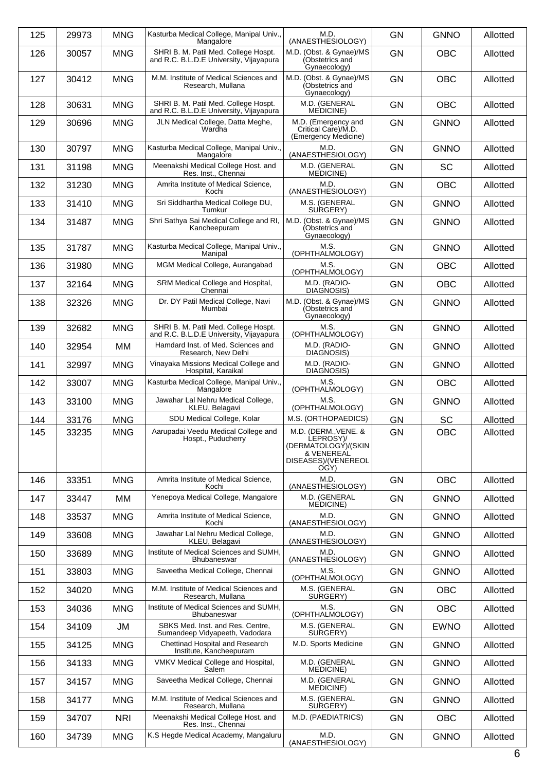| 125 | 29973 | <b>MNG</b> | Kasturba Medical College, Manipal Univ.,<br>Mangalore                           | M.D.<br>(ANAESTHESIOLOGY)                                                                     | <b>GN</b> | <b>GNNO</b> | Allotted |
|-----|-------|------------|---------------------------------------------------------------------------------|-----------------------------------------------------------------------------------------------|-----------|-------------|----------|
| 126 | 30057 | <b>MNG</b> | SHRI B. M. Patil Med. College Hospt.<br>and R.C. B.L.D.E University, Vijayapura | M.D. (Obst. & Gynae)/MS<br>(Obstetrics and<br>Gynaecology)                                    | <b>GN</b> | <b>OBC</b>  | Allotted |
| 127 | 30412 | <b>MNG</b> | M.M. Institute of Medical Sciences and<br>Research, Mullana                     | M.D. (Obst. & Gynae)/MS<br>(Obstetrics and<br>Gynaecology)                                    | <b>GN</b> | <b>OBC</b>  | Allotted |
| 128 | 30631 | <b>MNG</b> | SHRI B. M. Patil Med. College Hospt.<br>and R.C. B.L.D.E University, Vijayapura | M.D. (GENERAL<br><b>MEDICINE</b> )                                                            | <b>GN</b> | <b>OBC</b>  | Allotted |
| 129 | 30696 | <b>MNG</b> | JLN Medical College, Datta Meghe,<br>Wardha                                     | M.D. (Emergency and<br>Critical Care)/M.D.<br>(Emergency Medicine)                            | <b>GN</b> | <b>GNNO</b> | Allotted |
| 130 | 30797 | <b>MNG</b> | Kasturba Medical College, Manipal Univ.,<br>Mangalore                           | M.D.<br>(ANAESTHESIOLOGY)                                                                     | <b>GN</b> | <b>GNNO</b> | Allotted |
| 131 | 31198 | <b>MNG</b> | Meenakshi Medical College Host. and<br>Res. Inst., Chennai                      | M.D. (GENERAL<br>MEDICINE)                                                                    | <b>GN</b> | <b>SC</b>   | Allotted |
| 132 | 31230 | <b>MNG</b> | Amrita Institute of Medical Science,<br>Kochi                                   | M.D.<br>(ANAESTHESIOLOGY)                                                                     | <b>GN</b> | OBC         | Allotted |
| 133 | 31410 | <b>MNG</b> | Sri Siddhartha Medical College DU,<br>Tumkur                                    | M.S. (GENERAL<br>SURGERY)                                                                     | <b>GN</b> | <b>GNNO</b> | Allotted |
| 134 | 31487 | <b>MNG</b> | Shri Sathya Sai Medical College and RI,<br>Kancheepuram                         | M.D. (Obst. & Gynae)/MS<br>(Obstetrics and<br>Gynaecology)                                    | <b>GN</b> | <b>GNNO</b> | Allotted |
| 135 | 31787 | <b>MNG</b> | Kasturba Medical College, Manipal Univ.,<br>Manipal                             | M.S.<br>(OPHTHALMOLOGY)                                                                       | <b>GN</b> | <b>GNNO</b> | Allotted |
| 136 | 31980 | <b>MNG</b> | MGM Medical College, Aurangabad                                                 | M.S.<br>(OPHTHALMOLOGY)                                                                       | <b>GN</b> | <b>OBC</b>  | Allotted |
| 137 | 32164 | <b>MNG</b> | SRM Medical College and Hospital,<br>Chennai                                    | M.D. (RADIO-<br>DIAGNOSIS)                                                                    | GN        | <b>OBC</b>  | Allotted |
| 138 | 32326 | <b>MNG</b> | Dr. DY Patil Medical College, Navi<br>Mumbai                                    | M.D. (Obst. & Gynae)/MS<br>(Obstetrics and<br>Gynaecology)                                    | <b>GN</b> | <b>GNNO</b> | Allotted |
| 139 | 32682 | <b>MNG</b> | SHRI B. M. Patil Med. College Hospt.<br>and R.C. B.L.D.E University, Vijayapura | M.S.<br>(OPHTHALMOLOGY)                                                                       | <b>GN</b> | <b>GNNO</b> | Allotted |
| 140 | 32954 | MM         | Hamdard Inst. of Med. Sciences and<br>Research, New Delhi                       | M.D. (RADIO-<br>DIAGNOSIS)                                                                    | <b>GN</b> | <b>GNNO</b> | Allotted |
| 141 | 32997 | <b>MNG</b> | Vinayaka Missions Medical College and<br>Hospital, Karaikal                     | M.D. (RADIO-<br>DIAGNOSIS)                                                                    | <b>GN</b> | <b>GNNO</b> | Allotted |
| 142 | 33007 | <b>MNG</b> | Kasturba Medical College, Manipal Univ.,<br>Mangalore                           | M.S.<br>(OPHTHALMOLOGY)                                                                       | GN        | <b>OBC</b>  | Allotted |
| 143 | 33100 | <b>MNG</b> | Jawahar Lal Nehru Medical College,<br>KLEU, Belagavi                            | M.S.<br>(OPHTHALMOLOGY)                                                                       | <b>GN</b> | <b>GNNO</b> | Allotted |
| 144 | 33176 | <b>MNG</b> | SDU Medical College, Kolar                                                      | M.S. (ORTHOPAEDICS)                                                                           | <b>GN</b> | <b>SC</b>   | Allotted |
| 145 | 33235 | <b>MNG</b> | Aarupadai Veedu Medical College and<br>Hospt., Puducherry                       | M.D. (DERM., VENE. &<br>LEPROSY)/<br>(DERMATOLOGÝ)/(SKIN<br>& VENEREAL<br>DISEASES)/(VENEREOL | GN        | <b>OBC</b>  | Allotted |
| 146 | 33351 | <b>MNG</b> | Amrita Institute of Medical Science.                                            | OGY)<br>M.D.                                                                                  | <b>GN</b> | <b>OBC</b>  | Allotted |
|     |       |            | Kochi<br>Yenepoya Medical College, Mangalore                                    | (ANAESTHESIOLOGY)<br>M.D. (GENERAL                                                            | <b>GN</b> |             |          |
| 147 | 33447 | MМ         | Amrita Institute of Medical Science.                                            | MEDICINE)<br>M.D.                                                                             |           | <b>GNNO</b> | Allotted |
| 148 | 33537 | <b>MNG</b> | Kochi                                                                           | (ANAESTHESIOLOGY)                                                                             | <b>GN</b> | <b>GNNO</b> | Allotted |
| 149 | 33608 | <b>MNG</b> | Jawahar Lal Nehru Medical College,<br>KLEU, Belagavi                            | M.D.<br>(ANAESTHESIOLOGY)                                                                     | <b>GN</b> | <b>GNNO</b> | Allotted |
| 150 | 33689 | <b>MNG</b> | Institute of Medical Sciences and SUMH,<br>Bhubaneswar                          | M.D.<br>(ANAESTHESIOLOGY)                                                                     | <b>GN</b> | <b>GNNO</b> | Allotted |
| 151 | 33803 | <b>MNG</b> | Saveetha Medical College, Chennai                                               | M.S.<br>(OPHTHALMOLOGY)                                                                       | <b>GN</b> | <b>GNNO</b> | Allotted |
| 152 | 34020 | <b>MNG</b> | M.M. Institute of Medical Sciences and<br>Research, Mullana                     | M.S. (GENERAL<br>SURGERY)                                                                     | <b>GN</b> | <b>OBC</b>  | Allotted |
| 153 | 34036 | <b>MNG</b> | Institute of Medical Sciences and SUMH,<br>Bhubaneswar                          | M.S.<br>(OPHTHALMOLOGY)                                                                       | <b>GN</b> | <b>OBC</b>  | Allotted |
| 154 | 34109 | <b>JM</b>  | SBKS Med. Inst. and Res. Centre,<br>Sumandeep Vidyapeeth, Vadodara              | M.S. (GENERAL<br>SURGERY)                                                                     | <b>GN</b> | <b>EWNO</b> | Allotted |
| 155 | 34125 | <b>MNG</b> | Chettinad Hospital and Research<br>Institute, Kancheepuram                      | M.D. Sports Medicine                                                                          | <b>GN</b> | <b>GNNO</b> | Allotted |
| 156 | 34133 | <b>MNG</b> | VMKV Medical College and Hospital,<br>Salem                                     | M.D. (GENERAL<br>MEDICINE)                                                                    | <b>GN</b> | <b>GNNO</b> | Allotted |
| 157 | 34157 | <b>MNG</b> | Saveetha Medical College, Chennai                                               | M.D. (GENERAL<br>MEDICINE)                                                                    | <b>GN</b> | <b>GNNO</b> | Allotted |
| 158 | 34177 | <b>MNG</b> | M.M. Institute of Medical Sciences and<br>Research, Mullana                     | M.S. (GENERAL<br>SURGERY)                                                                     | <b>GN</b> | <b>GNNO</b> | Allotted |
| 159 | 34707 | <b>NRI</b> | Meenakshi Medical College Host. and<br>Res. Inst., Chennai                      | M.D. (PAEDIATRICS)                                                                            | GN        | <b>OBC</b>  | Allotted |
| 160 | 34739 | <b>MNG</b> | K.S Hegde Medical Academy, Mangaluru                                            | M.D.<br>(ANAESTHESIOLOGY)                                                                     | <b>GN</b> | <b>GNNO</b> | Allotted |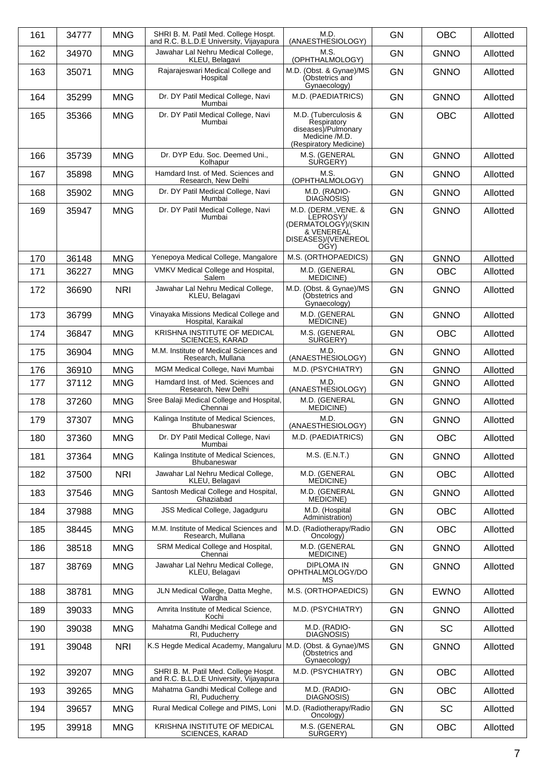| 161 | 34777 | <b>MNG</b> | SHRI B. M. Patil Med. College Hospt.<br>and R.C. B.L.D.E University, Vijayapura | M.D.<br>(ANAESTHESIOLOGY)                                                                              | <b>GN</b> | <b>OBC</b>  | Allotted |
|-----|-------|------------|---------------------------------------------------------------------------------|--------------------------------------------------------------------------------------------------------|-----------|-------------|----------|
| 162 | 34970 | <b>MNG</b> | Jawahar Lal Nehru Medical College,<br>KLEU, Belagavi                            | M.S.<br>(OPHTHALMOLOGY)                                                                                | <b>GN</b> | <b>GNNO</b> | Allotted |
| 163 | 35071 | <b>MNG</b> | Rajarajeswari Medical College and<br>Hospital                                   | M.D. (Obst. & Gynae)/MS<br>(Obstetrics and<br>Gynaecology)                                             | <b>GN</b> | <b>GNNO</b> | Allotted |
| 164 | 35299 | <b>MNG</b> | Dr. DY Patil Medical College, Navi<br>Mumbai                                    | M.D. (PAEDIATRICS)                                                                                     | <b>GN</b> | <b>GNNO</b> | Allotted |
| 165 | 35366 | <b>MNG</b> | Dr. DY Patil Medical College, Navi<br>Mumbai                                    | M.D. (Tuberculosis &<br>Respiratory<br>diseases)/Pulmonary<br>Medicine /M.D.<br>(Respiratory Medicine) | <b>GN</b> | <b>OBC</b>  | Allotted |
| 166 | 35739 | <b>MNG</b> | Dr. DYP Edu. Soc. Deemed Uni.,<br>Kolhapur                                      | M.S. (GENERAL<br>SURGERY)                                                                              | <b>GN</b> | <b>GNNO</b> | Allotted |
| 167 | 35898 | <b>MNG</b> | Hamdard Inst. of Med. Sciences and<br>Research, New Delhi                       | M.S.<br>(OPHTHALMOLOGY)                                                                                | <b>GN</b> | <b>GNNO</b> | Allotted |
| 168 | 35902 | <b>MNG</b> | Dr. DY Patil Medical College, Navi<br>Mumbai                                    | M.D. (RADIO-<br>DIAGNOSIS)                                                                             | <b>GN</b> | <b>GNNO</b> | Allotted |
| 169 | 35947 | <b>MNG</b> | Dr. DY Patil Medical College, Navi<br>Mumbai                                    | M.D. (DERM., VENE. &<br>LEPROSY)/<br>(DERMATOLOGY)/(SKIN<br>& VENEREAL<br>DISEASES)/(VENEREOL<br>OGY)  | <b>GN</b> | <b>GNNO</b> | Allotted |
| 170 | 36148 | <b>MNG</b> | Yenepoya Medical College, Mangalore                                             | M.S. (ORTHOPAEDICS)                                                                                    | <b>GN</b> | <b>GNNO</b> | Allotted |
| 171 | 36227 | <b>MNG</b> | VMKV Medical College and Hospital,<br>Salem                                     | M.D. (GENERAL<br><b>MEDICINE</b> )                                                                     | <b>GN</b> | <b>OBC</b>  | Allotted |
| 172 | 36690 | <b>NRI</b> | Jawahar Lal Nehru Medical College,<br>KLEU, Belagavi                            | M.D. (Obst. & Gynae)/MS<br>(Obstetrics and<br>Gynaecology)                                             | <b>GN</b> | <b>GNNO</b> | Allotted |
| 173 | 36799 | <b>MNG</b> | Vinayaka Missions Medical College and<br>Hospital, Karaikal                     | M.D. (GENERAL<br><b>MEDICINE</b> )                                                                     | <b>GN</b> | <b>GNNO</b> | Allotted |
| 174 | 36847 | <b>MNG</b> | KRISHNA INSTITUTE OF MEDICAL<br><b>SCIENCES, KARAD</b>                          | M.S. (GENERAL<br>SURGERY)                                                                              | <b>GN</b> | <b>OBC</b>  | Allotted |
| 175 | 36904 | <b>MNG</b> | M.M. Institute of Medical Sciences and<br>Research, Mullana                     | M.D.<br>(ANAESTHESIOLOGY)                                                                              | <b>GN</b> | <b>GNNO</b> | Allotted |
| 176 | 36910 | <b>MNG</b> | MGM Medical College, Navi Mumbai                                                | M.D. (PSYCHIATRY)                                                                                      | <b>GN</b> | <b>GNNO</b> | Allotted |
| 177 | 37112 | <b>MNG</b> | Hamdard Inst. of Med. Sciences and<br>Research, New Delhi                       | M.D.<br>(ANAESTHESIOLOGY)                                                                              | <b>GN</b> | <b>GNNO</b> | Allotted |
| 178 | 37260 | <b>MNG</b> | Sree Balaji Medical College and Hospital,<br>Chennai                            | M.D. (GENERAL<br><b>MEDICINE</b> )                                                                     | <b>GN</b> | <b>GNNO</b> | Allotted |
| 179 | 37307 | <b>MNG</b> | Kalinga Institute of Medical Sciences,<br><b>Bhubaneswar</b>                    | M.D.<br>(ANAESTHESIOLOGY)                                                                              | <b>GN</b> | <b>GNNO</b> | Allotted |
| 180 | 37360 | <b>MNG</b> | Dr. DY Patil Medical College, Navi<br>Mumbai                                    | M.D. (PAEDIATRICS)                                                                                     | <b>GN</b> | <b>OBC</b>  | Allotted |
| 181 | 37364 | <b>MNG</b> | Kalinga Institute of Medical Sciences,<br><b>Bhubaneswar</b>                    | $M.S.$ (E.N.T.)                                                                                        | <b>GN</b> | <b>GNNO</b> | Allotted |
| 182 | 37500 | <b>NRI</b> | Jawahar Lal Nehru Medical College,<br>KLEU, Belagavi                            | M.D. (GENERAL<br>MEDICINE)                                                                             | <b>GN</b> | <b>OBC</b>  | Allotted |
| 183 | 37546 | <b>MNG</b> | Santosh Medical College and Hospital,<br>Ghaziabad                              | M.D. (GENERAL<br><b>MEDICINE)</b>                                                                      | <b>GN</b> | <b>GNNO</b> | Allotted |
| 184 | 37988 | <b>MNG</b> | JSS Medical College, Jagadguru                                                  | M.D. (Hospital<br>Administration)                                                                      | <b>GN</b> | <b>OBC</b>  | Allotted |
| 185 | 38445 | <b>MNG</b> | M.M. Institute of Medical Sciences and<br>Research, Mullana                     | M.D. (Radiotherapy/Radio<br>Oncology)                                                                  | GN        | <b>OBC</b>  | Allotted |
| 186 | 38518 | <b>MNG</b> | SRM Medical College and Hospital,<br>Chennai                                    | M.D. (GENERAL<br><b>MEDICINE</b> )                                                                     | <b>GN</b> | <b>GNNO</b> | Allotted |
| 187 | 38769 | <b>MNG</b> | Jawahar Lal Nehru Medical College,<br>KLEU, Belagavi                            | <b>DIPLOMA IN</b><br>OPHTHALMOLOGY/DO<br>МS                                                            | <b>GN</b> | <b>GNNO</b> | Allotted |
| 188 | 38781 | <b>MNG</b> | JLN Medical College, Datta Meghe,<br>Wardha                                     | M.S. (ORTHOPAEDICS)                                                                                    | <b>GN</b> | <b>EWNO</b> | Allotted |
| 189 | 39033 | <b>MNG</b> | Amrita Institute of Medical Science,<br>Kochi                                   | M.D. (PSYCHIATRY)                                                                                      | <b>GN</b> | <b>GNNO</b> | Allotted |
| 190 | 39038 | <b>MNG</b> | Mahatma Gandhi Medical College and<br>RI, Puducherry                            | M.D. (RADIO-<br>DIAGNOSIS)                                                                             | <b>GN</b> | <b>SC</b>   | Allotted |
| 191 | 39048 | <b>NRI</b> | K.S Hegde Medical Academy, Mangaluru                                            | M.D. (Obst. & Gynae)/MS<br>(Obstetrics and<br>Gynaecology)                                             | <b>GN</b> | <b>GNNO</b> | Allotted |
| 192 | 39207 | <b>MNG</b> | SHRI B. M. Patil Med. College Hospt.<br>and R.C. B.L.D.E University, Vijayapura | M.D. (PSYCHIATRY)                                                                                      | <b>GN</b> | OBC         | Allotted |
| 193 | 39265 | <b>MNG</b> | Mahatma Gandhi Medical College and<br>RI, Puducherry                            | M.D. (RADIO-<br>DIAGNOSIS)                                                                             | GN        | <b>OBC</b>  | Allotted |
| 194 | 39657 | <b>MNG</b> | Rural Medical College and PIMS, Loni                                            | M.D. (Radiotherapy/Radio<br>Oncology)                                                                  | <b>GN</b> | <b>SC</b>   | Allotted |
| 195 | 39918 | <b>MNG</b> | KRISHNA INSTITUTE OF MEDICAL<br><b>SCIENCES, KARAD</b>                          | M.S. (GENERAL<br>SURGERY)                                                                              | GN        | OBC         | Allotted |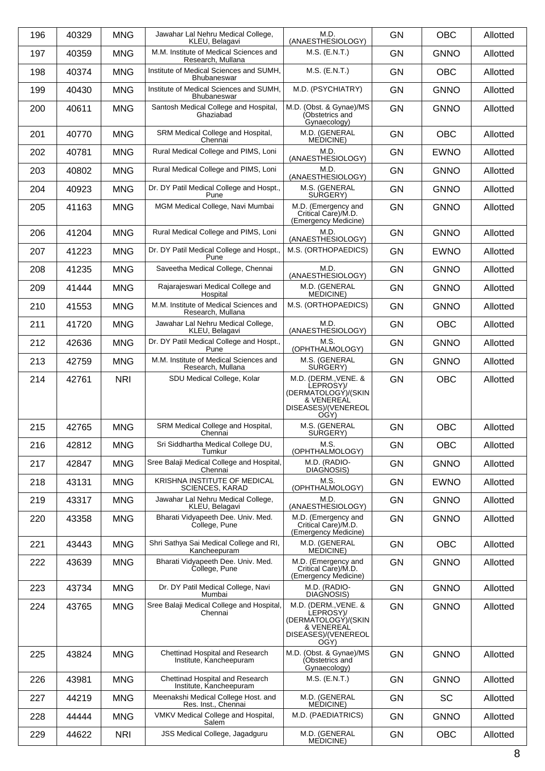| 196 | 40329 | <b>MNG</b> | Jawahar Lal Nehru Medical College,<br>KLEU, Belagavi          | M.D.<br>(ANAESTHESIOLOGY)                                                                             | <b>GN</b> | <b>OBC</b>  | Allotted |
|-----|-------|------------|---------------------------------------------------------------|-------------------------------------------------------------------------------------------------------|-----------|-------------|----------|
| 197 | 40359 | <b>MNG</b> | M.M. Institute of Medical Sciences and<br>Research, Mullana   | M.S. (E.N.T.)                                                                                         | <b>GN</b> | <b>GNNO</b> | Allotted |
| 198 | 40374 | <b>MNG</b> | Institute of Medical Sciences and SUMH,<br><b>Bhubaneswar</b> | $M.S.$ (E.N.T.)                                                                                       | <b>GN</b> | <b>OBC</b>  | Allotted |
| 199 | 40430 | <b>MNG</b> | Institute of Medical Sciences and SUMH,<br><b>Bhubaneswar</b> | M.D. (PSYCHIATRY)                                                                                     | <b>GN</b> | <b>GNNO</b> | Allotted |
| 200 | 40611 | <b>MNG</b> | Santosh Medical College and Hospital,<br>Ghaziabad            | M.D. (Obst. & Gynae)/MS<br>(Obstetrics and<br>Gynaecology)                                            | <b>GN</b> | <b>GNNO</b> | Allotted |
| 201 | 40770 | <b>MNG</b> | SRM Medical College and Hospital,<br>Chennai                  | M.D. (GENERAL<br>MEDICINE)                                                                            | <b>GN</b> | <b>OBC</b>  | Allotted |
| 202 | 40781 | <b>MNG</b> | Rural Medical College and PIMS, Loni                          | M.D.<br>(ANAESTHESIOLOGY)                                                                             | <b>GN</b> | <b>EWNO</b> | Allotted |
| 203 | 40802 | <b>MNG</b> | Rural Medical College and PIMS, Loni                          | M.D.<br>(ANAESTHESIOLOGY)                                                                             | <b>GN</b> | <b>GNNO</b> | Allotted |
| 204 | 40923 | <b>MNG</b> | Dr. DY Patil Medical College and Hospt.,<br>Pune              | M.S. (GENERAL<br>SURGERY)                                                                             | <b>GN</b> | <b>GNNO</b> | Allotted |
| 205 | 41163 | <b>MNG</b> | MGM Medical College, Navi Mumbai                              | M.D. (Emergency and<br>Critical Care)/M.D.<br>(Emergency Medicine)                                    | <b>GN</b> | <b>GNNO</b> | Allotted |
| 206 | 41204 | <b>MNG</b> | Rural Medical College and PIMS, Loni                          | M.D.<br>(ANAESTHESIOLOGY)                                                                             | <b>GN</b> | <b>GNNO</b> | Allotted |
| 207 | 41223 | <b>MNG</b> | Dr. DY Patil Medical College and Hospt.,<br>Pune              | M.S. (ORTHOPAEDICS)                                                                                   | GN        | <b>EWNO</b> | Allotted |
| 208 | 41235 | <b>MNG</b> | Saveetha Medical College, Chennai                             | M.D.<br>(ANAESTHESIOLOGY)                                                                             | <b>GN</b> | <b>GNNO</b> | Allotted |
| 209 | 41444 | <b>MNG</b> | Rajarajeswari Medical College and<br>Hospital                 | M.D. (GENERAL<br>MEDICINE)                                                                            | <b>GN</b> | <b>GNNO</b> | Allotted |
| 210 | 41553 | <b>MNG</b> | M.M. Institute of Medical Sciences and<br>Research, Mullana   | M.S. (ORTHOPAEDICS)                                                                                   | <b>GN</b> | <b>GNNO</b> | Allotted |
| 211 | 41720 | <b>MNG</b> | Jawahar Lal Nehru Medical College,<br>KLEU, Belagavi          | M.D.<br>(ANAESTHESIOLOGY)                                                                             | <b>GN</b> | <b>OBC</b>  | Allotted |
| 212 | 42636 | <b>MNG</b> | Dr. DY Patil Medical College and Hospt.,<br>Pune              | M.S.<br>(OPHTHALMOLOGY)                                                                               | <b>GN</b> | <b>GNNO</b> | Allotted |
| 213 | 42759 | <b>MNG</b> | M.M. Institute of Medical Sciences and<br>Research, Mullana   | M.S. (GENERAL<br>SURGERY)                                                                             | GN        | <b>GNNO</b> | Allotted |
| 214 | 42761 | <b>NRI</b> | SDU Medical College, Kolar                                    | M.D. (DERM., VENE. &<br>LEPROSY)/<br>(DERMATOLOGÝ)/(SKIN<br>& VENEREAL<br>DISEASES)/(VENEREOL<br>OGY) | <b>GN</b> | <b>OBC</b>  | Allotted |
| 215 | 42765 | <b>MNG</b> | SRM Medical College and Hospital,<br>Chennai                  | M.S. (GENERAL<br>SURGERY)                                                                             | <b>GN</b> | <b>OBC</b>  | Allotted |
| 216 | 42812 | <b>MNG</b> | Sri Siddhartha Medical College DU,<br>Tumkur                  | M.S.<br>(OPHTHALMOLOGY)                                                                               | <b>GN</b> | <b>OBC</b>  | Allotted |
| 217 | 42847 | <b>MNG</b> | Sree Balaji Medical College and Hospital,<br>Chennai          | M.D. (RADIO-<br>DIAGNOSIS)                                                                            | <b>GN</b> | <b>GNNO</b> | Allotted |
| 218 | 43131 | <b>MNG</b> | KRISHNA INSTITUTE OF MEDICAL<br><b>SCIENCES, KARAD</b>        | M.S.<br>(OPHTHALMOLOGY)                                                                               | GN        | <b>EWNO</b> | Allotted |
| 219 | 43317 | <b>MNG</b> | Jawahar Lal Nehru Medical College,<br>KLEU, Belagavi          | M.D.<br>(ANAESTHESIOLOGY)                                                                             | <b>GN</b> | <b>GNNO</b> | Allotted |
| 220 | 43358 | <b>MNG</b> | Bharati Vidyapeeth Dee. Univ. Med.<br>College, Pune           | M.D. (Emergency and<br>Critical Care)/M.D.<br>(Emergency Medicine)                                    | <b>GN</b> | <b>GNNO</b> | Allotted |
| 221 | 43443 | <b>MNG</b> | Shri Sathya Sai Medical College and RI,<br>Kancheepuram       | M.D. (GENERAL<br><b>MEDICINE</b> )                                                                    | <b>GN</b> | <b>OBC</b>  | Allotted |
| 222 | 43639 | <b>MNG</b> | Bharati Vidyapeeth Dee. Univ. Med.<br>College, Pune           | M.D. (Emergency and<br>Critical Care)/M.D.<br>(Emergency Medicine)                                    | <b>GN</b> | <b>GNNO</b> | Allotted |
| 223 | 43734 | <b>MNG</b> | Dr. DY Patil Medical College, Navi<br>Mumbai                  | M.D. (RADIO-<br>DIAGNOSIS)                                                                            | <b>GN</b> | <b>GNNO</b> | Allotted |
| 224 | 43765 | <b>MNG</b> | Sree Balaji Medical College and Hospital,<br>Chennai          | M.D. (DERM., VENE. &<br>LEPROSY)/<br>(DERMATOLOGY)/(SKIN<br>& VENEREAL<br>DISEASES)/(VENEREOL<br>OGY) | <b>GN</b> | <b>GNNO</b> | Allotted |
| 225 | 43824 | <b>MNG</b> | Chettinad Hospital and Research<br>Institute, Kancheepuram    | M.D. (Obst. & Gynae)/MS<br>(Obstetrics and<br>Gynaecology)                                            | <b>GN</b> | <b>GNNO</b> | Allotted |
| 226 | 43981 | <b>MNG</b> | Chettinad Hospital and Research<br>Institute, Kancheepuram    | M.S. (E.N.T.)                                                                                         | GN        | <b>GNNO</b> | Allotted |
| 227 | 44219 | <b>MNG</b> | Meenakshi Medical College Host. and<br>Res. Inst., Chennai    | M.D. (GENERAL<br><b>MEDICINE</b> )                                                                    | <b>GN</b> | <b>SC</b>   | Allotted |
| 228 | 44444 | <b>MNG</b> | VMKV Medical College and Hospital,<br>Salem                   | M.D. (PAEDIATRICS)                                                                                    | GN        | <b>GNNO</b> | Allotted |
| 229 | 44622 | <b>NRI</b> | <b>JSS Medical College, Jagadguru</b>                         | M.D. (GENERAL<br>MEDICINE)                                                                            | <b>GN</b> | <b>OBC</b>  | Allotted |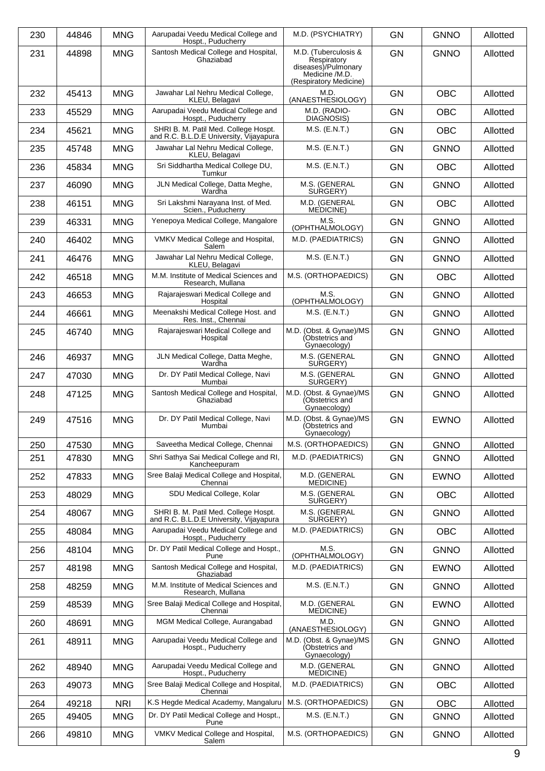| 230 | 44846 | <b>MNG</b> | Aarupadai Veedu Medical College and<br>Hospt., Puducherry                       | M.D. (PSYCHIATRY)                                          | <b>GN</b> | <b>GNNO</b> | Allotted |
|-----|-------|------------|---------------------------------------------------------------------------------|------------------------------------------------------------|-----------|-------------|----------|
| 231 | 44898 | <b>MNG</b> | Santosh Medical College and Hospital,<br>Ghaziabad                              | M.D. (Tuberculosis &<br>Respiratory<br>diseases)/Pulmonary | <b>GN</b> | <b>GNNO</b> | Allotted |
|     |       |            |                                                                                 | Medicine /M.D.<br>(Respiratory Medicine)                   |           |             |          |
| 232 | 45413 | <b>MNG</b> | Jawahar Lal Nehru Medical College,<br>KLEU, Belagavi                            | M.D.<br>(ANAESTHESIOLOGY)                                  | <b>GN</b> | <b>OBC</b>  | Allotted |
| 233 | 45529 | <b>MNG</b> | Aarupadai Veedu Medical College and<br>Hospt., Puducherry                       | M.D. (RADIO-<br>DIAGNOSIS)                                 | <b>GN</b> | <b>OBC</b>  | Allotted |
| 234 | 45621 | <b>MNG</b> | SHRI B. M. Patil Med. College Hospt.<br>and R.C. B.L.D.E University, Vijayapura | $M.S.$ (E.N.T.)                                            | GN        | <b>OBC</b>  | Allotted |
| 235 | 45748 | <b>MNG</b> | Jawahar Lal Nehru Medical College,<br>KLEU, Belagavi                            | $M.S.$ (E.N.T.)                                            | <b>GN</b> | <b>GNNO</b> | Allotted |
| 236 | 45834 | <b>MNG</b> | Sri Siddhartha Medical College DU,<br>Tumkur                                    | M.S. (E.N.T.)                                              | <b>GN</b> | <b>OBC</b>  | Allotted |
| 237 | 46090 | <b>MNG</b> | JLN Medical College, Datta Meghe,<br>Wardha                                     | M.S. (GENERAL<br>SURGERY)                                  | GN        | <b>GNNO</b> | Allotted |
| 238 | 46151 | <b>MNG</b> | Sri Lakshmi Narayana Inst. of Med.<br>Scien., Puducherry                        | M.D. (GENERAL<br><b>MEDICINE</b> )                         | <b>GN</b> | <b>OBC</b>  | Allotted |
| 239 | 46331 | <b>MNG</b> | Yenepoya Medical College, Mangalore                                             | M.S.<br>(OPHTHALMOLOGY)                                    | <b>GN</b> | <b>GNNO</b> | Allotted |
| 240 | 46402 | <b>MNG</b> | VMKV Medical College and Hospital,<br>Salem                                     | M.D. (PAEDIATRICS)                                         | <b>GN</b> | <b>GNNO</b> | Allotted |
| 241 | 46476 | <b>MNG</b> | Jawahar Lal Nehru Medical College,<br>KLEU, Belagavi                            | $M.S.$ (E.N.T.)                                            | <b>GN</b> | <b>GNNO</b> | Allotted |
| 242 | 46518 | <b>MNG</b> | M.M. Institute of Medical Sciences and<br>Research, Mullana                     | M.S. (ORTHOPAEDICS)                                        | <b>GN</b> | <b>OBC</b>  | Allotted |
| 243 | 46653 | <b>MNG</b> | Rajarajeswari Medical College and<br>Hospital                                   | M.S.<br>(OPHTHALMOLOGY)                                    | <b>GN</b> | <b>GNNO</b> | Allotted |
| 244 | 46661 | <b>MNG</b> | Meenakshi Medical College Host. and<br>Res. Inst., Chennai                      | $M.S.$ (E.N.T.)                                            | <b>GN</b> | <b>GNNO</b> | Allotted |
| 245 | 46740 | <b>MNG</b> | Rajarajeswari Medical College and<br>Hospital                                   | M.D. (Obst. & Gynae)/MS<br>(Obstetrics and<br>Gynaecology) | <b>GN</b> | <b>GNNO</b> | Allotted |
| 246 | 46937 | <b>MNG</b> | JLN Medical College, Datta Meghe,<br>Wardha                                     | M.S. (GENERAL<br>SURGERY)                                  | <b>GN</b> | <b>GNNO</b> | Allotted |
| 247 | 47030 | <b>MNG</b> | Dr. DY Patil Medical College, Navi<br>Mumbai                                    | M.S. (GENERAL<br>SURGERY)                                  | <b>GN</b> | <b>GNNO</b> | Allotted |
| 248 | 47125 | <b>MNG</b> | Santosh Medical College and Hospital,<br>Ghaziabad                              | M.D. (Obst. & Gynae)/MS<br>(Obstetrics and<br>Gynaecology) | <b>GN</b> | <b>GNNO</b> | Allotted |
| 249 | 47516 | <b>MNG</b> | Dr. DY Patil Medical College, Navi<br>Mumbai                                    | M.D. (Obst. & Gynae)/MS<br>(Obstetrics and<br>Gynaecology) | <b>GN</b> | <b>EWNO</b> | Allotted |
| 250 | 47530 | <b>MNG</b> | Saveetha Medical College, Chennai                                               | M.S. (ORTHOPAEDICS)                                        | GN        | <b>GNNO</b> | Allotted |
| 251 | 47830 | <b>MNG</b> | Shri Sathya Sai Medical College and RI,<br>Kancheepuram                         | M.D. (PAEDIATRICS)                                         | <b>GN</b> | <b>GNNO</b> | Allotted |
| 252 | 47833 | <b>MNG</b> | Sree Balaji Medical College and Hospital,<br>Chennai                            | M.D. (GENERAL<br><b>MEDICINE)</b>                          | <b>GN</b> | <b>EWNO</b> | Allotted |
| 253 | 48029 | <b>MNG</b> | SDU Medical College, Kolar                                                      | M.S. (GENERAL<br>SURGERY)                                  | <b>GN</b> | <b>OBC</b>  | Allotted |
| 254 | 48067 | <b>MNG</b> | SHRI B. M. Patil Med. College Hospt.<br>and R.C. B.L.D.E University, Vijayapura | M.S. (GENERAL<br>SURGERY)                                  | <b>GN</b> | <b>GNNO</b> | Allotted |
| 255 | 48084 | <b>MNG</b> | Aarupadai Veedu Medical College and<br>Hospt., Puducherry                       | M.D. (PAEDIATRICS)                                         | <b>GN</b> | <b>OBC</b>  | Allotted |
| 256 | 48104 | <b>MNG</b> | Dr. DY Patil Medical College and Hospt.,<br>Pune                                | M.S.<br>(OPHTHALMOLOGY)                                    | <b>GN</b> | <b>GNNO</b> | Allotted |
| 257 | 48198 | <b>MNG</b> | Santosh Medical College and Hospital,<br>Ghaziabad                              | M.D. (PAEDIATRICS)                                         | <b>GN</b> | <b>EWNO</b> | Allotted |
| 258 | 48259 | <b>MNG</b> | M.M. Institute of Medical Sciences and<br>Research, Mullana                     | M.S. (E.N.T.)                                              | <b>GN</b> | <b>GNNO</b> | Allotted |
| 259 | 48539 | <b>MNG</b> | Sree Balaji Medical College and Hospital,<br>Chennai                            | M.D. (GENERAL<br>MEDICINE)                                 | <b>GN</b> | <b>EWNO</b> | Allotted |
| 260 | 48691 | <b>MNG</b> | MGM Medical College, Aurangabad                                                 | M.D.<br>(ANAESTHESIOLOGY)                                  | <b>GN</b> | <b>GNNO</b> | Allotted |
| 261 | 48911 | <b>MNG</b> | Aarupadai Veedu Medical College and<br>Hospt., Puducherry                       | M.D. (Obst. & Gynae)/MS<br>(Obstetrics and<br>Gynaecology) | <b>GN</b> | <b>GNNO</b> | Allotted |
| 262 | 48940 | <b>MNG</b> | Aarupadai Veedu Medical College and<br>Hospt., Puducherry                       | M.D. (GENERAL<br><b>MEDICINE)</b>                          | <b>GN</b> | <b>GNNO</b> | Allotted |
| 263 | 49073 | <b>MNG</b> | Sree Balaji Medical College and Hospital,<br>Chennai                            | M.D. (PAEDIATRICS)                                         | <b>GN</b> | OBC         | Allotted |
| 264 | 49218 | <b>NRI</b> | K.S Hegde Medical Academy, Mangaluru                                            | M.S. (ORTHOPAEDICS)                                        | <b>GN</b> | <b>OBC</b>  | Allotted |
| 265 | 49405 | <b>MNG</b> | Dr. DY Patil Medical College and Hospt.,                                        | M.S. (E.N.T.)                                              | GN        | <b>GNNO</b> | Allotted |
| 266 | 49810 | <b>MNG</b> | Pune<br>VMKV Medical College and Hospital,<br>Salem                             | M.S. (ORTHOPAEDICS)                                        | GN        | <b>GNNO</b> | Allotted |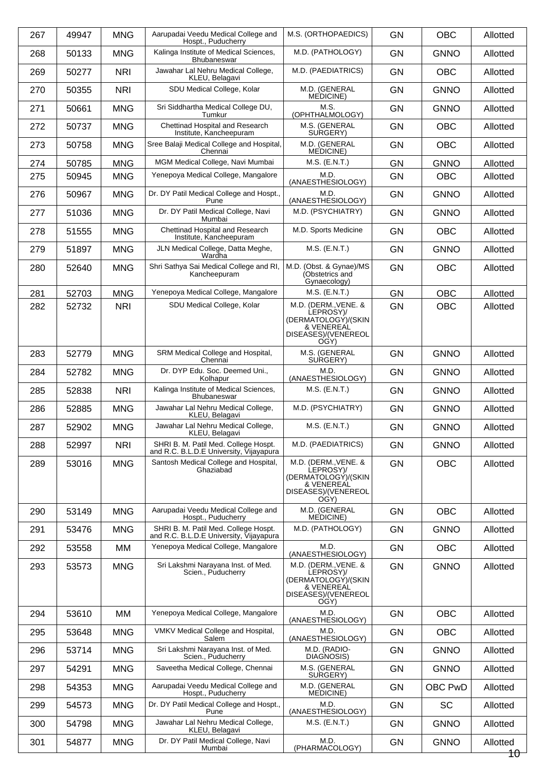| 267 | 49947 | <b>MNG</b> | Aarupadai Veedu Medical College and<br>Hospt., Puducherry                       | M.S. (ORTHOPAEDICS)                                                                                   | <b>GN</b> | <b>OBC</b>     | Allotted           |
|-----|-------|------------|---------------------------------------------------------------------------------|-------------------------------------------------------------------------------------------------------|-----------|----------------|--------------------|
| 268 | 50133 | <b>MNG</b> | Kalinga Institute of Medical Sciences,<br>Bhubaneswar                           | M.D. (PATHOLOGY)                                                                                      | <b>GN</b> | <b>GNNO</b>    | Allotted           |
| 269 | 50277 | <b>NRI</b> | Jawahar Lal Nehru Medical College,<br>KLEU, Belagavi                            | M.D. (PAEDIATRICS)                                                                                    | <b>GN</b> | <b>OBC</b>     | Allotted           |
| 270 | 50355 | <b>NRI</b> | SDU Medical College, Kolar                                                      | M.D. (GENERAL<br>MEDICINE)                                                                            | <b>GN</b> | <b>GNNO</b>    | Allotted           |
| 271 | 50661 | <b>MNG</b> | Sri Siddhartha Medical College DU,<br>Tumkur                                    | M.S.<br>(OPHTHALMOLOGY)                                                                               | <b>GN</b> | <b>GNNO</b>    | Allotted           |
| 272 | 50737 | <b>MNG</b> | Chettinad Hospital and Research<br>Institute, Kancheepuram                      | M.S. (GENERAL<br>SURGERY)                                                                             | <b>GN</b> | <b>OBC</b>     | Allotted           |
| 273 | 50758 | <b>MNG</b> | Sree Balaji Medical College and Hospital,<br>Chennai                            | M.D. (GENERAL<br>MEDICINE)                                                                            | <b>GN</b> | <b>OBC</b>     | Allotted           |
| 274 | 50785 | <b>MNG</b> | MGM Medical College, Navi Mumbai                                                | M.S. (E.N.T.)                                                                                         | <b>GN</b> | <b>GNNO</b>    | Allotted           |
| 275 | 50945 | <b>MNG</b> | Yenepoya Medical College, Mangalore                                             | M.D.<br>(ANAESTHESIOLOGY)                                                                             | <b>GN</b> | <b>OBC</b>     | Allotted           |
| 276 | 50967 | <b>MNG</b> | Dr. DY Patil Medical College and Hospt.,<br>Pune                                | M.D.<br>(ANAESTHESIOLOGY)                                                                             | <b>GN</b> | <b>GNNO</b>    | Allotted           |
| 277 | 51036 | <b>MNG</b> | Dr. DY Patil Medical College, Navi<br>Mumbai                                    | M.D. (PSYCHIATRY)                                                                                     | <b>GN</b> | <b>GNNO</b>    | Allotted           |
| 278 | 51555 | <b>MNG</b> | Chettinad Hospital and Research<br>Institute, Kancheepuram                      | M.D. Sports Medicine                                                                                  | <b>GN</b> | <b>OBC</b>     | Allotted           |
| 279 | 51897 | <b>MNG</b> | JLN Medical College, Datta Meghe,<br>Wardha                                     | $M.S.$ (E.N.T.)                                                                                       | <b>GN</b> | <b>GNNO</b>    | Allotted           |
| 280 | 52640 | <b>MNG</b> | Shri Sathya Sai Medical College and RI,<br>Kancheepuram                         | M.D. (Obst. & Gynae)/MS<br>(Obstetrics and<br>Gynaecology)                                            | <b>GN</b> | <b>OBC</b>     | Allotted           |
| 281 | 52703 | <b>MNG</b> | Yenepoya Medical College, Mangalore                                             | M.S. (E.N.T.)                                                                                         | <b>GN</b> | <b>OBC</b>     | Allotted           |
| 282 | 52732 | <b>NRI</b> | SDU Medical College, Kolar                                                      | M.D. (DERM., VENE. &<br>LEPROSY)/<br>(DERMATOLOGÝ)/(SKIN<br>& VENEREAL<br>DISEASES)/(VENEREOL<br>OGY) | <b>GN</b> | <b>OBC</b>     | Allotted           |
| 283 | 52779 | <b>MNG</b> | SRM Medical College and Hospital,<br>Chennai                                    | M.S. (GENERAL<br>SURGERY)                                                                             | <b>GN</b> | <b>GNNO</b>    | Allotted           |
| 284 | 52782 | <b>MNG</b> | Dr. DYP Edu. Soc. Deemed Uni.,<br>Kolhapur                                      | M.D.<br>(ANAESTHESIOLOGY)                                                                             | <b>GN</b> | <b>GNNO</b>    | Allotted           |
| 285 | 52838 | <b>NRI</b> | Kalinga Institute of Medical Sciences,<br>Bhubaneswar                           | $M.S.$ (E.N.T.)                                                                                       | <b>GN</b> | <b>GNNO</b>    | Allotted           |
| 286 | 52885 | <b>MNG</b> | Jawahar Lal Nehru Medical College,<br>KLEU, Belagavi                            | M.D. (PSYCHIATRY)                                                                                     | <b>GN</b> | <b>GNNO</b>    | Allotted           |
| 287 | 52902 | <b>MNG</b> | Jawahar Lal Nehru Medical College,<br>KLEU, Belagavi                            | M.S. (E.N.T.)                                                                                         | <b>GN</b> | <b>GNNO</b>    | Allotted           |
| 288 | 52997 | <b>NRI</b> | SHRI B. M. Patil Med. College Hospt.<br>and R.C. B.L.D.E University, Vijayapura | M.D. (PAEDIATRICS)                                                                                    | <b>GN</b> | <b>GNNO</b>    | Allotted           |
| 289 | 53016 | <b>MNG</b> | Santosh Medical College and Hospital,<br>Ghaziabad                              | M.D. (DERM., VENE. &<br>LEPROSY)/<br>(DERMATOLOGY)/(SKIN<br>& VENEREAL<br>DISEASES)/(VENEREOL<br>OGY) | <b>GN</b> | <b>OBC</b>     | Allotted           |
| 290 | 53149 | <b>MNG</b> | Aarupadai Veedu Medical College and<br>Hospt., Puducherry                       | M.D. (GENERAL<br><b>MEDICINE</b> )                                                                    | <b>GN</b> | <b>OBC</b>     | Allotted           |
| 291 | 53476 | <b>MNG</b> | SHRI B. M. Patil Med. College Hospt.<br>and R.C. B.L.D.E University, Vijayapura | M.D. (PATHOLOGY)                                                                                      | GN        | <b>GNNO</b>    | Allotted           |
| 292 | 53558 | MM         | Yenepoya Medical College, Mangalore                                             | M.D.<br>(ANAESTHESIOLOGY)                                                                             | <b>GN</b> | <b>OBC</b>     | Allotted           |
| 293 | 53573 | <b>MNG</b> | Sri Lakshmi Narayana Inst. of Med.<br>Scien., Puducherry                        | M.D. (DERM., VENE. &<br>LEPROSY)/<br>(DERMATOLOGY)/(SKIN<br>& VENEREAL<br>DISEASES)/(VENEREOL<br>OGY) | <b>GN</b> | <b>GNNO</b>    | Allotted           |
| 294 | 53610 | MM         | Yenepoya Medical College, Mangalore                                             | M.D.<br>(ANAESTHESIOLOGY)                                                                             | <b>GN</b> | <b>OBC</b>     | Allotted           |
| 295 | 53648 | <b>MNG</b> | VMKV Medical College and Hospital,<br>Salem                                     | M.D.<br>(ANAESTHESIOLOGY)                                                                             | <b>GN</b> | <b>OBC</b>     | Allotted           |
| 296 | 53714 | <b>MNG</b> | Sri Lakshmi Narayana Inst. of Med.<br>Scien., Puducherry                        | M.D. (RADIO-<br>DIAGNOSIS)                                                                            | GN        | <b>GNNO</b>    | Allotted           |
| 297 | 54291 | <b>MNG</b> | Saveetha Medical College, Chennai                                               | M.S. (GENERAL<br>SURGERY)                                                                             | <b>GN</b> | <b>GNNO</b>    | Allotted           |
| 298 | 54353 | <b>MNG</b> | Aarupadai Veedu Medical College and<br>Hospt., Puducherry                       | M.D. (GENERAL<br><b>MEDICINE</b> )                                                                    | <b>GN</b> | <b>OBC PwD</b> | Allotted           |
| 299 | 54573 | <b>MNG</b> | Dr. DY Patil Medical College and Hospt.,<br>Pune                                | M.D.<br>(ANAESTHESIOLOGY)                                                                             | <b>GN</b> | <b>SC</b>      | Allotted           |
| 300 | 54798 | <b>MNG</b> | Jawahar Lal Nehru Medical College,<br>KLEU, Belagavi                            | $M.S.$ (E.N.T.)                                                                                       | <b>GN</b> | <b>GNNO</b>    | Allotted           |
| 301 | 54877 | <b>MNG</b> | Dr. DY Patil Medical College, Navi<br>Mumbai                                    | M.D.<br>(PHARMACOLOGY)                                                                                | <b>GN</b> | <b>GNNO</b>    | Allotted<br>$10^-$ |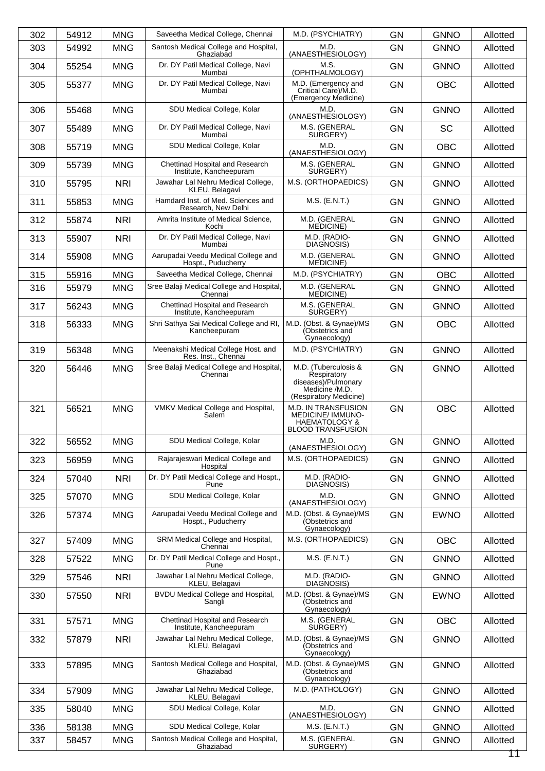| 302 | 54912 | <b>MNG</b> | Saveetha Medical College, Chennai                          | M.D. (PSYCHIATRY)                                                                                       | <b>GN</b> | <b>GNNO</b> | Allotted |
|-----|-------|------------|------------------------------------------------------------|---------------------------------------------------------------------------------------------------------|-----------|-------------|----------|
| 303 | 54992 | <b>MNG</b> | Santosh Medical College and Hospital,<br>Ghaziabad         | M.D.<br>(ANAESTHESIOLOGY)                                                                               | <b>GN</b> | <b>GNNO</b> | Allotted |
| 304 | 55254 | <b>MNG</b> | Dr. DY Patil Medical College, Navi<br>Mumbai               | M.S.<br>(OPHTHALMOLOGY)                                                                                 | <b>GN</b> | <b>GNNO</b> | Allotted |
| 305 | 55377 | <b>MNG</b> | Dr. DY Patil Medical College, Navi<br>Mumbai               | M.D. (Emergency and<br>Critical Care)/M.D.<br>(Emergency Medicine)                                      | <b>GN</b> | <b>OBC</b>  | Allotted |
| 306 | 55468 | <b>MNG</b> | SDU Medical College, Kolar                                 | M.D.<br>(ANAESTHESIOLOGY)                                                                               | <b>GN</b> | <b>GNNO</b> | Allotted |
| 307 | 55489 | <b>MNG</b> | Dr. DY Patil Medical College, Navi<br>Mumbai               | M.S. (GENERAL<br>SURGERY)                                                                               | <b>GN</b> | <b>SC</b>   | Allotted |
| 308 | 55719 | <b>MNG</b> | SDU Medical College, Kolar                                 | M.D.<br>(ANAESTHESIOLOGY)                                                                               | <b>GN</b> | <b>OBC</b>  | Allotted |
| 309 | 55739 | <b>MNG</b> | Chettinad Hospital and Research<br>Institute, Kancheepuram | M.S. (GENERAL<br>SURGERY)                                                                               | <b>GN</b> | <b>GNNO</b> | Allotted |
| 310 | 55795 | <b>NRI</b> | Jawahar Lal Nehru Medical College,<br>KLEU, Belagavi       | M.S. (ORTHOPAEDICS)                                                                                     | <b>GN</b> | <b>GNNO</b> | Allotted |
| 311 | 55853 | <b>MNG</b> | Hamdard Inst. of Med. Sciences and<br>Research, New Delhi  | M.S. (E.N.T.)                                                                                           | <b>GN</b> | <b>GNNO</b> | Allotted |
| 312 | 55874 | <b>NRI</b> | Amrita Institute of Medical Science,<br>Kochi              | M.D. (GENERAL<br>MEDICINE)                                                                              | <b>GN</b> | <b>GNNO</b> | Allotted |
| 313 | 55907 | <b>NRI</b> | Dr. DY Patil Medical College, Navi<br>Mumbai               | M.D. (RADIO-<br>DIAGNOSIS)                                                                              | <b>GN</b> | <b>GNNO</b> | Allotted |
| 314 | 55908 | <b>MNG</b> | Aarupadai Veedu Medical College and<br>Hospt., Puducherry  | M.D. (GENERAL<br><b>MEDICINE)</b>                                                                       | <b>GN</b> | <b>GNNO</b> | Allotted |
| 315 | 55916 | <b>MNG</b> | Saveetha Medical College, Chennai                          | M.D. (PSYCHIATRY)                                                                                       | <b>GN</b> | <b>OBC</b>  | Allotted |
| 316 | 55979 | <b>MNG</b> | Sree Balaji Medical College and Hospital,<br>Chennai       | M.D. (GENERAL<br>MEDICINE)                                                                              | <b>GN</b> | <b>GNNO</b> | Allotted |
| 317 | 56243 | <b>MNG</b> | Chettinad Hospital and Research<br>Institute, Kancheepuram | M.S. (GENERAL<br>SURGERY)                                                                               | GN        | <b>GNNO</b> | Allotted |
| 318 | 56333 | <b>MNG</b> | Shri Sathya Sai Medical College and RI,<br>Kancheepuram    | M.D. (Obst. & Gynae)/MS<br>(Obstetrics and<br>Gynaecology)                                              | <b>GN</b> | <b>OBC</b>  | Allotted |
| 319 | 56348 | <b>MNG</b> | Meenakshi Medical College Host. and<br>Res. Inst., Chennai | M.D. (PSYCHIATRY)                                                                                       | <b>GN</b> | <b>GNNO</b> | Allotted |
| 320 | 56446 | <b>MNG</b> | Sree Balaji Medical College and Hospital,<br>Chennai       | M.D. (Tuberculosis &<br>Respiratory<br>diseases)/Pulmonary<br>Medicine /M.D.<br>(Respiratory Medicine)  | <b>GN</b> | <b>GNNO</b> | Allotted |
| 321 | 56521 | <b>MNG</b> | VMKV Medical College and Hospital,<br>Salem                | M.D. IN TRANSFUSION<br><b>MEDICINE/ IMMUNO-</b><br><b>HAEMATOLOGY &amp;</b><br><b>BLOOD TRANSFUSION</b> | <b>GN</b> | <b>OBC</b>  | Allotted |
| 322 | 56552 | <b>MNG</b> | SDU Medical College, Kolar                                 | M.D.<br>(ANAESTHESIOLOGY)                                                                               | GN        | <b>GNNO</b> | Allotted |
| 323 | 56959 | <b>MNG</b> | Rajarajeswari Medical College and<br>Hospital              | M.S. (ORTHOPAEDICS)                                                                                     | GN        | <b>GNNO</b> | Allotted |
| 324 | 57040 | <b>NRI</b> | Dr. DY Patil Medical College and Hospt.,<br>Pune           | M.D. (RADIO-<br>DIAGNOSIS)                                                                              | <b>GN</b> | <b>GNNO</b> | Allotted |
| 325 | 57070 | <b>MNG</b> | SDU Medical College, Kolar                                 | M.D.<br>(ANAESTHESIOLOGY)                                                                               | <b>GN</b> | <b>GNNO</b> | Allotted |
| 326 | 57374 | <b>MNG</b> | Aarupadai Veedu Medical College and<br>Hospt., Puducherry  | M.D. (Obst. & Gynae)/MS<br>(Obstetrics and<br>Gynaecology)                                              | GN        | <b>EWNO</b> | Allotted |
| 327 | 57409 | <b>MNG</b> | SRM Medical College and Hospital,<br>Chennai               | M.S. (ORTHOPAEDICS)                                                                                     | <b>GN</b> | <b>OBC</b>  | Allotted |
| 328 | 57522 | <b>MNG</b> | Dr. DY Patil Medical College and Hospt.,<br>Pune           | $M.S.$ (E.N.T.)                                                                                         | GN        | <b>GNNO</b> | Allotted |
| 329 | 57546 | <b>NRI</b> | Jawahar Lal Nehru Medical College,<br>KLEU, Belagavi       | M.D. (RADIO-<br>DIAGNOSIS)                                                                              | <b>GN</b> | <b>GNNO</b> | Allotted |
| 330 | 57550 | <b>NRI</b> | BVDU Medical College and Hospital,<br>Sangli               | M.D. (Obst. & Gynae)/MS<br>(Obstetrics and<br>Gynaecology)                                              | <b>GN</b> | <b>EWNO</b> | Allotted |
| 331 | 57571 | <b>MNG</b> | Chettinad Hospital and Research<br>Institute, Kancheepuram | M.S. (GENERAL<br>SURGERY)                                                                               | GN        | <b>OBC</b>  | Allotted |
| 332 | 57879 | <b>NRI</b> | Jawahar Lal Nehru Medical College,<br>KLEU, Belagavi       | M.D. (Obst. & Gynae)/MS<br>(Obstetrics and<br>Gynaecology)                                              | GN        | <b>GNNO</b> | Allotted |
| 333 | 57895 | <b>MNG</b> | Santosh Medical College and Hospital,<br>Ghaziabad         | M.D. (Obst. & Gynae)/MS<br>(Obstetrics and<br>Gynaecology)                                              | <b>GN</b> | <b>GNNO</b> | Allotted |
| 334 | 57909 | <b>MNG</b> | Jawahar Lal Nehru Medical College,<br>KLEU, Belagavi       | M.D. (PATHOLOGY)                                                                                        | <b>GN</b> | <b>GNNO</b> | Allotted |
| 335 | 58040 | <b>MNG</b> | SDU Medical College, Kolar                                 | M.D.<br>(ANAESTHESIOLOGY)                                                                               | <b>GN</b> | <b>GNNO</b> | Allotted |
| 336 | 58138 | <b>MNG</b> | SDU Medical College, Kolar                                 | M.S. (E.N.T.)                                                                                           | <b>GN</b> | <b>GNNO</b> | Allotted |
| 337 | 58457 | <b>MNG</b> | Santosh Medical College and Hospital,<br>Ghaziabad         | M.S. (GENERAL<br>SURGERY)                                                                               | <b>GN</b> | <b>GNNO</b> | Allotted |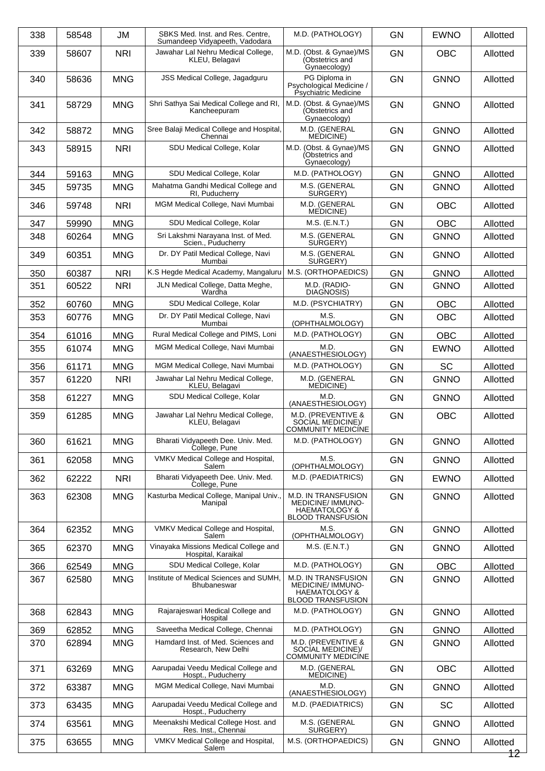| 338 | 58548 | JM         | SBKS Med. Inst. and Res. Centre,<br>Sumandeep Vidyapeeth, Vadodara | M.D. (PATHOLOGY)                                                                                        | <b>GN</b> | <b>EWNO</b> | Allotted       |
|-----|-------|------------|--------------------------------------------------------------------|---------------------------------------------------------------------------------------------------------|-----------|-------------|----------------|
| 339 | 58607 | <b>NRI</b> | Jawahar Lal Nehru Medical College,<br>KLEU, Belagavi               | M.D. (Obst. & Gynae)/MS<br>(Obstetrics and<br>Gynaecology)                                              | <b>GN</b> | <b>OBC</b>  | Allotted       |
| 340 | 58636 | <b>MNG</b> | JSS Medical College, Jagadguru                                     | PG Diploma in<br>Psychological Medicine /<br>Psychiatric Medicine                                       | <b>GN</b> | <b>GNNO</b> | Allotted       |
| 341 | 58729 | <b>MNG</b> | Shri Sathya Sai Medical College and RI,<br>Kancheepuram            | M.D. (Obst. & Gynae)/MS<br>(Obstetrics and<br>Gynaecology)                                              | GN        | <b>GNNO</b> | Allotted       |
| 342 | 58872 | <b>MNG</b> | Sree Balaji Medical College and Hospital,<br>Chennai               | M.D. (GENERAL<br><b>MEDICINE</b>                                                                        | <b>GN</b> | <b>GNNO</b> | Allotted       |
| 343 | 58915 | <b>NRI</b> | SDU Medical College, Kolar                                         | M.D. (Obst. & Gynae)/MS<br>(Obstetrics and<br>Gynaecology)                                              | <b>GN</b> | <b>GNNO</b> | Allotted       |
| 344 | 59163 | <b>MNG</b> | SDU Medical College, Kolar                                         | M.D. (PATHOLOGY)                                                                                        | <b>GN</b> | <b>GNNO</b> | Allotted       |
| 345 | 59735 | <b>MNG</b> | Mahatma Gandhi Medical College and<br>RI, Puducherry               | M.S. (GENERAL<br>SURGERY)                                                                               | <b>GN</b> | <b>GNNO</b> | Allotted       |
| 346 | 59748 | <b>NRI</b> | MGM Medical College, Navi Mumbai                                   | M.D. (GENERAL<br><b>MEDICINE</b> )                                                                      | <b>GN</b> | <b>OBC</b>  | Allotted       |
| 347 | 59990 | <b>MNG</b> | SDU Medical College, Kolar                                         | M.S. (E.N.T.)                                                                                           | <b>GN</b> | <b>OBC</b>  | Allotted       |
| 348 | 60264 | <b>MNG</b> | Sri Lakshmi Narayana Inst. of Med.<br>Scien., Puducherry           | M.S. (GENERAL<br>SURGERY)                                                                               | <b>GN</b> | <b>GNNO</b> | Allotted       |
| 349 | 60351 | <b>MNG</b> | Dr. DY Patil Medical College, Navi<br>Mumbai                       | M.S. (GENERAL<br>SURGERY)                                                                               | <b>GN</b> | <b>GNNO</b> | Allotted       |
| 350 | 60387 | <b>NRI</b> | K.S Hegde Medical Academy, Mangaluru                               | M.S. (ORTHOPAEDICS)                                                                                     | <b>GN</b> | <b>GNNO</b> | Allotted       |
| 351 | 60522 | <b>NRI</b> | JLN Medical College, Datta Meghe,<br>Wardha                        | M.D. (RADIO-<br>DIAGNOSIS)                                                                              | <b>GN</b> | <b>GNNO</b> | Allotted       |
| 352 | 60760 | <b>MNG</b> | SDU Medical College, Kolar                                         | M.D. (PSYCHIATRY)                                                                                       | <b>GN</b> | <b>OBC</b>  | Allotted       |
| 353 | 60776 | <b>MNG</b> | Dr. DY Patil Medical College, Navi<br>Mumbai                       | M.S.<br>(OPHTHALMOLOGY)                                                                                 | <b>GN</b> | <b>OBC</b>  | Allotted       |
| 354 | 61016 | <b>MNG</b> | Rural Medical College and PIMS, Loni                               | M.D. (PATHOLOGY)                                                                                        | <b>GN</b> | OBC         | Allotted       |
| 355 | 61074 | <b>MNG</b> | MGM Medical College, Navi Mumbai                                   | M.D.<br>(ANAESTHESIOLOGY)                                                                               | <b>GN</b> | <b>EWNO</b> | Allotted       |
| 356 | 61171 | <b>MNG</b> | MGM Medical College, Navi Mumbai                                   | M.D. (PATHOLOGY)                                                                                        | <b>GN</b> | <b>SC</b>   | Allotted       |
| 357 | 61220 | <b>NRI</b> | Jawahar Lal Nehru Medical College,                                 | M.D. (GENERAL                                                                                           | <b>GN</b> | <b>GNNO</b> | Allotted       |
|     |       | <b>MNG</b> | KLEU, Belagavi<br>SDU Medical College, Kolar                       | MEDICINE)<br>M.D.                                                                                       | <b>GN</b> | <b>GNNO</b> |                |
| 358 | 61227 |            |                                                                    | (ANAESTHESIOLOGY)                                                                                       |           |             | Allotted       |
| 359 | 61285 | <b>MNG</b> | Jawahar Lal Nehru Medical College,<br>KLEU, Belagavi               | M.D. (PREVENTIVE &<br>SOCIAL MEDICINE)/<br><b>COMMUNITY MEDICÍNE</b>                                    | <b>GN</b> | <b>OBC</b>  | Allotted       |
| 360 | 61621 | <b>MNG</b> | Bharati Vidyapeeth Dee. Univ. Med.<br>College, Pune                | M.D. (PATHOLOGY)                                                                                        | <b>GN</b> | <b>GNNO</b> | Allotted       |
| 361 | 62058 | <b>MNG</b> | VMKV Medical College and Hospital,<br>Salem                        | M.S.<br>(OPHTHALMOLOGY)                                                                                 | <b>GN</b> | <b>GNNO</b> | Allotted       |
| 362 | 62222 | <b>NRI</b> | Bharati Vidyapeeth Dee. Univ. Med.<br>College, Pune                | M.D. (PAEDIATRICS)                                                                                      | <b>GN</b> | <b>EWNO</b> | Allotted       |
| 363 | 62308 | <b>MNG</b> | Kasturba Medical College, Manipal Univ.,<br>Manipal                | <b>M.D. IN TRANSFUSION</b><br>MEDICINE/ IMMUNO-<br><b>HAEMATOLOGY &amp;</b><br><b>BLOOD TRANSFUSION</b> | GN        | <b>GNNO</b> | Allotted       |
| 364 | 62352 | <b>MNG</b> | VMKV Medical College and Hospital,<br>Salem                        | M.S.<br>(OPHTHALMOLOGY)                                                                                 | <b>GN</b> | <b>GNNO</b> | Allotted       |
| 365 | 62370 | <b>MNG</b> | Vinayaka Missions Medical College and<br>Hospital, Karaikal        | M.S. (E.N.T.)                                                                                           | <b>GN</b> | <b>GNNO</b> | Allotted       |
| 366 | 62549 | <b>MNG</b> | SDU Medical College, Kolar                                         | M.D. (PATHOLOGY)                                                                                        | GN        | <b>OBC</b>  | Allotted       |
| 367 | 62580 | <b>MNG</b> | Institute of Medical Sciences and SUMH,<br>Bhubaneswar             | M.D. IN TRANSFUSION<br><b>MEDICINE/ IMMUNO-</b><br><b>HAEMATOLOGY &amp;</b><br><b>BLOOD TRANSFUSION</b> | <b>GN</b> | <b>GNNO</b> | Allotted       |
| 368 | 62843 | <b>MNG</b> | Rajarajeswari Medical College and<br>Hospital                      | M.D. (PATHOLOGY)                                                                                        | <b>GN</b> | <b>GNNO</b> | Allotted       |
| 369 | 62852 | <b>MNG</b> | Saveetha Medical College, Chennai                                  | M.D. (PATHOLOGY)                                                                                        | GN        | <b>GNNO</b> | Allotted       |
| 370 | 62894 | <b>MNG</b> | Hamdard Inst. of Med. Sciences and<br>Research, New Delhi          | M.D. (PREVENTIVE &<br>SOCIAL MEDICINE)/<br><b>COMMUNITY MEDICINE</b>                                    | <b>GN</b> | <b>GNNO</b> | Allotted       |
| 371 | 63269 | <b>MNG</b> | Aarupadai Veedu Medical College and<br>Hospt., Puducherry          | M.D. (GENERAL<br>MEDICINE)                                                                              | <b>GN</b> | <b>OBC</b>  | Allotted       |
| 372 | 63387 | <b>MNG</b> | MGM Medical College, Navi Mumbai                                   | M.D.<br>(ANAESTHESIOLOGY)                                                                               | <b>GN</b> | <b>GNNO</b> | Allotted       |
| 373 | 63435 | <b>MNG</b> | Aarupadai Veedu Medical College and<br>Hospt., Puducherry          | M.D. (PAEDIATRICS)                                                                                      | GN        | <b>SC</b>   | Allotted       |
| 374 | 63561 | <b>MNG</b> | Meenakshi Medical College Host. and<br>Res. Inst., Chennai         | M.S. (GENERAL<br>SURGERY)                                                                               | <b>GN</b> | <b>GNNO</b> | Allotted       |
| 375 | 63655 | <b>MNG</b> | VMKV Medical College and Hospital,<br>Salem                        | M.S. (ORTHOPAEDICS)                                                                                     | <b>GN</b> | <b>GNNO</b> | Allotted<br>12 |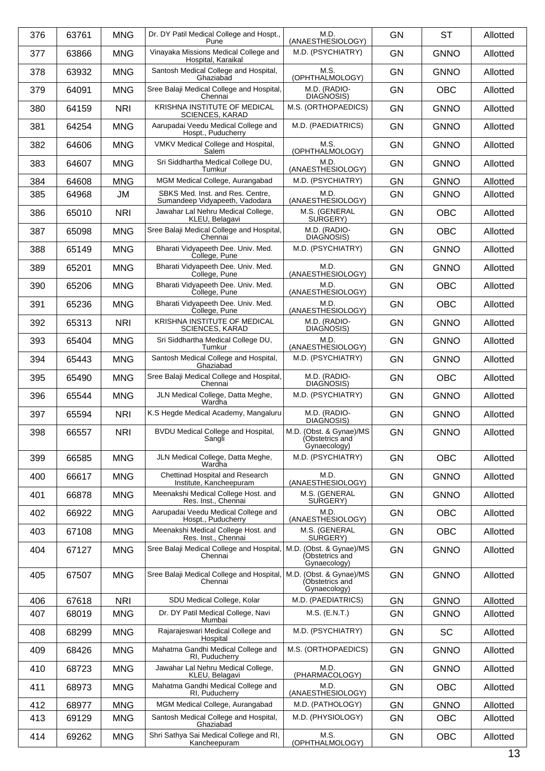| 376 | 63761 | <b>MNG</b> | Dr. DY Patil Medical College and Hospt.,<br>Pune                     | M.D.<br>(ANAESTHESIOLOGY)                                  | <b>GN</b> | <b>ST</b>   | Allotted |
|-----|-------|------------|----------------------------------------------------------------------|------------------------------------------------------------|-----------|-------------|----------|
| 377 | 63866 | <b>MNG</b> | Vinayaka Missions Medical College and<br>Hospital, Karaikal          | M.D. (PSYCHIATRY)                                          | <b>GN</b> | <b>GNNO</b> | Allotted |
| 378 | 63932 | <b>MNG</b> | Santosh Medical College and Hospital,<br>Ghaziabad                   | M.S.<br>(OPHTHALMOLOGY)                                    | <b>GN</b> | <b>GNNO</b> | Allotted |
| 379 | 64091 | <b>MNG</b> | Sree Balaji Medical College and Hospital,<br>Chennai                 | M.D. (RADIO-<br>DIAGNOSIS)                                 | <b>GN</b> | <b>OBC</b>  | Allotted |
| 380 | 64159 | <b>NRI</b> | KRISHNA INSTITUTE OF MEDICAL<br><b>SCIENCES, KARAD</b>               | M.S. (ORTHOPAEDICS)                                        | <b>GN</b> | <b>GNNO</b> | Allotted |
| 381 | 64254 | <b>MNG</b> | Aarupadai Veedu Medical College and<br>Hospt., Puducherry            | M.D. (PAEDIATRICS)                                         | <b>GN</b> | <b>GNNO</b> | Allotted |
| 382 | 64606 | <b>MNG</b> | VMKV Medical College and Hospital,<br>Salem                          | M.S.<br>(OPHTHALMOLOGY)                                    | <b>GN</b> | <b>GNNO</b> | Allotted |
| 383 | 64607 | <b>MNG</b> | Sri Siddhartha Medical College DU,<br>Tumkur                         | M.D.<br>(ANAESTHESIOLOGY)                                  | <b>GN</b> | <b>GNNO</b> | Allotted |
| 384 | 64608 | <b>MNG</b> | MGM Medical College, Aurangabad                                      | M.D. (PSYCHIATRY)                                          | <b>GN</b> | <b>GNNO</b> | Allotted |
| 385 | 64968 | JM         | SBKS Med. Inst. and Res. Centre,<br>Sumandeep Vidyapeeth, Vadodara   | M.D.<br>(ANAESTHESIOLOGY)                                  | <b>GN</b> | <b>GNNO</b> | Allotted |
| 386 | 65010 | <b>NRI</b> | Jawahar Lal Nehru Medical College,<br>KLEU, Belagavi                 | M.S. (GENERAL<br>SURGERY)                                  | <b>GN</b> | <b>OBC</b>  | Allotted |
| 387 | 65098 | <b>MNG</b> | Sree Balaji Medical College and Hospital,<br>Chennai                 | M.D. (RADIO-<br>DIAGNOSIS)                                 | <b>GN</b> | <b>OBC</b>  | Allotted |
| 388 | 65149 | <b>MNG</b> | Bharati Vidyapeeth Dee. Univ. Med.<br>College, Pune                  | M.D. (PSYCHIATRY)                                          | <b>GN</b> | <b>GNNO</b> | Allotted |
| 389 | 65201 | <b>MNG</b> | Bharati Vidyapeeth Dee. Univ. Med.<br>College, Pune                  | M.D.<br>(ANAESTHESIOLOGY)                                  | <b>GN</b> | <b>GNNO</b> | Allotted |
| 390 | 65206 | <b>MNG</b> | Bharati Vidyapeeth Dee. Univ. Med.<br>College, Pune                  | M.D.<br>(ANAESTHESIOLOGY)                                  | GN        | <b>OBC</b>  | Allotted |
| 391 | 65236 | <b>MNG</b> | Bharati Vidyapeeth Dee. Univ. Med.<br>College, Pune                  | M.D.<br>(ANAESTHESIOLOGY)                                  | <b>GN</b> | <b>OBC</b>  | Allotted |
| 392 | 65313 | <b>NRI</b> | KRISHNA INSTITUTE OF MEDICAL<br><b>SCIENCES, KARAD</b>               | M.D. (RADIO-<br>DIAGNOSIS)                                 | <b>GN</b> | <b>GNNO</b> | Allotted |
| 393 | 65404 | <b>MNG</b> | Sri Siddhartha Medical College DU,<br>Tumkur                         | M.D.<br>(ANAESTHESIOLOGY)                                  | <b>GN</b> | <b>GNNO</b> | Allotted |
| 394 | 65443 | <b>MNG</b> | Santosh Medical College and Hospital,<br>Ghaziabad                   | M.D. (PSYCHIATRY)                                          | <b>GN</b> | <b>GNNO</b> | Allotted |
| 395 | 65490 | <b>MNG</b> | Sree Balaji Medical College and Hospital,<br>Chennai                 | M.D. (RADIO-<br>DIAGNOSIS)                                 | <b>GN</b> | <b>OBC</b>  | Allotted |
| 396 | 65544 | <b>MNG</b> | JLN Medical College, Datta Meghe,<br>Wardha                          | M.D. (PSYCHIATRY)                                          | <b>GN</b> | <b>GNNO</b> | Allotted |
| 397 | 65594 | <b>NRI</b> | K.S Hegde Medical Academy, Mangaluru                                 | M.D. (RADIO-<br>DIAGNOSIS)                                 | <b>GN</b> | <b>GNNO</b> | Allotted |
| 398 | 66557 | <b>NRI</b> | <b>BVDU Medical College and Hospital,</b><br>Sangli                  | M.D. (Obst. & Gynae)/MS<br>(Obstetrics and<br>Gynaecology) | GN        | <b>GNNO</b> | Allotted |
| 399 | 66585 | <b>MNG</b> | JLN Medical College, Datta Meghe,<br>Wardha                          | M.D. (PSYCHIATRY)                                          | <b>GN</b> | <b>OBC</b>  | Allotted |
| 400 | 66617 | <b>MNG</b> | Chettinad Hospital and Research<br>Institute, Kancheepuram           | M.D.<br>(ANAESTHESIOLOGY)                                  | <b>GN</b> | <b>GNNO</b> | Allotted |
| 401 | 66878 | <b>MNG</b> | Meenakshi Medical College Host. and<br>Res. Inst., Chennai           | M.S. (GENERAL<br>SURGERY)                                  | <b>GN</b> | <b>GNNO</b> | Allotted |
| 402 | 66922 | <b>MNG</b> | Aarupadai Veedu Medical College and<br>Hospt., Puducherry            | M.D.<br>(ANAESTHESIOLOGY)                                  | <b>GN</b> | <b>OBC</b>  | Allotted |
| 403 | 67108 | <b>MNG</b> | Meenakshi Medical College Host. and<br>Res. Inst., Chennai           | M.S. (GENERAL<br>SURGERY)                                  | <b>GN</b> | <b>OBC</b>  | Allotted |
| 404 | 67127 | <b>MNG</b> | Sree Balaji Medical College and Hospital,<br>Chennai                 | M.D. (Obst. & Gynae)/MS<br>(Obstetrics and<br>Gynaecology) | <b>GN</b> | <b>GNNO</b> | Allotted |
| 405 | 67507 | <b>MNG</b> | Sree Balaji Medical College and Hospital,<br>Chennai                 | M.D. (Obst. & Gynae)/MS<br>(Obstetrics and<br>Gynaecology) | <b>GN</b> | <b>GNNO</b> | Allotted |
| 406 | 67618 | <b>NRI</b> | SDU Medical College, Kolar                                           | M.D. (PAEDIATRICS)                                         | GN        | <b>GNNO</b> | Allotted |
| 407 | 68019 | <b>MNG</b> | Dr. DY Patil Medical College, Navi<br>Mumbai                         | $M.S.$ (E.N.T.)                                            | <b>GN</b> | <b>GNNO</b> | Allotted |
| 408 | 68299 | <b>MNG</b> | Rajarajeswari Medical College and<br>Hospital                        | M.D. (PSYCHIATRY)                                          | <b>GN</b> | <b>SC</b>   | Allotted |
| 409 | 68426 | <b>MNG</b> | Mahatma Gandhi Medical College and<br>RI, Puducherry                 | M.S. (ORTHOPAEDICS)                                        | <b>GN</b> | <b>GNNO</b> | Allotted |
| 410 | 68723 | <b>MNG</b> | Jawahar Lal Nehru Medical College,<br>KLEU, Belagavi                 | M.D.<br>(PHARMACOLOGY)                                     | GN        | <b>GNNO</b> | Allotted |
| 411 | 68973 | <b>MNG</b> | Mahatma Gandhi Medical College and<br>RI, Puducherry                 | M.D.<br>(ANAESTHESIOLOGY)                                  | <b>GN</b> | OBC         | Allotted |
| 412 | 68977 | <b>MNG</b> | MGM Medical College, Aurangabad                                      | M.D. (PATHOLOGY)                                           | GN        | <b>GNNO</b> | Allotted |
| 413 | 69129 | <b>MNG</b> | Santosh Medical College and Hospital,                                | M.D. (PHYSIOLOGY)                                          | GN        | <b>OBC</b>  | Allotted |
| 414 | 69262 | <b>MNG</b> | Ghaziabad<br>Shri Sathya Sai Medical College and RI,<br>Kancheepuram | M.S.<br>(OPHTHALMOLOGY)                                    | <b>GN</b> | OBC         | Allotted |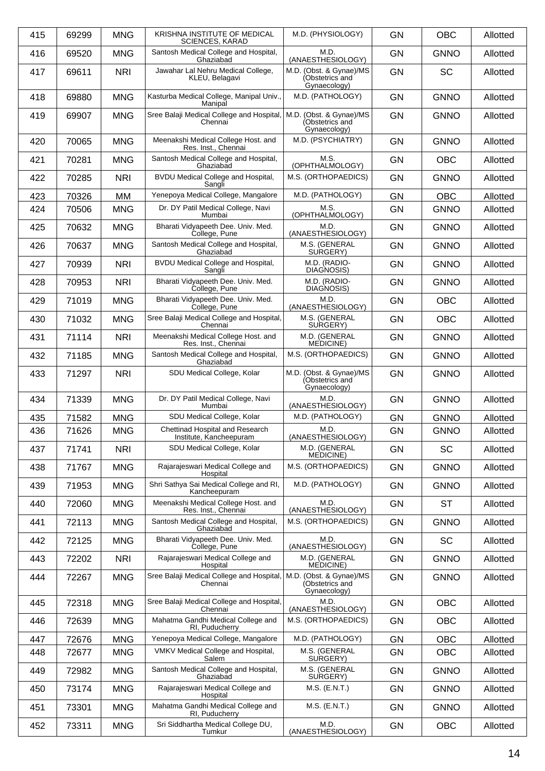| 415 | 69299 | <b>MNG</b> | KRISHNA INSTITUTE OF MEDICAL<br><b>SCIENCES, KARAD</b>     | M.D. (PHYSIOLOGY)                                          | <b>GN</b> | <b>OBC</b>  | Allotted |
|-----|-------|------------|------------------------------------------------------------|------------------------------------------------------------|-----------|-------------|----------|
| 416 | 69520 | <b>MNG</b> | Santosh Medical College and Hospital,<br>Ghaziabad         | M.D.<br>(ANAESTHESIOLOGY)                                  | <b>GN</b> | <b>GNNO</b> | Allotted |
| 417 | 69611 | <b>NRI</b> | Jawahar Lal Nehru Medical College,<br>KLEU, Belagavi       | M.D. (Obst. & Gynae)/MS<br>(Obstetrics and<br>Gynaecology) | <b>GN</b> | <b>SC</b>   | Allotted |
| 418 | 69880 | <b>MNG</b> | Kasturba Medical College, Manipal Univ.,<br>Manipal        | M.D. (PATHOLOGY)                                           | <b>GN</b> | <b>GNNO</b> | Allotted |
| 419 | 69907 | <b>MNG</b> | Sree Balaji Medical College and Hospital,<br>Chennai       | M.D. (Obst. & Gynae)/MS<br>(Obstetrics and<br>Gynaecology) | <b>GN</b> | <b>GNNO</b> | Allotted |
| 420 | 70065 | <b>MNG</b> | Meenakshi Medical College Host. and<br>Res. Inst., Chennai | M.D. (PSYCHIATRY)                                          | <b>GN</b> | <b>GNNO</b> | Allotted |
| 421 | 70281 | <b>MNG</b> | Santosh Medical College and Hospital,<br>Ghaziabad         | M.S.<br>(OPHTHALMOLOGY)                                    | <b>GN</b> | <b>OBC</b>  | Allotted |
| 422 | 70285 | <b>NRI</b> | BVDU Medical College and Hospital,<br>Sangli               | M.S. (ORTHOPAEDICS)                                        | <b>GN</b> | <b>GNNO</b> | Allotted |
| 423 | 70326 | MМ         | Yenepoya Medical College, Mangalore                        | M.D. (PATHOLOGY)                                           | <b>GN</b> | <b>OBC</b>  | Allotted |
| 424 | 70506 | <b>MNG</b> | Dr. DY Patil Medical College, Navi<br>Mumbai               | M.S.<br>(OPHTHALMOLOGY)                                    | GN        | <b>GNNO</b> | Allotted |
| 425 | 70632 | <b>MNG</b> | Bharati Vidyapeeth Dee. Univ. Med.<br>College, Pune        | M.D.<br>(ANAESTHESIOLOGY)                                  | GN        | <b>GNNO</b> | Allotted |
| 426 | 70637 | <b>MNG</b> | Santosh Medical College and Hospital,<br>Ghaziabad         | M.S. (GENERAL<br>SURGERY)                                  | <b>GN</b> | <b>GNNO</b> | Allotted |
| 427 | 70939 | <b>NRI</b> | <b>BVDU Medical College and Hospital,</b><br>Sangli        | M.D. (RADIO-<br>DIAGNOSIS)                                 | <b>GN</b> | <b>GNNO</b> | Allotted |
| 428 | 70953 | <b>NRI</b> | Bharati Vidyapeeth Dee. Univ. Med.<br>College, Pune        | M.D. (RADIO-<br>DIAGNOSIS)                                 | GN        | <b>GNNO</b> | Allotted |
| 429 | 71019 | <b>MNG</b> | Bharati Vidyapeeth Dee. Univ. Med.<br>College, Pune        | M.D.<br>(ANAESTHESIOLOGY)                                  | <b>GN</b> | <b>OBC</b>  | Allotted |
| 430 | 71032 | <b>MNG</b> | Sree Balaji Medical College and Hospital,<br>Chennai       | M.S. (GENERAL<br>SURGERY)                                  | GN        | <b>OBC</b>  | Allotted |
| 431 | 71114 | <b>NRI</b> | Meenakshi Medical College Host. and<br>Res. Inst., Chennai | M.D. (GENERAL<br>MEDICINE)                                 | GN        | <b>GNNO</b> | Allotted |
| 432 | 71185 | <b>MNG</b> | Santosh Medical College and Hospital,<br>Ghaziabad         | M.S. (ORTHOPAEDICS)                                        | <b>GN</b> | <b>GNNO</b> | Allotted |
| 433 | 71297 | <b>NRI</b> | SDU Medical College, Kolar                                 | M.D. (Obst. & Gynae)/MS<br>(Obstetrics and<br>Gynaecology) | GN        | <b>GNNO</b> | Allotted |
| 434 | 71339 | <b>MNG</b> | Dr. DY Patil Medical College, Navi<br>Mumbai               | M.D.<br>(ANAESTHESIOLOGY)                                  | <b>GN</b> | <b>GNNO</b> | Allotted |
| 435 | 71582 | <b>MNG</b> | SDU Medical College, Kolar                                 | M.D. (PATHOLOGY)                                           | GN        | <b>GNNO</b> | Allotted |
| 436 | 71626 | <b>MNG</b> | Chettinad Hospital and Research<br>institute, Kancheepuram | M.D.<br>(ANAESTHESIOLOGY)                                  | <b>GN</b> | <b>GNNO</b> | Allotted |
| 437 | 71741 | <b>NRI</b> | SDU Medical College, Kolar                                 | M.D. (GENERAL<br><b>MEDICINE)</b>                          | <b>GN</b> | <b>SC</b>   | Allotted |
| 438 | 71767 | <b>MNG</b> | Rajarajeswari Medical College and<br>Hospital              | M.S. (ORTHOPAEDICS)                                        | GN        | <b>GNNO</b> | Allotted |
| 439 | 71953 | <b>MNG</b> | Shri Sathya Sai Medical College and RI,<br>Kancheepuram    | M.D. (PATHOLOGY)                                           | <b>GN</b> | <b>GNNO</b> | Allotted |
| 440 | 72060 | <b>MNG</b> | Meenakshi Medical College Host. and<br>Res. Inst., Chennai | M.D.<br>(ANAESTHESIOLOGY)                                  | <b>GN</b> | <b>ST</b>   | Allotted |
| 441 | 72113 | <b>MNG</b> | Santosh Medical College and Hospital,<br>Ghaziabad         | M.S. (ORTHOPAEDICS)                                        | GN        | <b>GNNO</b> | Allotted |
| 442 | 72125 | <b>MNG</b> | Bharati Vidyapeeth Dee. Univ. Med.<br>College, Pune        | M.D.<br>(ANAESTHESIOLOGY)                                  | <b>GN</b> | <b>SC</b>   | Allotted |
| 443 | 72202 | <b>NRI</b> | Rajarajeswari Medical College and<br>Hospital              | M.D. (GENERAL<br><b>MEDICINE)</b>                          | <b>GN</b> | <b>GNNO</b> | Allotted |
| 444 | 72267 | <b>MNG</b> | Sree Balaji Medical College and Hospital,<br>Chennai       | M.D. (Obst. & Gynae)/MS<br>(Obstetrics and<br>Gynaecology) | GN        | <b>GNNO</b> | Allotted |
| 445 | 72318 | <b>MNG</b> | Sree Balaji Medical College and Hospital,<br>Chennai       | M.D.<br>(ANAESTHESIOLOGY)                                  | <b>GN</b> | <b>OBC</b>  | Allotted |
| 446 | 72639 | <b>MNG</b> | Mahatma Gandhi Medical College and<br>RI, Puducherry       | M.S. (ORTHOPAEDICS)                                        | GN        | OBC         | Allotted |
| 447 | 72676 | <b>MNG</b> | Yenepoya Medical College, Mangalore                        | M.D. (PATHOLOGY)                                           | GN        | <b>OBC</b>  | Allotted |
| 448 | 72677 | <b>MNG</b> | VMKV Medical College and Hospital,<br>Salem                | M.S. (GENERAL<br>SURGERY)                                  | GN        | <b>OBC</b>  | Allotted |
| 449 | 72982 | <b>MNG</b> | Santosh Medical College and Hospital,<br>Ghaziabad         | M.S. (GENERAL<br>SURGERY)                                  | GN        | <b>GNNO</b> | Allotted |
| 450 | 73174 | <b>MNG</b> | Rajarajeswari Medical College and<br>Hospital              | M.S. (E.N.T.)                                              | <b>GN</b> | <b>GNNO</b> | Allotted |
| 451 | 73301 | <b>MNG</b> | Mahatma Gandhi Medical College and<br>RI, Puducherry       | M.S. (E.N.T.)                                              | <b>GN</b> | <b>GNNO</b> | Allotted |
| 452 | 73311 | <b>MNG</b> | Sri Siddhartha Medical College DU,<br>Tumkur               | M.D.<br>(ANAESTHESIOLOGY)                                  | GN        | <b>OBC</b>  | Allotted |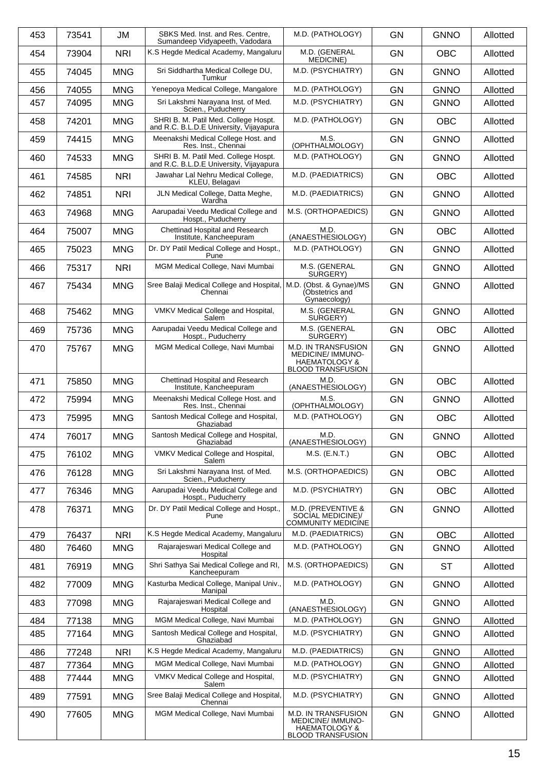| 453 | 73541 | JM         | SBKS Med. Inst. and Res. Centre.<br>Sumandeep Vidyapeeth, Vadodara              | M.D. (PATHOLOGY)                                                                                       | <b>GN</b> | <b>GNNO</b> | Allotted |
|-----|-------|------------|---------------------------------------------------------------------------------|--------------------------------------------------------------------------------------------------------|-----------|-------------|----------|
| 454 | 73904 | <b>NRI</b> | K.S Hegde Medical Academy, Mangaluru                                            | M.D. (GENERAL<br><b>MEDICINE</b> )                                                                     | <b>GN</b> | <b>OBC</b>  | Allotted |
| 455 | 74045 | <b>MNG</b> | Sri Siddhartha Medical College DU,<br>Tumkur                                    | M.D. (PSYCHIATRY)                                                                                      | <b>GN</b> | <b>GNNO</b> | Allotted |
| 456 | 74055 | <b>MNG</b> | Yenepoya Medical College, Mangalore                                             | M.D. (PATHOLOGY)                                                                                       | <b>GN</b> | <b>GNNO</b> | Allotted |
| 457 | 74095 | <b>MNG</b> | Sri Lakshmi Narayana Inst. of Med.<br>Scien., Puducherry                        | M.D. (PSYCHIATRY)                                                                                      | <b>GN</b> | <b>GNNO</b> | Allotted |
| 458 | 74201 | <b>MNG</b> | SHRI B. M. Patil Med. College Hospt.<br>and R.C. B.L.D.E University, Vijayapura | M.D. (PATHOLOGY)                                                                                       | <b>GN</b> | <b>OBC</b>  | Allotted |
| 459 | 74415 | <b>MNG</b> | Meenakshi Medical College Host. and<br>Res. Inst., Chennai                      | M.S.<br>(OPHTHALMOLOGY)                                                                                | <b>GN</b> | <b>GNNO</b> | Allotted |
| 460 | 74533 | <b>MNG</b> | SHRI B. M. Patil Med. College Hospt.<br>and R.C. B.L.D.E University, Vijayapura | M.D. (PATHOLOGY)                                                                                       | <b>GN</b> | <b>GNNO</b> | Allotted |
| 461 | 74585 | <b>NRI</b> | Jawahar Lal Nehru Medical College,<br>KLEU, Belagavi                            | M.D. (PAEDIATRICS)                                                                                     | <b>GN</b> | <b>OBC</b>  | Allotted |
| 462 | 74851 | <b>NRI</b> | JLN Medical College, Datta Meghe,<br>Wardha                                     | M.D. (PAEDIATRICS)                                                                                     | <b>GN</b> | <b>GNNO</b> | Allotted |
| 463 | 74968 | <b>MNG</b> | Aarupadai Veedu Medical College and<br>Hospt., Puducherry                       | M.S. (ORTHOPAEDICS)                                                                                    | <b>GN</b> | <b>GNNO</b> | Allotted |
| 464 | 75007 | <b>MNG</b> | Chettinad Hospital and Research<br>Institute, Kancheepuram                      | M.D.<br>(ANAESTHESIOLOGY)                                                                              | <b>GN</b> | <b>OBC</b>  | Allotted |
| 465 | 75023 | <b>MNG</b> | Dr. DY Patil Medical College and Hospt.,<br>Pune                                | M.D. (PATHOLOGY)                                                                                       | <b>GN</b> | <b>GNNO</b> | Allotted |
| 466 | 75317 | <b>NRI</b> | MGM Medical College, Navi Mumbai                                                | M.S. (GENERAL<br>SURGERY)                                                                              | <b>GN</b> | <b>GNNO</b> | Allotted |
| 467 | 75434 | <b>MNG</b> | Sree Balaji Medical College and Hospital,<br>Chennai                            | M.D. (Obst. & Gynae)/MS<br>(Obstetrics and<br>Gynaecology)                                             | <b>GN</b> | <b>GNNO</b> | Allotted |
| 468 | 75462 | <b>MNG</b> | VMKV Medical College and Hospital,<br>Salem                                     | M.S. (GENERAL<br>SURGERY)                                                                              | <b>GN</b> | <b>GNNO</b> | Allotted |
| 469 | 75736 | <b>MNG</b> | Aarupadai Veedu Medical College and<br>Hospt., Puducherry                       | M.S. (GENERAL<br>SURGERY)                                                                              | <b>GN</b> | <b>OBC</b>  | Allotted |
| 470 | 75767 | <b>MNG</b> | MGM Medical College, Navi Mumbai                                                | M.D. IN TRANSFUSION<br><b>MEDICINE/IMMUNO-</b><br><b>HAEMATOLOGY &amp;</b><br><b>BLOOD TRANSFUSION</b> | <b>GN</b> | <b>GNNO</b> | Allotted |
| 471 | 75850 | <b>MNG</b> | Chettinad Hospital and Research<br>Institute, Kancheepuram                      | M.D.<br>(ANAESTHESIOLOGY)                                                                              | <b>GN</b> | <b>OBC</b>  | Allotted |
| 472 | 75994 | <b>MNG</b> | Meenakshi Medical College Host. and<br>Res. Inst., Chennai                      | M.S.<br>(OPHTHALMOLOGY)                                                                                | GN        | <b>GNNO</b> | Allotted |
| 473 | 75995 | <b>MNG</b> | Santosh Medical College and Hospital,<br>Ghaziabad                              | M.D. (PATHOLOGY)                                                                                       | <b>GN</b> | <b>OBC</b>  | Allotted |
| 474 | 76017 | <b>MNG</b> | Santosh Medical College and Hospital,<br>Ghaziabad                              | M.D.<br>(ANAESTHESIOLOGY)                                                                              | GN        | <b>GNNO</b> | Allotted |
| 475 | 76102 | <b>MNG</b> | VMKV Medical College and Hospital,<br>Salem                                     | $M.S.$ (E.N.T.)                                                                                        | <b>GN</b> | <b>OBC</b>  | Allotted |
| 476 | 76128 | <b>MNG</b> | Sri Lakshmi Narayana Inst. of Med.<br>Scien., Puducherry                        | M.S. (ORTHOPAEDICS)                                                                                    | <b>GN</b> | <b>OBC</b>  | Allotted |
| 477 | 76346 | <b>MNG</b> | Aarupadai Veedu Medical College and<br>Hospt., Puducherry                       | M.D. (PSYCHIATRY)                                                                                      | <b>GN</b> | <b>OBC</b>  | Allotted |
| 478 | 76371 | <b>MNG</b> | Dr. DY Patil Medical College and Hospt.,<br>Pune                                | M.D. (PREVENTIVE &<br>SOCIAL MEDICINE)/<br><b>COMMUNITY MEDICINE</b>                                   | <b>GN</b> | <b>GNNO</b> | Allotted |
| 479 | 76437 | <b>NRI</b> | K.S Hegde Medical Academy, Mangaluru                                            | M.D. (PAEDIATRICS)                                                                                     | <b>GN</b> | <b>OBC</b>  | Allotted |
| 480 | 76460 | <b>MNG</b> | Rajarajeswari Medical College and<br>Hospital                                   | M.D. (PATHOLOGY)                                                                                       | <b>GN</b> | <b>GNNO</b> | Allotted |
| 481 | 76919 | <b>MNG</b> | Shri Sathya Sai Medical College and RI,<br>Kancheepuram                         | M.S. (ORTHOPAEDICS)                                                                                    | <b>GN</b> | <b>ST</b>   | Allotted |
| 482 | 77009 | <b>MNG</b> | Kasturba Medical College, Manipal Univ.,<br>Manipal                             | M.D. (PATHOLOGY)                                                                                       | <b>GN</b> | <b>GNNO</b> | Allotted |
| 483 | 77098 | <b>MNG</b> | Rajarajeswari Medical College and<br>Hospital                                   | M.D.<br>(ANAESTHESIOLOGY)                                                                              | <b>GN</b> | <b>GNNO</b> | Allotted |
| 484 | 77138 | <b>MNG</b> | MGM Medical College, Navi Mumbai                                                | M.D. (PATHOLOGY)                                                                                       | <b>GN</b> | <b>GNNO</b> | Allotted |
| 485 | 77164 | <b>MNG</b> | Santosh Medical College and Hospital,<br>Ghaziabad                              | M.D. (PSYCHIATRY)                                                                                      | <b>GN</b> | <b>GNNO</b> | Allotted |
| 486 | 77248 | <b>NRI</b> | K.S Hegde Medical Academy, Mangaluru                                            | M.D. (PAEDIATRICS)                                                                                     | <b>GN</b> | <b>GNNO</b> | Allotted |
|     |       |            | MGM Medical College, Navi Mumbai                                                | M.D. (PATHOLOGY)                                                                                       |           |             |          |
| 487 | 77364 | <b>MNG</b> |                                                                                 |                                                                                                        | <b>GN</b> | <b>GNNO</b> | Allotted |
| 488 | 77444 | <b>MNG</b> | VMKV Medical College and Hospital,<br>Salem                                     | M.D. (PSYCHIATRY)                                                                                      | <b>GN</b> | <b>GNNO</b> | Allotted |
| 489 | 77591 | <b>MNG</b> | Sree Balaji Medical College and Hospital,<br>Chennai                            | M.D. (PSYCHIATRY)                                                                                      | <b>GN</b> | <b>GNNO</b> | Allotted |
| 490 | 77605 | <b>MNG</b> | MGM Medical College, Navi Mumbai                                                | M.D. IN TRANSFUSION<br><b>MEDICINE/IMMUNO-</b><br><b>HAEMATOLOGY &amp;</b><br><b>BLOOD TRANSFUSION</b> | <b>GN</b> | <b>GNNO</b> | Allotted |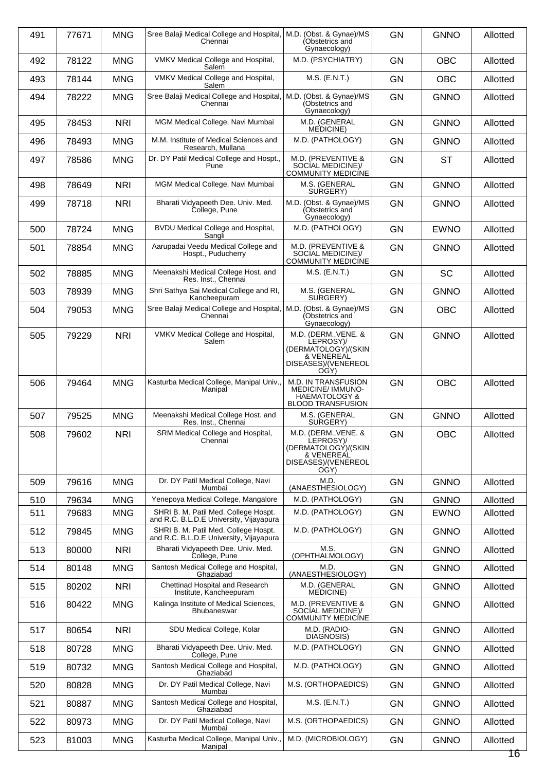| 491 | 77671 | <b>MNG</b> | Sree Balaji Medical College and Hospital, M.D. (Obst. & Gynae)/MS<br>Chennai    | (Obstetrics and<br>Gynaecology)                                                                               | <b>GN</b> | <b>GNNO</b> | Allotted       |
|-----|-------|------------|---------------------------------------------------------------------------------|---------------------------------------------------------------------------------------------------------------|-----------|-------------|----------------|
| 492 | 78122 | <b>MNG</b> | VMKV Medical College and Hospital,<br>Salem                                     | M.D. (PSYCHIATRY)                                                                                             | <b>GN</b> | <b>OBC</b>  | Allotted       |
| 493 | 78144 | <b>MNG</b> | VMKV Medical College and Hospital,<br>Salem                                     | M.S. (E.N.T.)                                                                                                 | <b>GN</b> | <b>OBC</b>  | Allotted       |
| 494 | 78222 | <b>MNG</b> | Sree Balaji Medical College and Hospital,   M.D. (Obst. & Gynae)/MS<br>Chennai  | (Obstetrics and<br>Gynaecology)                                                                               | <b>GN</b> | <b>GNNO</b> | Allotted       |
| 495 | 78453 | <b>NRI</b> | MGM Medical College, Navi Mumbai                                                | M.D. (GENERAL<br>MEDICINE)                                                                                    | <b>GN</b> | <b>GNNO</b> | Allotted       |
| 496 | 78493 | <b>MNG</b> | M.M. Institute of Medical Sciences and<br>Research, Mullana                     | M.D. (PATHOLOGY)                                                                                              | <b>GN</b> | <b>GNNO</b> | Allotted       |
| 497 | 78586 | <b>MNG</b> | Dr. DY Patil Medical College and Hospt.,<br>Pune                                | M.D. (PREVENTIVE &<br>SOCIAL MEDICINE)/<br><b>COMMUNITY MEDICÍNE</b>                                          | <b>GN</b> | <b>ST</b>   | Allotted       |
| 498 | 78649 | <b>NRI</b> | MGM Medical College, Navi Mumbai                                                | M.S. (GENERAL<br>SURGERY)                                                                                     | <b>GN</b> | <b>GNNO</b> | Allotted       |
| 499 | 78718 | <b>NRI</b> | Bharati Vidyapeeth Dee. Univ. Med.<br>College, Pune                             | M.D. (Obst. & Gynae)/MS<br>(Obstetrics and<br>Gynaecology)                                                    | <b>GN</b> | <b>GNNO</b> | Allotted       |
| 500 | 78724 | <b>MNG</b> | BVDU Medical College and Hospital,<br>Sangli                                    | M.D. (PATHOLOGY)                                                                                              | <b>GN</b> | <b>EWNO</b> | Allotted       |
| 501 | 78854 | <b>MNG</b> | Aarupadai Veedu Medical College and<br>Hospt., Puducherry                       | M.D. (PREVENTIVE &<br>SOCIAL MEDICINE)/<br><b>COMMUNITY MEDICÍNE</b>                                          | <b>GN</b> | <b>GNNO</b> | Allotted       |
| 502 | 78885 | <b>MNG</b> | Meenakshi Medical College Host. and<br>Res. Inst., Chennai                      | $M.S.$ (E.N.T.)                                                                                               | <b>GN</b> | <b>SC</b>   | Allotted       |
| 503 | 78939 | <b>MNG</b> | Shri Sathya Sai Medical College and RI,<br>Kancheepuram                         | M.S. (GENERAL<br>SURGERY)                                                                                     | <b>GN</b> | <b>GNNO</b> | Allotted       |
| 504 | 79053 | <b>MNG</b> | Sree Balaji Medical College and Hospital,<br>Chennai                            | M.D. (Obst. & Gynae)/MS<br>(Obstetrics and<br>Gynaecology)                                                    | <b>GN</b> | <b>OBC</b>  | Allotted       |
| 505 | 79229 | <b>NRI</b> | VMKV Medical College and Hospital,<br>Salem                                     | M.D. (DERM., VENE. &<br>LEPROSY)/<br>(DERMATOLOGÝ)/(SKIN<br>& VENEREAL<br>DISEASES)/(VENEREOL<br>OGY)         | <b>GN</b> | <b>GNNO</b> | Allotted       |
| 506 | 79464 | <b>MNG</b> | Kasturba Medical College, Manipal Univ.,<br>Manipal                             | <b>M.D. IN TRANSFUSION</b><br><b>MEDICINE/IMMUNO-</b><br><b>HAEMATOLOGY &amp;</b><br><b>BLOOD TRANSFUSION</b> | <b>GN</b> | <b>OBC</b>  | Allotted       |
| 507 | 79525 | <b>MNG</b> | Meenakshi Medical College Host. and<br>Res. Inst., Chennai                      | M.S. (GENERAL<br>SURGERY)                                                                                     | <b>GN</b> | <b>GNNO</b> | Allotted       |
| 508 | 79602 | <b>NRI</b> | SRM Medical College and Hospital,<br>Chennai                                    | M.D. (DERM., VENE. &<br>LEPROSY)/<br>(DERMATOLOGÝ)/(SKIN<br>& VENEREAL<br>DISEASES)/(VENEREOL<br>OGY)         | <b>GN</b> | <b>OBC</b>  | Allotted       |
| 509 | 79616 | <b>MNG</b> | Dr. DY Patil Medical College, Navi<br>Mumbai                                    | M.D.<br>(ANAESTHESIOLOGY)                                                                                     | <b>GN</b> | <b>GNNO</b> | Allotted       |
| 510 | 79634 | <b>MNG</b> | Yenepoya Medical College, Mangalore                                             | M.D. (PATHOLOGY)                                                                                              | GN        | <b>GNNO</b> | Allotted       |
| 511 | 79683 | <b>MNG</b> | SHRI B. M. Patil Med. College Hospt.<br>and R.C. B.L.D.E University, Vijayapura | M.D. (PATHOLOGY)                                                                                              | GN        | <b>EWNO</b> | Allotted       |
| 512 | 79845 | <b>MNG</b> | SHRI B. M. Patil Med. College Hospt.<br>and R.C. B.L.D.E University, Vijayapura | M.D. (PATHOLOGY)                                                                                              | <b>GN</b> | <b>GNNO</b> | Allotted       |
| 513 | 80000 | <b>NRI</b> | Bharati Vidyapeeth Dee. Univ. Med.<br>College, Pune                             | M.S.<br>(OPHTHALMOLOGY)                                                                                       | <b>GN</b> | <b>GNNO</b> | Allotted       |
| 514 | 80148 | <b>MNG</b> | Santosh Medical College and Hospital,<br>Ghaziabad                              | M.D.<br>(ANAESTHESIOLOGY)                                                                                     | <b>GN</b> | <b>GNNO</b> | Allotted       |
| 515 | 80202 | <b>NRI</b> | Chettinad Hospital and Research<br>Institute, Kancheepuram                      | M.D. (GENERAL<br>MEDICINE)                                                                                    | <b>GN</b> | <b>GNNO</b> | Allotted       |
| 516 | 80422 | <b>MNG</b> | Kalinga Institute of Medical Sciences,<br>Bhubaneswar                           | M.D. (PREVENTIVE &<br>SOCIAL MEDICINE)/<br><b>COMMUNITY MEDICÍNE</b>                                          | <b>GN</b> | <b>GNNO</b> | Allotted       |
| 517 | 80654 | <b>NRI</b> | SDU Medical College, Kolar                                                      | M.D. (RADIO-<br>DIAGNOSIS)                                                                                    | <b>GN</b> | <b>GNNO</b> | Allotted       |
| 518 | 80728 | <b>MNG</b> | Bharati Vidyapeeth Dee. Univ. Med.<br>College, Pune                             | M.D. (PATHOLOGY)                                                                                              | <b>GN</b> | <b>GNNO</b> | Allotted       |
| 519 | 80732 | <b>MNG</b> | Santosh Medical College and Hospital,<br>Ghaziabad                              | M.D. (PATHOLOGY)                                                                                              | <b>GN</b> | <b>GNNO</b> | Allotted       |
| 520 | 80828 | <b>MNG</b> | Dr. DY Patil Medical College, Navi<br>Mumbai                                    | M.S. (ORTHOPAEDICS)                                                                                           | <b>GN</b> | <b>GNNO</b> | Allotted       |
| 521 | 80887 | <b>MNG</b> | Santosh Medical College and Hospital,<br>Ghaziabad                              | $M.S.$ (E.N.T.)                                                                                               | <b>GN</b> | <b>GNNO</b> | Allotted       |
| 522 | 80973 | <b>MNG</b> | Dr. DY Patil Medical College, Navi<br>Mumbai                                    | M.S. (ORTHOPAEDICS)                                                                                           | GN        | <b>GNNO</b> | Allotted       |
| 523 | 81003 | <b>MNG</b> | Kasturba Medical College, Manipal Univ.,<br>Manipal                             | M.D. (MICROBIOLOGY)                                                                                           | GN        | <b>GNNO</b> | Allotted<br>16 |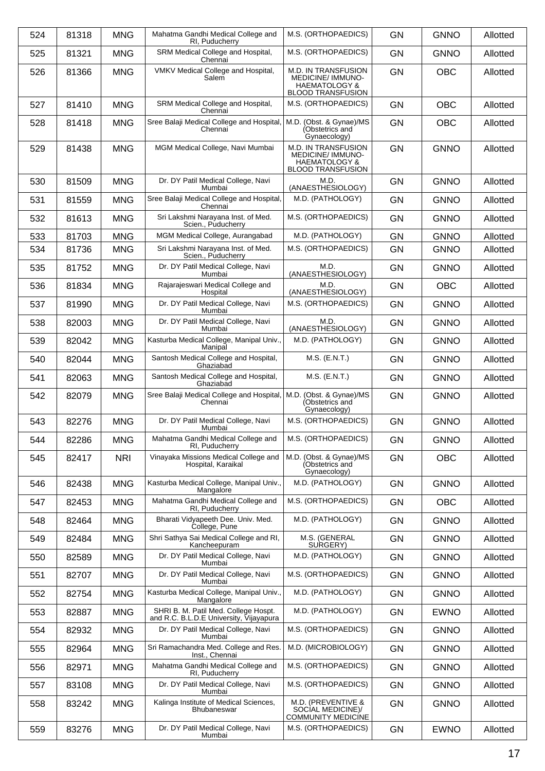| 524 | 81318 | <b>MNG</b> | Mahatma Gandhi Medical College and<br>RI, Puducherry                            | M.S. (ORTHOPAEDICS)                                                                                           | <b>GN</b> | <b>GNNO</b> | Allotted |
|-----|-------|------------|---------------------------------------------------------------------------------|---------------------------------------------------------------------------------------------------------------|-----------|-------------|----------|
| 525 | 81321 | <b>MNG</b> | SRM Medical College and Hospital,<br>Chennai                                    | M.S. (ORTHOPAEDICS)                                                                                           | <b>GN</b> | <b>GNNO</b> | Allotted |
| 526 | 81366 | <b>MNG</b> | VMKV Medical College and Hospital,<br>Salem                                     | <b>M.D. IN TRANSFUSION</b><br><b>MEDICINE/IMMUNO-</b><br><b>HAEMATOLOGY &amp;</b><br><b>BLOOD TRANSFUSION</b> | <b>GN</b> | <b>OBC</b>  | Allotted |
| 527 | 81410 | <b>MNG</b> | SRM Medical College and Hospital,<br>Chennai                                    | M.S. (ORTHOPAEDICS)                                                                                           | <b>GN</b> | <b>OBC</b>  | Allotted |
| 528 | 81418 | <b>MNG</b> | Sree Balaji Medical College and Hospital,<br>Chennai                            | M.D. (Obst. & Gynae)/MS<br>(Obstetrics and<br>Gynaecology)                                                    | <b>GN</b> | <b>OBC</b>  | Allotted |
| 529 | 81438 | <b>MNG</b> | MGM Medical College, Navi Mumbai                                                | M.D. IN TRANSFUSION<br><b>MEDICINE/ IMMUNO-</b><br><b>HAEMATOLOGY &amp;</b><br><b>BLOOD TRANSFUSION</b>       | <b>GN</b> | <b>GNNO</b> | Allotted |
| 530 | 81509 | <b>MNG</b> | Dr. DY Patil Medical College, Navi<br>Mumbai                                    | M.D.<br>(ANAESTHESIOLOGY)                                                                                     | <b>GN</b> | <b>GNNO</b> | Allotted |
| 531 | 81559 | <b>MNG</b> | Sree Balaji Medical College and Hospital,<br>Chennai                            | M.D. (PATHOLOGY)                                                                                              | <b>GN</b> | <b>GNNO</b> | Allotted |
| 532 | 81613 | <b>MNG</b> | Sri Lakshmi Narayana Inst. of Med.<br>Scien., Puducherry                        | M.S. (ORTHOPAEDICS)                                                                                           | <b>GN</b> | <b>GNNO</b> | Allotted |
| 533 | 81703 | <b>MNG</b> | MGM Medical College, Aurangabad                                                 | M.D. (PATHOLOGY)                                                                                              | GN        | <b>GNNO</b> | Allotted |
| 534 | 81736 | <b>MNG</b> | Sri Lakshmi Narayana Inst. of Med.<br>Scien., Puducherry                        | M.S. (ORTHOPAEDICS)                                                                                           | <b>GN</b> | <b>GNNO</b> | Allotted |
| 535 | 81752 | <b>MNG</b> | Dr. DY Patil Medical College, Navi<br>Mumbai                                    | M.D.<br>(ANAESTHESIOLOGY)                                                                                     | <b>GN</b> | <b>GNNO</b> | Allotted |
| 536 | 81834 | <b>MNG</b> | Rajarajeswari Medical College and<br>Hospital                                   | M.D.<br>(ANAESTHESIOLOGY)                                                                                     | <b>GN</b> | <b>OBC</b>  | Allotted |
| 537 | 81990 | <b>MNG</b> | Dr. DY Patil Medical College, Navi<br>Mumbai                                    | M.S. (ORTHOPAEDICS)                                                                                           | <b>GN</b> | <b>GNNO</b> | Allotted |
| 538 | 82003 | <b>MNG</b> | Dr. DY Patil Medical College, Navi<br>Mumbai                                    | M.D.<br>(ANAESTHESIOLOGY)                                                                                     | <b>GN</b> | <b>GNNO</b> | Allotted |
| 539 | 82042 | <b>MNG</b> | Kasturba Medical College, Manipal Univ.,<br>Manipal                             | M.D. (PATHOLOGY)                                                                                              | <b>GN</b> | <b>GNNO</b> | Allotted |
| 540 | 82044 | <b>MNG</b> | Santosh Medical College and Hospital,<br>Ghaziabad                              | $M.S.$ (E.N.T.)                                                                                               | <b>GN</b> | <b>GNNO</b> | Allotted |
| 541 | 82063 | <b>MNG</b> | Santosh Medical College and Hospital,<br>Ghaziabad                              | $M.S.$ (E.N.T.)                                                                                               | <b>GN</b> | <b>GNNO</b> | Allotted |
| 542 | 82079 | <b>MNG</b> | Sree Balaji Medical College and Hospital,<br>Chennai                            | M.D. (Obst. & Gynae)/MS<br>(Obstetrics and<br>Gynaecology)                                                    | <b>GN</b> | <b>GNNO</b> | Allotted |
| 543 | 82276 | <b>MNG</b> | Dr. DY Patil Medical College, Navi<br>Mumbai                                    | M.S. (ORTHOPAEDICS)                                                                                           | <b>GN</b> | <b>GNNO</b> | Allotted |
| 544 | 82286 | <b>MNG</b> | Mahatma Gandhi Medical College and<br>RI, Puducherry                            | M.S. (ORTHOPAEDICS)                                                                                           | <b>GN</b> | <b>GNNO</b> | Allotted |
| 545 | 82417 | <b>NRI</b> | Vinayaka Missions Medical College and<br>Hospital, Karaikal                     | M.D. (Obst. & Gynae)/MS<br>(Obstetrics and<br>Gynaecology)                                                    | <b>GN</b> | <b>OBC</b>  | Allotted |
| 546 | 82438 | <b>MNG</b> | Kasturba Medical College, Manipal Univ.,<br>Mangalore                           | M.D. (PATHOLOGY)                                                                                              | GN        | <b>GNNO</b> | Allotted |
| 547 | 82453 | <b>MNG</b> | Mahatma Gandhi Medical College and<br>RI, Puducherry                            | M.S. (ORTHOPAEDICS)                                                                                           | <b>GN</b> | <b>OBC</b>  | Allotted |
| 548 | 82464 | <b>MNG</b> | Bharati Vidyapeeth Dee. Univ. Med.<br>College, Pune                             | M.D. (PATHOLOGY)                                                                                              | GN        | <b>GNNO</b> | Allotted |
| 549 | 82484 | <b>MNG</b> | Shri Sathya Sai Medical College and RI,<br>Kancheepuram                         | M.S. (GENERAL<br>SURGERY)                                                                                     | <b>GN</b> | <b>GNNO</b> | Allotted |
| 550 | 82589 | <b>MNG</b> | Dr. DY Patil Medical College, Navi<br>Mumbai                                    | M.D. (PATHOLOGY)                                                                                              | <b>GN</b> | <b>GNNO</b> | Allotted |
| 551 | 82707 | <b>MNG</b> | Dr. DY Patil Medical College, Navi<br>Mumbai                                    | M.S. (ORTHOPAEDICS)                                                                                           | <b>GN</b> | <b>GNNO</b> | Allotted |
| 552 | 82754 | <b>MNG</b> | Kasturba Medical College, Manipal Univ.,<br>Mangalore                           | M.D. (PATHOLOGY)                                                                                              | <b>GN</b> | <b>GNNO</b> | Allotted |
| 553 | 82887 | <b>MNG</b> | SHRI B. M. Patil Med. College Hospt.<br>and R.C. B.L.D.E University, Vijayapura | M.D. (PATHOLOGY)                                                                                              | GN        | <b>EWNO</b> | Allotted |
| 554 | 82932 | <b>MNG</b> | Dr. DY Patil Medical College, Navi<br>Mumbai                                    | M.S. (ORTHOPAEDICS)                                                                                           | GN        | <b>GNNO</b> | Allotted |
| 555 | 82964 | <b>MNG</b> | Sri Ramachandra Med. College and Res.<br>Inst., Chennai                         | M.D. (MICROBIOLOGY)                                                                                           | <b>GN</b> | <b>GNNO</b> | Allotted |
| 556 | 82971 | <b>MNG</b> | Mahatma Gandhi Medical College and<br>RI, Puducherry                            | M.S. (ORTHOPAEDICS)                                                                                           | GN        | <b>GNNO</b> | Allotted |
| 557 | 83108 | <b>MNG</b> | Dr. DY Patil Medical College, Navi<br>Mumbai                                    | M.S. (ORTHOPAEDICS)                                                                                           | GN        | <b>GNNO</b> | Allotted |
| 558 | 83242 | <b>MNG</b> | Kalinga Institute of Medical Sciences,<br>Bhubaneswar                           | M.D. (PREVENTIVE &<br>SOCIAL MEDICINE)/<br><b>COMMUNITY MEDICINE</b>                                          | <b>GN</b> | <b>GNNO</b> | Allotted |
| 559 | 83276 | <b>MNG</b> | Dr. DY Patil Medical College, Navi<br>Mumbai                                    | M.S. (ORTHOPAEDICS)                                                                                           | <b>GN</b> | <b>EWNO</b> | Allotted |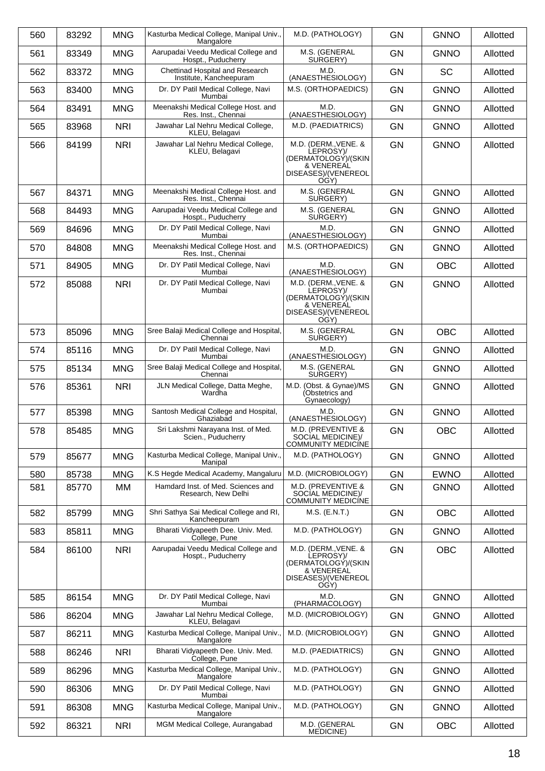| 560 | 83292 | <b>MNG</b> | Kasturba Medical College, Manipal Univ.,<br>Mangalore      | M.D. (PATHOLOGY)                                                                                      | <b>GN</b> | <b>GNNO</b> | Allotted |
|-----|-------|------------|------------------------------------------------------------|-------------------------------------------------------------------------------------------------------|-----------|-------------|----------|
| 561 | 83349 | <b>MNG</b> | Aarupadai Veedu Medical College and<br>Hospt., Puducherry  | M.S. (GENERAL<br>SURGERY)                                                                             | <b>GN</b> | <b>GNNO</b> | Allotted |
| 562 | 83372 | <b>MNG</b> | Chettinad Hospital and Research<br>Institute, Kancheepuram | M.D.<br>(ANAESTHESIOLOGY)                                                                             | <b>GN</b> | <b>SC</b>   | Allotted |
| 563 | 83400 | <b>MNG</b> | Dr. DY Patil Medical College, Navi<br>Mumbai               | M.S. (ORTHOPAEDICS)                                                                                   | <b>GN</b> | <b>GNNO</b> | Allotted |
| 564 | 83491 | <b>MNG</b> | Meenakshi Medical College Host. and<br>Res. Inst., Chennai | M.D.<br>(ANAESTHESIOLOGY)                                                                             | <b>GN</b> | <b>GNNO</b> | Allotted |
| 565 | 83968 | <b>NRI</b> | Jawahar Lal Nehru Medical College,<br>KLEU, Belagavi       | M.D. (PAEDIATRICS)                                                                                    | <b>GN</b> | <b>GNNO</b> | Allotted |
| 566 | 84199 | <b>NRI</b> | Jawahar Lal Nehru Medical College,<br>KLEU, Belagavi       | M.D. (DERM., VENE. &<br>LEPROSY)/<br>(DERMATOLOGY)/(SKIN<br>& VENEREAL<br>DISEASES)/(VENEREOL<br>OGY) | <b>GN</b> | <b>GNNO</b> | Allotted |
| 567 | 84371 | <b>MNG</b> | Meenakshi Medical College Host. and<br>Res. Inst., Chennai | M.S. (GENERAL<br>SURGERY)                                                                             | <b>GN</b> | <b>GNNO</b> | Allotted |
| 568 | 84493 | <b>MNG</b> | Aarupadai Veedu Medical College and<br>Hospt., Puducherry  | M.S. (GENERAL<br>SURGERY)                                                                             | <b>GN</b> | <b>GNNO</b> | Allotted |
| 569 | 84696 | <b>MNG</b> | Dr. DY Patil Medical College, Navi<br>Mumbai               | M.D.<br>(ANAESTHESIOLOGY)                                                                             | <b>GN</b> | <b>GNNO</b> | Allotted |
| 570 | 84808 | <b>MNG</b> | Meenakshi Medical College Host. and<br>Res. Inst., Chennai | M.S. (ORTHOPAEDICS)                                                                                   | <b>GN</b> | <b>GNNO</b> | Allotted |
| 571 | 84905 | <b>MNG</b> | Dr. DY Patil Medical College, Navi<br>Mumbai               | M.D.<br>(ANAESTHESIOLOGY)                                                                             | <b>GN</b> | <b>OBC</b>  | Allotted |
| 572 | 85088 | <b>NRI</b> | Dr. DY Patil Medical College, Navi<br>Mumbai               | M.D. (DERM., VENE. &<br>LEPROSY)/<br>(DERMATOLOGY)/(SKIN<br>& VENEREAL<br>DISEASES)/(VENEREOL<br>OGY) | <b>GN</b> | <b>GNNO</b> | Allotted |
| 573 | 85096 | <b>MNG</b> | Sree Balaji Medical College and Hospital,<br>Chennai       | M.S. (GENERAL<br>SURGERY)                                                                             | <b>GN</b> | <b>OBC</b>  | Allotted |
| 574 | 85116 | <b>MNG</b> | Dr. DY Patil Medical College, Navi<br>Mumbai               | M.D.<br>(ANAESTHESIOLOGY)                                                                             | <b>GN</b> | <b>GNNO</b> | Allotted |
| 575 | 85134 | <b>MNG</b> | Sree Balaji Medical College and Hospital,<br>Chennai       | M.S. (GENERAL<br>SURGERY)                                                                             | <b>GN</b> | <b>GNNO</b> | Allotted |
| 576 | 85361 | <b>NRI</b> | JLN Medical College, Datta Meghe,<br>Wardha                | M.D. (Obst. & Gynae)/MS<br>(Obstetrics and<br>Gynaecology)                                            | <b>GN</b> | <b>GNNO</b> | Allotted |
| 577 | 85398 | <b>MNG</b> | Santosh Medical College and Hospital,<br>Ghaziabad         | M.D.<br>(ANAESTHESIOLOGY)                                                                             | <b>GN</b> | <b>GNNO</b> | Allotted |
| 578 | 85485 | <b>MNG</b> | Sri Lakshmi Narayana Inst. of Med.<br>Scien., Puducherry   | M.D. (PREVENTIVE &<br>SOCIAL MEDICINE)/<br><b>COMMUNITY MEDICÍNE</b>                                  | <b>GN</b> | <b>OBC</b>  | Allotted |
| 579 | 85677 | <b>MNG</b> | Kasturba Medical College, Manipal Univ.,<br>Manipal        | M.D. (PATHOLOGY)                                                                                      | <b>GN</b> | <b>GNNO</b> | Allotted |
| 580 | 85738 | <b>MNG</b> | K.S Hegde Medical Academy, Mangaluru                       | M.D. (MICROBIOLOGY)                                                                                   | <b>GN</b> | <b>EWNO</b> | Allotted |
| 581 | 85770 | MM         | Hamdard Inst. of Med. Sciences and<br>Research, New Delhi  | M.D. (PREVENTIVE &<br>SOCIAL MEDICINE)/<br>COMMUNITY MEDICÍNE                                         | <b>GN</b> | <b>GNNO</b> | Allotted |
| 582 | 85799 | <b>MNG</b> | Shri Sathya Sai Medical College and RI,<br>Kancheepuram    | M.S. (E.N.T.)                                                                                         | <b>GN</b> | <b>OBC</b>  | Allotted |
| 583 | 85811 | <b>MNG</b> | Bharati Vidyapeeth Dee. Univ. Med.<br>College, Pune        | M.D. (PATHOLOGY)                                                                                      | <b>GN</b> | <b>GNNO</b> | Allotted |
| 584 | 86100 | <b>NRI</b> | Aarupadai Veedu Medical College and<br>Hospt., Puducherry  | M.D. (DERM., VENE. &<br>LEPROSY)/<br>(DERMATOLOGÝ)/(SKIN<br>& VENEREAL<br>DISEASES)/(VENEREOL<br>OGY) | GN        | <b>OBC</b>  | Allotted |
| 585 | 86154 | <b>MNG</b> | Dr. DY Patil Medical College, Navi<br>Mumbai               | M.D.<br>(PHARMACOLOGY)                                                                                | GN        | <b>GNNO</b> | Allotted |
| 586 | 86204 | <b>MNG</b> | Jawahar Lal Nehru Medical College,<br>KLEU, Belagavi       | M.D. (MICROBIOLOGY)                                                                                   | <b>GN</b> | <b>GNNO</b> | Allotted |
| 587 | 86211 | <b>MNG</b> | Kasturba Medical College, Manipal Univ.,<br>Mangalore      | M.D. (MICROBIOLOGY)                                                                                   | GN        | <b>GNNO</b> | Allotted |
| 588 | 86246 | <b>NRI</b> | Bharati Vidyapeeth Dee. Univ. Med.<br>College, Pune        | M.D. (PAEDIATRICS)                                                                                    | <b>GN</b> | <b>GNNO</b> | Allotted |
| 589 | 86296 | <b>MNG</b> | Kasturba Medical College, Manipal Univ.,<br>Mangalore      | M.D. (PATHOLOGY)                                                                                      | <b>GN</b> | <b>GNNO</b> | Allotted |
| 590 | 86306 | <b>MNG</b> | Dr. DY Patil Medical College, Navi<br>Mumbai               | M.D. (PATHOLOGY)                                                                                      | <b>GN</b> | <b>GNNO</b> | Allotted |
| 591 | 86308 | <b>MNG</b> | Kasturba Medical College, Manipal Univ.,<br>Mangalore      | M.D. (PATHOLOGY)                                                                                      | <b>GN</b> | <b>GNNO</b> | Allotted |
| 592 | 86321 | <b>NRI</b> | MGM Medical College, Aurangabad                            | M.D. (GENERAL<br>MEDICINE)                                                                            | GN        | <b>OBC</b>  | Allotted |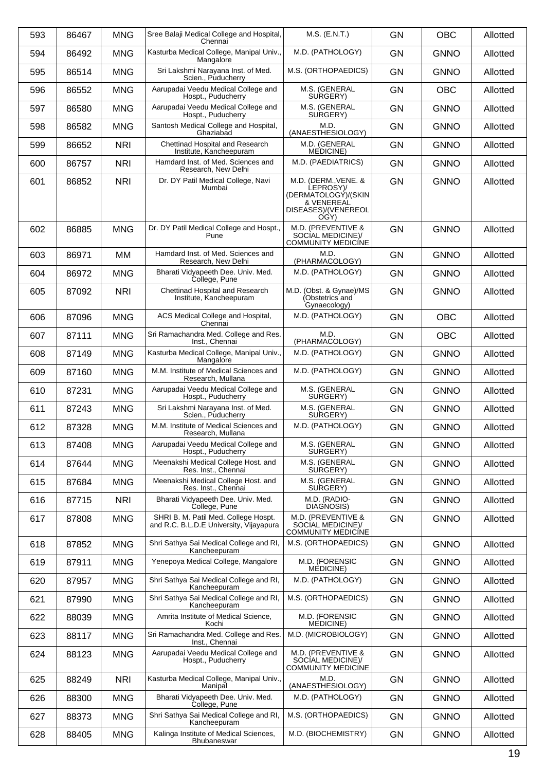| 593 | 86467 | <b>MNG</b> | Sree Balaji Medical College and Hospital,                                       | M.S. (E.N.T.)                                                                                         | <b>GN</b> | <b>OBC</b>  | Allotted |
|-----|-------|------------|---------------------------------------------------------------------------------|-------------------------------------------------------------------------------------------------------|-----------|-------------|----------|
| 594 | 86492 | <b>MNG</b> | Chennai<br>Kasturba Medical College, Manipal Univ.,                             | M.D. (PATHOLOGY)                                                                                      | <b>GN</b> | <b>GNNO</b> | Allotted |
| 595 | 86514 | <b>MNG</b> | Mangalore<br>Sri Lakshmi Narayana Inst. of Med.                                 | M.S. (ORTHOPAEDICS)                                                                                   | <b>GN</b> | <b>GNNO</b> | Allotted |
| 596 | 86552 | <b>MNG</b> | Scien., Puducherry<br>Aarupadai Veedu Medical College and                       | M.S. (GENERAL                                                                                         | <b>GN</b> | <b>OBC</b>  | Allotted |
|     |       |            | Hospt., Puducherry                                                              | SURGERY)                                                                                              |           |             |          |
| 597 | 86580 | <b>MNG</b> | Aarupadai Veedu Medical College and<br>Hospt., Puducherry                       | M.S. (GENERAL<br>SURGERY)                                                                             | <b>GN</b> | <b>GNNO</b> | Allotted |
| 598 | 86582 | <b>MNG</b> | Santosh Medical College and Hospital,<br>Ghaziabad                              | M.D.<br>(ANAESTHESIOLOGY)                                                                             | GN        | <b>GNNO</b> | Allotted |
| 599 | 86652 | <b>NRI</b> | Chettinad Hospital and Research<br>Institute, Kancheepuram                      | M.D. (GENERAL<br><b>MEDICINE</b> )                                                                    | <b>GN</b> | <b>GNNO</b> | Allotted |
| 600 | 86757 | <b>NRI</b> | Hamdard Inst. of Med. Sciences and<br>Research, New Delhi                       | M.D. (PAEDIATRICS)                                                                                    | <b>GN</b> | <b>GNNO</b> | Allotted |
| 601 | 86852 | <b>NRI</b> | Dr. DY Patil Medical College, Navi<br>Mumbai                                    | M.D. (DERM., VENE. &<br>LEPROSY)/<br>(DERMATOLOGÝ)/(SKIN<br>& VENEREAL<br>DISEASES)/(VENEREOL<br>OGY) | GN        | <b>GNNO</b> | Allotted |
| 602 | 86885 | <b>MNG</b> | Dr. DY Patil Medical College and Hospt.,<br>Pune                                | M.D. (PREVENTIVE &<br>SOCIAL MEDICINE)/<br><b>COMMUNITY MEDICÍNE</b>                                  | <b>GN</b> | <b>GNNO</b> | Allotted |
| 603 | 86971 | MM         | Hamdard Inst. of Med. Sciences and<br>Research, New Delhi                       | M.D.<br>(PHARMACOLOGY)                                                                                | <b>GN</b> | <b>GNNO</b> | Allotted |
| 604 | 86972 | <b>MNG</b> | Bharati Vidyapeeth Dee. Univ. Med.<br>College, Pune                             | M.D. (PATHOLOGY)                                                                                      | GN        | <b>GNNO</b> | Allotted |
| 605 | 87092 | <b>NRI</b> | Chettinad Hospital and Research<br>Institute, Kancheepuram                      | M.D. (Obst. & Gynae)/MS<br>(Obstetrics and<br>Gynaecology)                                            | <b>GN</b> | <b>GNNO</b> | Allotted |
| 606 | 87096 | <b>MNG</b> | ACS Medical College and Hospital,<br>Chennai                                    | M.D. (PATHOLOGY)                                                                                      | <b>GN</b> | <b>OBC</b>  | Allotted |
| 607 | 87111 | <b>MNG</b> | Sri Ramachandra Med. College and Res.<br>Inst., Chennai                         | M.D.<br>(PHARMACOLOGY)                                                                                | GN        | <b>OBC</b>  | Allotted |
| 608 | 87149 | <b>MNG</b> | Kasturba Medical College, Manipal Univ.,<br>Mangalore                           | M.D. (PATHOLOGY)                                                                                      | <b>GN</b> | <b>GNNO</b> | Allotted |
| 609 | 87160 | <b>MNG</b> | M.M. Institute of Medical Sciences and<br>Research, Mullana                     | M.D. (PATHOLOGY)                                                                                      | GN        | <b>GNNO</b> | Allotted |
| 610 | 87231 | <b>MNG</b> | Aarupadai Veedu Medical College and<br>Hospt., Puducherry                       | M.S. (GENERAL<br>SURGERY)                                                                             | <b>GN</b> | <b>GNNO</b> | Allotted |
| 611 | 87243 | <b>MNG</b> | Sri Lakshmi Narayana Inst. of Med.<br>Scien., Puducherry                        | M.S. (GENERAL<br>SURGERY)                                                                             | <b>GN</b> | <b>GNNO</b> | Allotted |
| 612 | 87328 | <b>MNG</b> | M.M. Institute of Medical Sciences and<br>Research, Mullana                     | M.D. (PATHOLOGY)                                                                                      | GN        | <b>GNNO</b> | Allotted |
| 613 | 87408 | <b>MNG</b> | Aarupadai Veedu Medical College and<br>Hospt., Puducherry                       | M.S. (GENERAL<br>SURGERY)                                                                             | GN        | <b>GNNO</b> | Allotted |
| 614 | 87644 | <b>MNG</b> | Meenakshi Medical College Host. and<br>Res. Inst., Chennai                      | M.S. (GENERAL<br>SURGERY)                                                                             | GN        | <b>GNNO</b> | Allotted |
| 615 | 87684 | <b>MNG</b> | Meenakshi Medical College Host. and<br>Res. Inst., Chennai                      | M.S. (GENERAL<br>SURGERY)                                                                             | GN        | <b>GNNO</b> | Allotted |
| 616 | 87715 | <b>NRI</b> | Bharati Vidvapeeth Dee, Univ. Med.<br>College, Pune                             | M.D. (RADIO-<br>DIAGNOSIS)                                                                            | <b>GN</b> | <b>GNNO</b> | Allotted |
| 617 | 87808 | <b>MNG</b> | SHRI B. M. Patil Med. College Hospt.<br>and R.C. B.L.D.E University, Vijayapura | M.D. (PREVENTIVE &<br>SOCIAL MEDICINE)/<br><b>COMMUNITY MEDICÍNE</b>                                  | <b>GN</b> | <b>GNNO</b> | Allotted |
| 618 | 87852 | <b>MNG</b> | Shri Sathya Sai Medical College and RI,<br>Kancheepuram                         | M.S. (ORTHOPAEDICS)                                                                                   | GN        | <b>GNNO</b> | Allotted |
| 619 | 87911 | <b>MNG</b> | Yenepoya Medical College, Mangalore                                             | M.D. (FORENSIC<br>MEDICINE)                                                                           | <b>GN</b> | <b>GNNO</b> | Allotted |
| 620 | 87957 | <b>MNG</b> | Shri Sathya Sai Medical College and RI,<br>Kancheepuram                         | M.D. (PATHOLOGY)                                                                                      | GN        | <b>GNNO</b> | Allotted |
| 621 | 87990 | <b>MNG</b> | Shri Sathya Sai Medical College and RI,<br>Kancheepuram                         | M.S. (ORTHOPAEDICS)                                                                                   | GN        | <b>GNNO</b> | Allotted |
| 622 | 88039 | <b>MNG</b> | Amrita Institute of Medical Science,<br>Kochi                                   | M.D. (FORENSIC<br>MEDICINE)                                                                           | GN        | <b>GNNO</b> | Allotted |
| 623 | 88117 | <b>MNG</b> | Sri Ramachandra Med. College and Res.<br>Inst., Chennai                         | M.D. (MICROBIOLOGY)                                                                                   | GN        | <b>GNNO</b> | Allotted |
| 624 | 88123 | <b>MNG</b> | Aarupadai Veedu Medical College and<br>Hospt., Puducherry                       | M.D. (PREVENTIVE &<br>SOCIAL MEDICINE)/<br><b>COMMUNITY MEDICÍNE</b>                                  | GN        | <b>GNNO</b> | Allotted |
| 625 | 88249 | <b>NRI</b> | Kasturba Medical College, Manipal Univ.,<br>Manipal                             | M.D.<br>(ANAESTHESIOLOGY)                                                                             | GN        | <b>GNNO</b> | Allotted |
| 626 | 88300 | <b>MNG</b> | Bharati Vidyapeeth Dee. Univ. Med.<br>College, Pune                             | M.D. (PATHOLOGY)                                                                                      | GN        | <b>GNNO</b> | Allotted |
| 627 | 88373 | <b>MNG</b> | Shri Sathya Sai Medical College and RI,<br>Kancheepuram                         | M.S. (ORTHOPAEDICS)                                                                                   | GN        | <b>GNNO</b> | Allotted |
| 628 | 88405 | <b>MNG</b> | Kalinga Institute of Medical Sciences,<br>Bhubaneswar                           | M.D. (BIOCHEMISTRY)                                                                                   | GN        | <b>GNNO</b> | Allotted |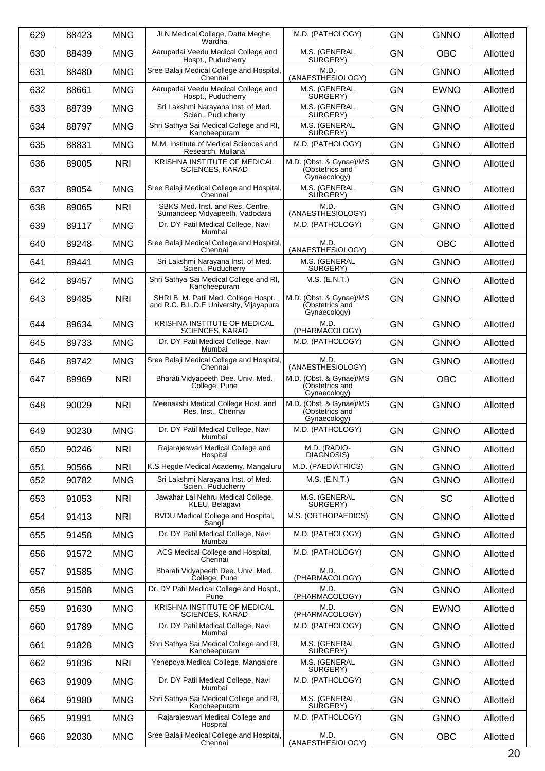| 629 | 88423 | <b>MNG</b> | JLN Medical College, Datta Meghe,<br>Wardha                                     | M.D. (PATHOLOGY)                                           | <b>GN</b> | <b>GNNO</b> | Allotted |
|-----|-------|------------|---------------------------------------------------------------------------------|------------------------------------------------------------|-----------|-------------|----------|
| 630 | 88439 | <b>MNG</b> | Aarupadai Veedu Medical College and<br>Hospt., Puducherry                       | M.S. (GENERAL<br>SURGERY)                                  | <b>GN</b> | <b>OBC</b>  | Allotted |
| 631 | 88480 | <b>MNG</b> | Sree Balaji Medical College and Hospital,<br>Chennai                            | M.D.<br>(ANAESTHESIOLOGY)                                  | <b>GN</b> | <b>GNNO</b> | Allotted |
| 632 | 88661 | <b>MNG</b> | Aarupadai Veedu Medical College and<br>Hospt., Puducherry                       | M.S. (GENERAL<br>SURGERY)                                  | <b>GN</b> | <b>EWNO</b> | Allotted |
| 633 | 88739 | <b>MNG</b> | Sri Lakshmi Narayana Inst. of Med.<br>Scien., Puducherry                        | M.S. (GENERAL<br>SURGERY)                                  | <b>GN</b> | <b>GNNO</b> | Allotted |
| 634 | 88797 | <b>MNG</b> | Shri Sathya Sai Medical College and RI,<br>Kancheepuram                         | M.S. (GENERAL<br>SURGERY)                                  | GN        | <b>GNNO</b> | Allotted |
| 635 | 88831 | <b>MNG</b> | M.M. Institute of Medical Sciences and<br>Research, Mullana                     | M.D. (PATHOLOGY)                                           | <b>GN</b> | <b>GNNO</b> | Allotted |
| 636 | 89005 | <b>NRI</b> | KRISHNA INSTITUTE OF MEDICAL<br><b>SCIENCES, KARAD</b>                          | M.D. (Obst. & Gynae)/MS<br>(Obstetrics and<br>Gynaecology) | <b>GN</b> | <b>GNNO</b> | Allotted |
| 637 | 89054 | <b>MNG</b> | Sree Balaji Medical College and Hospital,<br>Chennai                            | M.S. (GENERAL<br>SURGERY)                                  | <b>GN</b> | <b>GNNO</b> | Allotted |
| 638 | 89065 | <b>NRI</b> | SBKS Med. Inst. and Res. Centre.<br>Sumandeep Vidyapeeth, Vadodara              | M.D.<br>(ANAESTHESIOLOGY)                                  | GN        | <b>GNNO</b> | Allotted |
| 639 | 89117 | <b>MNG</b> | Dr. DY Patil Medical College, Navi<br>Mumbai                                    | M.D. (PATHOLOGY)                                           | GN        | <b>GNNO</b> | Allotted |
| 640 | 89248 | <b>MNG</b> | Sree Balaji Medical College and Hospital,<br>Chennai                            | M.D.<br>(ANAESTHESIOLOGY)                                  | <b>GN</b> | <b>OBC</b>  | Allotted |
| 641 | 89441 | <b>MNG</b> | Sri Lakshmi Narayana Inst. of Med.<br>Scien., Puducherry                        | M.S. (GENERAL<br>SURGERY)                                  | GN        | <b>GNNO</b> | Allotted |
| 642 | 89457 | <b>MNG</b> | Shri Sathya Sai Medical College and RI,<br>Kancheepuram                         | $M.S.$ (E.N.T.)                                            | GN        | <b>GNNO</b> | Allotted |
| 643 | 89485 | <b>NRI</b> | SHRI B. M. Patil Med. College Hospt.<br>and R.C. B.L.D.E University, Vijayapura | M.D. (Obst. & Gynae)/MS<br>(Obstetrics and<br>Gynaecology) | <b>GN</b> | <b>GNNO</b> | Allotted |
| 644 | 89634 | <b>MNG</b> | KRISHNA INSTITUTE OF MEDICAL<br><b>SCIENCES, KARAD</b>                          | M.D.<br>(PHARMACOLOGY)                                     | GN        | <b>GNNO</b> | Allotted |
| 645 | 89733 | <b>MNG</b> | Dr. DY Patil Medical College, Navi<br>Mumbai                                    | M.D. (PATHOLOGY)                                           | <b>GN</b> | <b>GNNO</b> | Allotted |
| 646 | 89742 | <b>MNG</b> | Sree Balaji Medical College and Hospital,<br>Chennai                            | M.D.<br>(ANAESTHESIOLOGY)                                  | GN        | <b>GNNO</b> | Allotted |
| 647 | 89969 | <b>NRI</b> | Bharati Vidyapeeth Dee. Univ. Med.<br>College, Pune                             | M.D. (Obst. & Gynae)/MS<br>(Obstetrics and<br>Gynaecology) | <b>GN</b> | <b>OBC</b>  | Allotted |
| 648 | 90029 | <b>NRI</b> | Meenakshi Medical College Host. and<br>Res. Inst., Chennai                      | M.D. (Obst. & Gynae)/MS<br>(Obstetrics and<br>Gynaecology) | <b>GN</b> | <b>GNNO</b> | Allotted |
| 649 | 90230 | <b>MNG</b> | Dr. DY Patil Medical College, Navi<br>Mumbai                                    | M.D. (PATHOLOGY)                                           | GN        | <b>GNNO</b> | Allotted |
| 650 | 90246 | <b>NRI</b> | Rajarajeswari Medical College and<br>Hospital                                   | M.D. (RADIO-<br>DIAGNOSIS)                                 | GN        | <b>GNNO</b> | Allotted |
| 651 | 90566 | <b>NRI</b> | K.S Hegde Medical Academy, Mangaluru                                            | M.D. (PAEDIATRICS)                                         | GN        | <b>GNNO</b> | Allotted |
| 652 | 90782 | <b>MNG</b> | Sri Lakshmi Naravana Inst. of Med.<br>Scien., Puducherry                        | $M.S.$ (E.N.T.)                                            | GN        | <b>GNNO</b> | Allotted |
| 653 | 91053 | <b>NRI</b> | Jawahar Lal Nehru Medical College,<br>KLEU, Belagavi                            | M.S. (GENERAL<br>SURGERY)                                  | GN        | <b>SC</b>   | Allotted |
| 654 | 91413 | <b>NRI</b> | BVDU Medical College and Hospital,<br>Sangli                                    | M.S. (ORTHOPAEDICS)                                        | GN        | <b>GNNO</b> | Allotted |
| 655 | 91458 | <b>MNG</b> | Dr. DY Patil Medical College, Navi<br>Mumbai                                    | M.D. (PATHOLOGY)                                           | <b>GN</b> | <b>GNNO</b> | Allotted |
| 656 | 91572 | <b>MNG</b> | ACS Medical College and Hospital,<br>Chennai                                    | M.D. (PATHOLOGY)                                           | GN        | <b>GNNO</b> | Allotted |
| 657 | 91585 | <b>MNG</b> | Bharati Vidyapeeth Dee. Univ. Med.<br>College, Pune                             | M.D.<br>(PHARMACOLOGY)                                     | GN        | <b>GNNO</b> | Allotted |
| 658 | 91588 | <b>MNG</b> | Dr. DY Patil Medical College and Hospt.,<br>Pune                                | M.D.<br>(PHARMACOLOGY)                                     | GN        | <b>GNNO</b> | Allotted |
| 659 | 91630 | <b>MNG</b> | KRISHNA INSTITUTE OF MEDICAL<br><b>SCIENCES, KARAD</b>                          | M.D.<br>(PHARMACOLOGY)                                     | GN        | <b>EWNO</b> | Allotted |
| 660 | 91789 | <b>MNG</b> | Dr. DY Patil Medical College, Navi<br>Mumbai                                    | M.D. (PATHOLOGY)                                           | GN        | <b>GNNO</b> | Allotted |
| 661 | 91828 | <b>MNG</b> | Shri Sathya Sai Medical College and RI,<br>Kancheepuram                         | M.S. (GENERAL<br>SURGERY)                                  | GN        | <b>GNNO</b> | Allotted |
| 662 | 91836 | <b>NRI</b> | Yenepoya Medical College, Mangalore                                             | M.S. (GENERAL<br>SURGERY)                                  | GN        | <b>GNNO</b> | Allotted |
| 663 | 91909 | <b>MNG</b> | Dr. DY Patil Medical College, Navi<br>Mumbai                                    | M.D. (PATHOLOGY)                                           | GN        | <b>GNNO</b> | Allotted |
| 664 | 91980 | <b>MNG</b> | Shri Sathya Sai Medical College and RI,<br>Kancheepuram                         | M.S. (GENERAL<br>SURGERY)                                  | GN        | <b>GNNO</b> | Allotted |
| 665 | 91991 | <b>MNG</b> | Rajarajeswari Medical College and<br>Hospital                                   | M.D. (PATHOLOGY)                                           | GN        | <b>GNNO</b> | Allotted |
| 666 | 92030 | <b>MNG</b> | Sree Balaji Medical College and Hospital,<br>Chennai                            | M.D.<br>(ANAESTHESIOLOGY)                                  | GN        | OBC         | Allotted |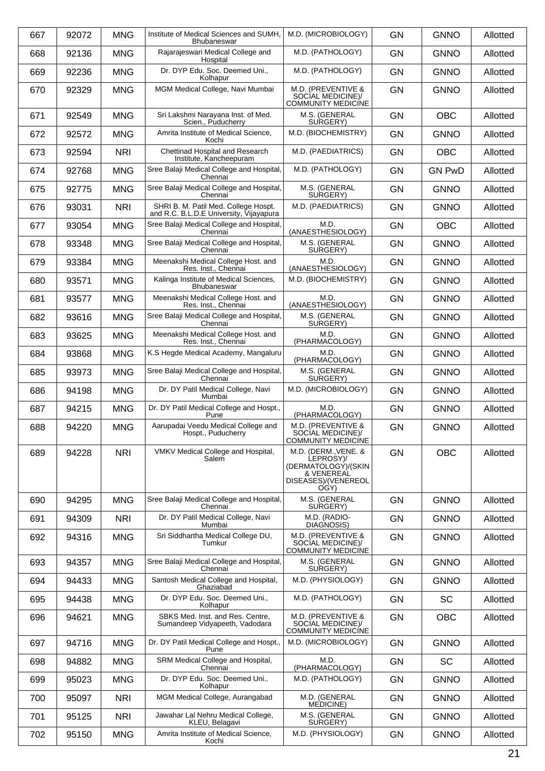| 667 | 92072 | <b>MNG</b> | Institute of Medical Sciences and SUMH,<br><b>Bhubaneswar</b>                   | M.D. (MICROBIOLOGY)                                                                                   | <b>GN</b> | <b>GNNO</b>   | Allotted |
|-----|-------|------------|---------------------------------------------------------------------------------|-------------------------------------------------------------------------------------------------------|-----------|---------------|----------|
| 668 | 92136 | <b>MNG</b> | Rajarajeswari Medical College and<br>Hospital                                   | M.D. (PATHOLOGY)                                                                                      | GN        | <b>GNNO</b>   | Allotted |
| 669 | 92236 | <b>MNG</b> | Dr. DYP Edu. Soc. Deemed Uni.,<br>Kolhapur                                      | M.D. (PATHOLOGY)                                                                                      | <b>GN</b> | <b>GNNO</b>   | Allotted |
| 670 | 92329 | <b>MNG</b> | MGM Medical College, Navi Mumbai                                                | M.D. (PREVENTIVE &<br>SOCIAL MEDICINE)/<br>COMMUNITY MEDICÍNE                                         | <b>GN</b> | <b>GNNO</b>   | Allotted |
| 671 | 92549 | <b>MNG</b> | Sri Lakshmi Narayana Inst. of Med.<br>Scien., Puducherry                        | M.S. (GENERAL<br>SURGERY)                                                                             | <b>GN</b> | <b>OBC</b>    | Allotted |
| 672 | 92572 | <b>MNG</b> | Amrita Institute of Medical Science,<br>Kochi                                   | M.D. (BIOCHEMISTRY)                                                                                   | <b>GN</b> | <b>GNNO</b>   | Allotted |
| 673 | 92594 | <b>NRI</b> | Chettinad Hospital and Research<br>Institute, Kancheepuram                      | M.D. (PAEDIATRICS)                                                                                    | GN        | <b>OBC</b>    | Allotted |
| 674 | 92768 | <b>MNG</b> | Sree Balaji Medical College and Hospital,<br>Chennai                            | M.D. (PATHOLOGY)                                                                                      | <b>GN</b> | <b>GN PwD</b> | Allotted |
| 675 | 92775 | <b>MNG</b> | Sree Balaji Medical College and Hospital,<br>Chennai                            | M.S. (GENERAL<br>SURGERY)                                                                             | <b>GN</b> | <b>GNNO</b>   | Allotted |
| 676 | 93031 | <b>NRI</b> | SHRI B. M. Patil Med. College Hospt.<br>and R.C. B.L.D.E University, Vijayapura | M.D. (PAEDIATRICS)                                                                                    | GN        | <b>GNNO</b>   | Allotted |
| 677 | 93054 | <b>MNG</b> | Sree Balaji Medical College and Hospital,<br>Chennai                            | M.D.<br>(ANAESTHESIOLOGY)                                                                             | <b>GN</b> | <b>OBC</b>    | Allotted |
| 678 | 93348 | <b>MNG</b> | Sree Balaji Medical College and Hospital,<br>Chennai                            | M.S. (GENERAL<br>SURGERY)                                                                             | <b>GN</b> | <b>GNNO</b>   | Allotted |
| 679 | 93384 | <b>MNG</b> | Meenakshi Medical College Host. and<br>Res. Inst., Chennai                      | M.D.<br>(ANAESTHESIOLOGY)                                                                             | GN        | <b>GNNO</b>   | Allotted |
| 680 | 93571 | <b>MNG</b> | Kalinga Institute of Medical Sciences,<br><b>Bhubaneswar</b>                    | M.D. (BIOCHEMISTRY)                                                                                   | <b>GN</b> | <b>GNNO</b>   | Allotted |
| 681 | 93577 | <b>MNG</b> | Meenakshi Medical College Host. and<br>Res. Inst., Chennai                      | M.D.<br>(ANAESTHESIOLOGY)                                                                             | <b>GN</b> | <b>GNNO</b>   | Allotted |
| 682 | 93616 | <b>MNG</b> | Sree Balaji Medical College and Hospital,<br>Chennai                            | M.S. (GENERAL<br>SURGERY)                                                                             | GN        | <b>GNNO</b>   | Allotted |
| 683 | 93625 | <b>MNG</b> | Meenakshi Medical College Host. and<br>Res. Inst., Chennai                      | M.D.<br>(PHARMACOLOGY)                                                                                | <b>GN</b> | <b>GNNO</b>   | Allotted |
| 684 | 93868 | <b>MNG</b> | K.S Hegde Medical Academy, Mangaluru                                            | M.D.<br>(PHARMACOLOGY)                                                                                | <b>GN</b> | <b>GNNO</b>   | Allotted |
| 685 | 93973 | <b>MNG</b> | Sree Balaji Medical College and Hospital,<br>Chennai                            | M.S. (GENERAL<br>SURGERY)                                                                             | GN        | <b>GNNO</b>   | Allotted |
| 686 | 94198 | <b>MNG</b> | Dr. DY Patil Medical College, Navi<br>Mumbai                                    | M.D. (MICROBIOLOGY)                                                                                   | GN        | <b>GNNO</b>   | Allotted |
| 687 | 94215 | <b>MNG</b> | Dr. DY Patil Medical College and Hospt.,<br>Pune                                | M.D.<br>(PHARMACOLOGY)                                                                                | <b>GN</b> | <b>GNNO</b>   | Allotted |
| 688 | 94220 | <b>MNG</b> | Aarupadai Veedu Medical College and<br>Hospt., Puducherry                       | M.D. (PREVENTIVE &<br>SOCIAL MEDICINEY<br><b>COMMUNITY MEDICINE</b>                                   | GN        | <b>GNNO</b>   | Allotted |
| 689 | 94228 | <b>NRI</b> | VMKV Medical College and Hospital,<br>Salem                                     | M.D. (DERM., VENE. &<br>LEPROSY)/<br>(DERMATOLOGY)/(SKIN<br>& VENEREAL<br>DISEASES)/(VENEREOL<br>OGY) | <b>GN</b> | <b>OBC</b>    | Allotted |
| 690 | 94295 | <b>MNG</b> | Sree Balaji Medical College and Hospital,<br>Chennai                            | M.S. (GENERAL<br>SURGERY)                                                                             | GN        | <b>GNNO</b>   | Allotted |
| 691 | 94309 | <b>NRI</b> | Dr. DY Patil Medical College, Navi<br>Mumbai                                    | M.D. (RADIO-<br>DIAGNOSIS)                                                                            | <b>GN</b> | <b>GNNO</b>   | Allotted |
| 692 | 94316 | <b>MNG</b> | Sri Siddhartha Medical College DU,<br>Tumkur                                    | M.D. (PREVENTIVE &<br>SOCIAL MEDICINE)/<br><b>COMMUNITY MEDICÍNE</b>                                  | GN        | <b>GNNO</b>   | Allotted |
| 693 | 94357 | <b>MNG</b> | Sree Balaji Medical College and Hospital,<br>Chennai                            | M.S. (GENERAL<br>SURGERY)                                                                             | <b>GN</b> | <b>GNNO</b>   | Allotted |
| 694 | 94433 | <b>MNG</b> | Santosh Medical College and Hospital,<br>Ghaziabad                              | M.D. (PHYSIOLOGY)                                                                                     | GN        | <b>GNNO</b>   | Allotted |
| 695 | 94438 | <b>MNG</b> | Dr. DYP Edu. Soc. Deemed Uni.,<br>Kolhapur                                      | M.D. (PATHOLOGY)                                                                                      | <b>GN</b> | <b>SC</b>     | Allotted |
| 696 | 94621 | <b>MNG</b> | SBKS Med. Inst. and Res. Centre,<br>Sumandeep Vidyapeeth, Vadodara              | M.D. (PREVENTIVE &<br>SOCIAL MEDICINE)/<br>COMMUNITY MEDICÍNE                                         | GN        | <b>OBC</b>    | Allotted |
| 697 | 94716 | <b>MNG</b> | Dr. DY Patil Medical College and Hospt.,<br>Pune                                | M.D. (MICROBIOLOGY)                                                                                   | <b>GN</b> | <b>GNNO</b>   | Allotted |
| 698 | 94882 | <b>MNG</b> | SRM Medical College and Hospital,<br>Chennai                                    | M.D.<br>(PHARMACOLOGY)                                                                                | <b>GN</b> | <b>SC</b>     | Allotted |
| 699 | 95023 | <b>MNG</b> | Dr. DYP Edu. Soc. Deemed Uni.,<br>Kolhapur                                      | M.D. (PATHOLOGY)                                                                                      | GN        | <b>GNNO</b>   | Allotted |
| 700 | 95097 | <b>NRI</b> | MGM Medical College, Aurangabad                                                 | M.D. (GENERAL<br>MEDICINE)                                                                            | <b>GN</b> | <b>GNNO</b>   | Allotted |
| 701 | 95125 | <b>NRI</b> | Jawahar Lal Nehru Medical College,<br>KLEU, Belagavi                            | M.S. (GENERAL<br>SURGERY)                                                                             | GN        | <b>GNNO</b>   | Allotted |
| 702 | 95150 | <b>MNG</b> | Amrita Institute of Medical Science,<br>Kochi                                   | M.D. (PHYSIOLOGY)                                                                                     | <b>GN</b> | <b>GNNO</b>   | Allotted |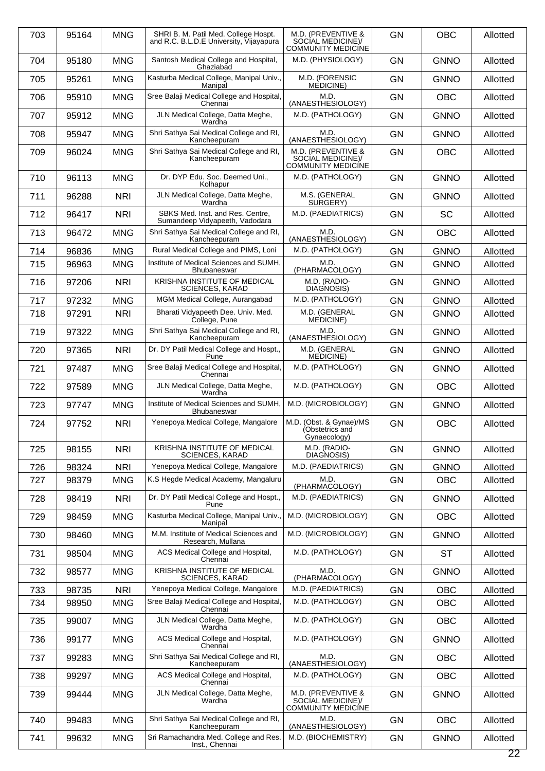| 703 | 95164 | <b>MNG</b> | SHRI B. M. Patil Med. College Hospt.<br>and R.C. B.L.D.E University, Vijayapura | M.D. (PREVENTIVE &<br>SOCIAL MEDICINE)/<br><b>COMMUNITY MEDICÍNE</b> | <b>GN</b> | <b>OBC</b>  | Allotted |
|-----|-------|------------|---------------------------------------------------------------------------------|----------------------------------------------------------------------|-----------|-------------|----------|
| 704 | 95180 | <b>MNG</b> | Santosh Medical College and Hospital,<br>Ghaziabad                              | M.D. (PHYSIOLOGY)                                                    | <b>GN</b> | <b>GNNO</b> | Allotted |
| 705 | 95261 | <b>MNG</b> | Kasturba Medical College, Manipal Univ.,<br>Manipal                             | M.D. (FORENSIC<br>MEDICINE)                                          | <b>GN</b> | <b>GNNO</b> | Allotted |
| 706 | 95910 | <b>MNG</b> | Sree Balaji Medical College and Hospital,<br>Chennai                            | M.D.<br>(ANAESTHESIOLOGY)                                            | <b>GN</b> | <b>OBC</b>  | Allotted |
| 707 | 95912 | <b>MNG</b> | JLN Medical College, Datta Meghe,<br>Wardha                                     | M.D. (PATHOLOGY)                                                     | <b>GN</b> | <b>GNNO</b> | Allotted |
| 708 | 95947 | <b>MNG</b> | Shri Sathya Sai Medical College and RI,<br>Kancheepuram                         | M.D.<br>(ANAESTHESIOLOGY)                                            | <b>GN</b> | <b>GNNO</b> | Allotted |
| 709 | 96024 | <b>MNG</b> | Shri Sathya Sai Medical College and RI,<br>Kancheepuram                         | M.D. (PREVENTIVE &<br>SOCIAL MEDICINE)/<br>COMMUNITY MEDICINE        | <b>GN</b> | <b>OBC</b>  | Allotted |
| 710 | 96113 | <b>MNG</b> | Dr. DYP Edu. Soc. Deemed Uni.,<br>Kolhapur                                      | M.D. (PATHOLOGY)                                                     | <b>GN</b> | <b>GNNO</b> | Allotted |
| 711 | 96288 | <b>NRI</b> | JLN Medical College, Datta Meghe,<br>Wardha                                     | M.S. (GENERAL<br>SURGERY)                                            | GN        | <b>GNNO</b> | Allotted |
| 712 | 96417 | <b>NRI</b> | SBKS Med. Inst. and Res. Centre,<br>Sumandeep Vidyapeeth, Vadodara              | M.D. (PAEDIATRICS)                                                   | <b>GN</b> | <b>SC</b>   | Allotted |
| 713 | 96472 | <b>MNG</b> | Shri Sathya Sai Medical College and RI,<br>Kancheepuram                         | M.D.<br>(ANAESTHESIOLOGY)                                            | <b>GN</b> | <b>OBC</b>  | Allotted |
| 714 | 96836 | <b>MNG</b> | Rural Medical College and PIMS, Loni                                            | M.D. (PATHOLOGY)                                                     | <b>GN</b> | <b>GNNO</b> | Allotted |
| 715 | 96963 | <b>MNG</b> | Institute of Medical Sciences and SUMH,<br><b>Bhubaneswar</b>                   | M.D.<br>(PHARMACOLOGY)                                               | GN        | <b>GNNO</b> | Allotted |
| 716 | 97206 | <b>NRI</b> | KRISHNA INSTITUTE OF MEDICAL<br><b>SCIENCES, KARAD</b>                          | M.D. (RADIO-<br>DIAGNOSIS)                                           | GN        | <b>GNNO</b> | Allotted |
| 717 | 97232 | <b>MNG</b> | MGM Medical College, Aurangabad                                                 | M.D. (PATHOLOGY)                                                     | <b>GN</b> | <b>GNNO</b> | Allotted |
| 718 | 97291 | <b>NRI</b> | Bharati Vidyapeeth Dee. Univ. Med.                                              | M.D. (GENERAL                                                        | GN        | <b>GNNO</b> | Allotted |
| 719 | 97322 | <b>MNG</b> | College, Pune<br>Shri Sathya Sai Medical College and RI,                        | MEDICINE)<br>M.D.                                                    | <b>GN</b> | <b>GNNO</b> | Allotted |
|     |       |            | Kancheepuram                                                                    | (ANAESTHESIOLOGY)                                                    |           |             |          |
| 720 | 97365 | <b>NRI</b> | Dr. DY Patil Medical College and Hospt.,<br>Pune                                | M.D. (GENERAL<br>MEDICINE)                                           | <b>GN</b> | <b>GNNO</b> | Allotted |
| 721 | 97487 | <b>MNG</b> | Sree Balaji Medical College and Hospital,<br>Chennai                            | M.D. (PATHOLOGY)                                                     | GN        | <b>GNNO</b> | Allotted |
| 722 | 97589 | <b>MNG</b> | JLN Medical College, Datta Meghe,<br>Wardha                                     | M.D. (PATHOLOGY)                                                     | <b>GN</b> | <b>OBC</b>  | Allotted |
| 723 | 97747 | <b>MNG</b> | Institute of Medical Sciences and SUMH,<br>Bhubaneswar                          | M.D. (MICROBIOLOGY)                                                  | <b>GN</b> | <b>GNNO</b> | Allotted |
| 724 | 97752 | <b>NRI</b> | Yenepoya Medical College, Mangalore                                             | M.D. (Obst. & Gynae)/MS<br>(Obstetrics and<br>Gynaecology)           | <b>GN</b> | <b>OBC</b>  | Allotted |
| 725 | 98155 | <b>NRI</b> | KRISHNA INSTITUTE OF MEDICAL<br><b>SCIENCES, KARAD</b>                          | M.D. (RADIO-<br>DIAGNOSIS)                                           | <b>GN</b> | <b>GNNO</b> | Allotted |
| 726 | 98324 | <b>NRI</b> | Yenepoya Medical College, Mangalore                                             | M.D. (PAEDIATRICS)                                                   | GN        | <b>GNNO</b> | Allotted |
| 727 | 98379 | <b>MNG</b> | K.S Hegde Medical Academy, Mangaluru                                            | M.D.<br>(PHARMACOLOGY)                                               | GN        | <b>OBC</b>  | Allotted |
| 728 | 98419 | <b>NRI</b> | Dr. DY Patil Medical College and Hospt.,<br>Pune                                | M.D. (PAEDIATRICS)                                                   | <b>GN</b> | <b>GNNO</b> | Allotted |
| 729 | 98459 | <b>MNG</b> | Kasturba Medical College, Manipal Univ.,<br>Manipal                             | M.D. (MICROBIOLOGY)                                                  | GN        | <b>OBC</b>  | Allotted |
| 730 | 98460 | <b>MNG</b> | M.M. Institute of Medical Sciences and<br>Research, Mullana                     | M.D. (MICROBIOLOGY)                                                  | GN        | <b>GNNO</b> | Allotted |
| 731 | 98504 | <b>MNG</b> | ACS Medical College and Hospital,<br>Chennai                                    | M.D. (PATHOLOGY)                                                     | GN        | <b>ST</b>   | Allotted |
| 732 | 98577 | <b>MNG</b> | KRISHNA INSTITUTE OF MEDICAL<br><b>SCIENCES, KARAD</b>                          | M.D.<br>(PHARMACOLOGY)                                               | GN        | <b>GNNO</b> | Allotted |
| 733 | 98735 | <b>NRI</b> | Yenepoya Medical College, Mangalore                                             | M.D. (PAEDIATRICS)                                                   | GN        | <b>OBC</b>  | Allotted |
| 734 | 98950 | <b>MNG</b> | Sree Balaji Medical College and Hospital,<br>Chennai                            | M.D. (PATHOLOGY)                                                     | GN        | <b>OBC</b>  | Allotted |
| 735 | 99007 | <b>MNG</b> | JLN Medical College, Datta Meghe,<br>Wardha                                     | M.D. (PATHOLOGY)                                                     | GN        | <b>OBC</b>  | Allotted |
| 736 | 99177 | <b>MNG</b> | ACS Medical College and Hospital,<br>Chennai                                    | M.D. (PATHOLOGY)                                                     | GN        | <b>GNNO</b> | Allotted |
| 737 | 99283 | <b>MNG</b> | Shri Sathya Sai Medical College and RI,<br>Kancheepuram                         | M.D.<br>(ANAESTHESIOLOGY)                                            | GN        | <b>OBC</b>  | Allotted |
| 738 | 99297 | <b>MNG</b> | ACS Medical College and Hospital,<br>Chennai                                    | M.D. (PATHOLOGY)                                                     | GN        | <b>OBC</b>  | Allotted |
| 739 | 99444 | <b>MNG</b> | JLN Medical College, Datta Meghe,<br>Wardha                                     | M.D. (PREVENTIVE &<br>SOCIAL MEDICINE)/<br><b>COMMUNITY MEDICÍNE</b> | GN        | <b>GNNO</b> | Allotted |
| 740 | 99483 | <b>MNG</b> | Shri Sathya Sai Medical College and RI,<br>Kancheepuram                         | M.D.<br>(ANAESTHESIOLOGY)                                            | GN        | <b>OBC</b>  | Allotted |
| 741 | 99632 | <b>MNG</b> | Sri Ramachandra Med. College and Res.<br>Inst., Chennai                         | M.D. (BIOCHEMISTRY)                                                  | GN        | <b>GNNO</b> | Allotted |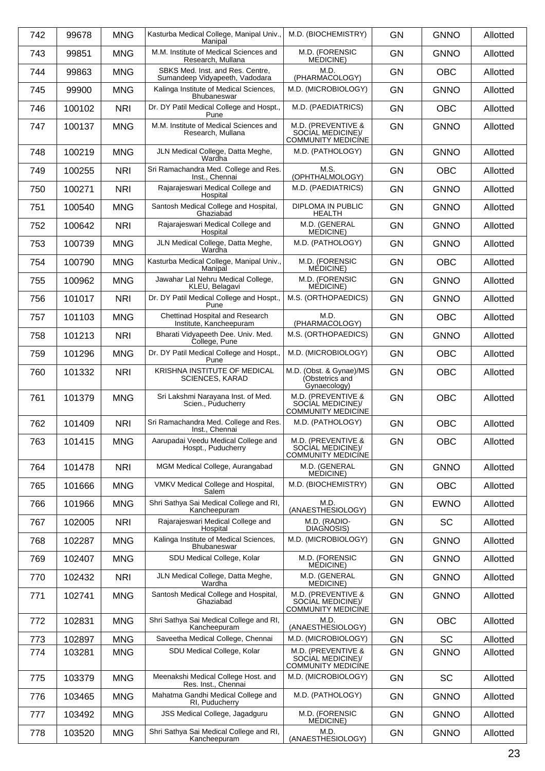| 742 | 99678  | <b>MNG</b> | Kasturba Medical College, Manipal Univ.,<br>Manipal                | M.D. (BIOCHEMISTRY)                                                  | <b>GN</b> | <b>GNNO</b> | Allotted |
|-----|--------|------------|--------------------------------------------------------------------|----------------------------------------------------------------------|-----------|-------------|----------|
| 743 | 99851  | <b>MNG</b> | M.M. Institute of Medical Sciences and<br>Research, Mullana        | M.D. (FORENSIC<br>MEDICINE)                                          | <b>GN</b> | <b>GNNO</b> | Allotted |
| 744 | 99863  | <b>MNG</b> | SBKS Med. Inst. and Res. Centre,<br>Sumandeep Vidyapeeth, Vadodara | M.D.<br>(PHARMACOLOGY)                                               | <b>GN</b> | <b>OBC</b>  | Allotted |
| 745 | 99900  | <b>MNG</b> | Kalinga Institute of Medical Sciences.<br>Bhubaneswar              | M.D. (MICROBIOLOGY)                                                  | <b>GN</b> | <b>GNNO</b> | Allotted |
| 746 | 100102 | <b>NRI</b> | Dr. DY Patil Medical College and Hospt.,<br>Pune                   | M.D. (PAEDIATRICS)                                                   | <b>GN</b> | <b>OBC</b>  | Allotted |
| 747 | 100137 | <b>MNG</b> | M.M. Institute of Medical Sciences and<br>Research, Mullana        | M.D. (PREVENTIVE &<br>SOCIAL MEDICINE)/<br><b>COMMUNITY MEDICINE</b> | <b>GN</b> | <b>GNNO</b> | Allotted |
| 748 | 100219 | <b>MNG</b> | JLN Medical College, Datta Meghe,<br>Wardha                        | M.D. (PATHOLOGY)                                                     | <b>GN</b> | <b>GNNO</b> | Allotted |
| 749 | 100255 | <b>NRI</b> | Sri Ramachandra Med. College and Res.<br>Inst., Chennai            | M.S.<br>(OPHTHALMOLOGY)                                              | <b>GN</b> | <b>OBC</b>  | Allotted |
| 750 | 100271 | <b>NRI</b> | Rajarajeswari Medical College and<br>Hospital                      | M.D. (PAEDIATRICS)                                                   | <b>GN</b> | <b>GNNO</b> | Allotted |
| 751 | 100540 | <b>MNG</b> | Santosh Medical College and Hospital,<br>Ghaziabad                 | <b>DIPLOMA IN PUBLIC</b><br><b>HEALTH</b>                            | <b>GN</b> | <b>GNNO</b> | Allotted |
| 752 | 100642 | <b>NRI</b> | Rajarajeswari Medical College and<br>Hospital                      | M.D. (GENERAL<br>MEDICINE)                                           | <b>GN</b> | <b>GNNO</b> | Allotted |
| 753 | 100739 | <b>MNG</b> | JLN Medical College, Datta Meghe,<br>Wardha                        | M.D. (PATHOLOGY)                                                     | <b>GN</b> | <b>GNNO</b> | Allotted |
| 754 | 100790 | <b>MNG</b> | Kasturba Medical College, Manipal Univ.,<br>Manipal                | M.D. (FORENSIC<br>MEDICINE)                                          | <b>GN</b> | <b>OBC</b>  | Allotted |
| 755 | 100962 | <b>MNG</b> | Jawahar Lal Nehru Medical College,<br>KLEU, Belagavi               | M.D. (FORENSIC<br><b>MEDICINE</b> )                                  | <b>GN</b> | <b>GNNO</b> | Allotted |
| 756 | 101017 | <b>NRI</b> | Dr. DY Patil Medical College and Hospt.,<br>Pune                   | M.S. (ORTHOPAEDICS)                                                  | <b>GN</b> | <b>GNNO</b> | Allotted |
| 757 | 101103 | <b>MNG</b> | Chettinad Hospital and Research<br>Institute, Kancheepuram         | M.D.<br>(PHARMACOLOGY)                                               | <b>GN</b> | <b>OBC</b>  | Allotted |
| 758 | 101213 | <b>NRI</b> | Bharati Vidyapeeth Dee. Univ. Med.<br>College, Pune                | M.S. (ORTHOPAEDICS)                                                  | <b>GN</b> | <b>GNNO</b> | Allotted |
| 759 | 101296 | <b>MNG</b> | Dr. DY Patil Medical College and Hospt.,<br>Pune                   | M.D. (MICROBIOLOGY)                                                  | <b>GN</b> | <b>OBC</b>  | Allotted |
| 760 | 101332 | <b>NRI</b> | KRISHNA INSTITUTE OF MEDICAL<br><b>SCIENCES, KARAD</b>             | M.D. (Obst. & Gynae)/MS<br>(Obstetrics and<br>Gynaecology)           | <b>GN</b> | <b>OBC</b>  | Allotted |
| 761 | 101379 | <b>MNG</b> | Sri Lakshmi Naravana Inst. of Med.<br>Scien., Puducherry           | M.D. (PREVENTIVE &<br>SOCIAL MEDICINE)/<br><b>COMMUNITY MEDICÍNE</b> | <b>GN</b> | <b>OBC</b>  | Allotted |
| 762 | 101409 | <b>NRI</b> | Sri Ramachandra Med. College and Res.<br>Inst., Chennai            | M.D. (PATHOLOGY)                                                     | <b>GN</b> | <b>OBC</b>  | Allotted |
| 763 | 101415 | <b>MNG</b> | Aarupadai Veedu Medical College and<br>Hospt., Puducherry          | M.D. (PREVENTIVE &<br>SOCIAL MEDICINE)/<br><b>COMMUNITY MEDICÍNE</b> | <b>GN</b> | <b>OBC</b>  | Allotted |
| 764 | 101478 | <b>NRI</b> | MGM Medical College, Aurangabad                                    | M.D. (GENERAL<br><b>MEDICINE</b> )                                   | <b>GN</b> | <b>GNNO</b> | Allotted |
| 765 | 101666 | <b>MNG</b> | VMKV Medical College and Hospital,<br>Salem                        | M.D. (BIOCHEMISTRY)                                                  | <b>GN</b> | <b>OBC</b>  | Allotted |
| 766 | 101966 | <b>MNG</b> | Shri Sathya Sai Medical College and RI,<br>Kancheepuram            | M.D.<br>(ANAESTHESIOLOGY)                                            | <b>GN</b> | <b>EWNO</b> | Allotted |
| 767 | 102005 | <b>NRI</b> | Rajarajeswari Medical College and<br>Hospital                      | M.D. (RADIO-<br>DIAGNOSIS)                                           | <b>GN</b> | SC          | Allotted |
| 768 | 102287 | <b>MNG</b> | Kalinga Institute of Medical Sciences,<br>Bhubaneswar              | M.D. (MICROBIOLOGY)                                                  | GN        | <b>GNNO</b> | Allotted |
| 769 | 102407 | <b>MNG</b> | SDU Medical College, Kolar                                         | M.D. (FORENSIC<br><b>MEDICINE</b> )                                  | <b>GN</b> | <b>GNNO</b> | Allotted |
| 770 | 102432 | <b>NRI</b> | JLN Medical College, Datta Meghe,<br>Wardha                        | M.D. (GENERAL<br>MEDICINE)                                           | <b>GN</b> | <b>GNNO</b> | Allotted |
| 771 | 102741 | <b>MNG</b> | Santosh Medical College and Hospital,<br>Ghaziabad                 | M.D. (PREVENTIVE &<br>SOCIAL MEDICINE)/<br>COMMUNITY MEDICÍNE        | <b>GN</b> | <b>GNNO</b> | Allotted |
| 772 | 102831 | <b>MNG</b> | Shri Sathya Sai Medical College and RI,<br>Kancheepuram            | M.D.<br>(ANAESTHESIOLOGY)                                            | <b>GN</b> | <b>OBC</b>  | Allotted |
| 773 | 102897 | <b>MNG</b> | Saveetha Medical College, Chennai                                  | M.D. (MICROBIOLOGY)                                                  | GN        | SC          | Allotted |
| 774 | 103281 | <b>MNG</b> | SDU Medical College, Kolar                                         | M.D. (PREVENTIVE &<br>SOCIAL MEDICINE)/<br><b>COMMUNITY MEDICINE</b> | <b>GN</b> | <b>GNNO</b> | Allotted |
| 775 | 103379 | <b>MNG</b> | Meenakshi Medical College Host. and<br>Res. Inst., Chennai         | M.D. (MICROBIOLOGY)                                                  | <b>GN</b> | <b>SC</b>   | Allotted |
| 776 | 103465 | <b>MNG</b> | Mahatma Gandhi Medical College and<br>RI, Puducherry               | M.D. (PATHOLOGY)                                                     | <b>GN</b> | <b>GNNO</b> | Allotted |
| 777 | 103492 | <b>MNG</b> | JSS Medical College, Jagadguru                                     | M.D. (FORENSIC<br>MEDICINE)                                          | <b>GN</b> | <b>GNNO</b> | Allotted |
| 778 | 103520 | <b>MNG</b> | Shri Sathya Sai Medical College and RI,<br>Kancheepuram            | M.D.<br>(ANAESTHESIOLOGY)                                            | GN        | <b>GNNO</b> | Allotted |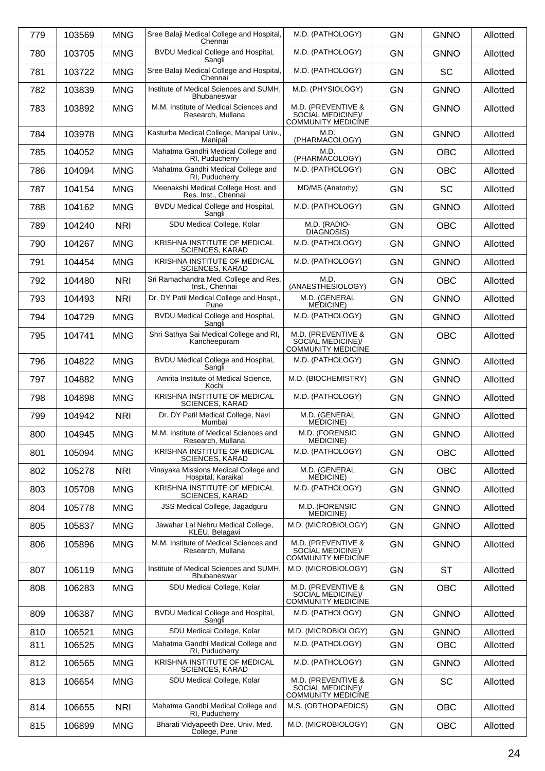| 779 | 103569 | <b>MNG</b> | Sree Balaji Medical College and Hospital,<br>Chennai          | M.D. (PATHOLOGY)                                                     | <b>GN</b> | <b>GNNO</b> | Allotted |
|-----|--------|------------|---------------------------------------------------------------|----------------------------------------------------------------------|-----------|-------------|----------|
| 780 | 103705 | <b>MNG</b> | BVDU Medical College and Hospital,<br>Sangli                  | M.D. (PATHOLOGY)                                                     | <b>GN</b> | <b>GNNO</b> | Allotted |
| 781 | 103722 | <b>MNG</b> | Sree Balaji Medical College and Hospital,<br>Chennai          | M.D. (PATHOLOGY)                                                     | <b>GN</b> | SC          | Allotted |
| 782 | 103839 | <b>MNG</b> | Institute of Medical Sciences and SUMH,<br><b>Bhubaneswar</b> | M.D. (PHYSIOLOGY)                                                    | <b>GN</b> | <b>GNNO</b> | Allotted |
| 783 | 103892 | <b>MNG</b> | M.M. Institute of Medical Sciences and<br>Research, Mullana   | M.D. (PREVENTIVE &<br>SOCIAL MEDICINE)/<br><b>COMMUNITY MEDICINE</b> | <b>GN</b> | <b>GNNO</b> | Allotted |
| 784 | 103978 | <b>MNG</b> | Kasturba Medical College, Manipal Univ.,<br>Manipal           | M.D.<br>(PHARMACOLOGY)                                               | <b>GN</b> | <b>GNNO</b> | Allotted |
| 785 | 104052 | <b>MNG</b> | Mahatma Gandhi Medical College and<br>RI, Puducherry          | M.D.<br>(PHARMACOLOGY)                                               | <b>GN</b> | <b>OBC</b>  | Allotted |
| 786 | 104094 | <b>MNG</b> | Mahatma Gandhi Medical College and<br>RI, Puducherry          | M.D. (PATHOLOGY)                                                     | <b>GN</b> | <b>OBC</b>  | Allotted |
| 787 | 104154 | <b>MNG</b> | Meenakshi Medical College Host. and<br>Res. Inst., Chennai    | MD/MS (Anatomy)                                                      | <b>GN</b> | <b>SC</b>   | Allotted |
| 788 | 104162 | <b>MNG</b> | BVDU Medical College and Hospital,<br>Sangli                  | M.D. (PATHOLOGY)                                                     | <b>GN</b> | <b>GNNO</b> | Allotted |
| 789 | 104240 | <b>NRI</b> | SDU Medical College, Kolar                                    | M.D. (RADIO-<br>DIAGNOSIS)                                           | <b>GN</b> | <b>OBC</b>  | Allotted |
| 790 | 104267 | <b>MNG</b> | KRISHNA INSTITUTE OF MEDICAL<br><b>SCIENCES, KARAD</b>        | M.D. (PATHOLOGY)                                                     | <b>GN</b> | <b>GNNO</b> | Allotted |
| 791 | 104454 | <b>MNG</b> | KRISHNA INSTITUTE OF MEDICAL<br><b>SCIENCES, KARAD</b>        | M.D. (PATHOLOGY)                                                     | <b>GN</b> | <b>GNNO</b> | Allotted |
| 792 | 104480 | <b>NRI</b> | Sri Ramachandra Med. College and Res.<br>Inst., Chennai       | M.D.<br>(ANAESTHESIOLOGY)                                            | <b>GN</b> | <b>OBC</b>  | Allotted |
| 793 | 104493 | <b>NRI</b> | Dr. DY Patil Medical College and Hospt.,<br>Pune              | M.D. (GENERAL<br><b>MEDICINE</b> )                                   | <b>GN</b> | <b>GNNO</b> | Allotted |
| 794 | 104729 | <b>MNG</b> | BVDU Medical College and Hospital,<br>Sangli                  | M.D. (PATHOLOGY)                                                     | <b>GN</b> | <b>GNNO</b> | Allotted |
| 795 | 104741 | <b>MNG</b> | Shri Sathya Sai Medical College and RI,<br>Kancheepuram       | M.D. (PREVENTIVE &<br>SOCIAL MEDICINE)/<br><b>COMMUNITY MEDICÍNE</b> | <b>GN</b> | <b>OBC</b>  | Allotted |
| 796 | 104822 | <b>MNG</b> | BVDU Medical College and Hospital,<br>Sangli                  | M.D. (PATHOLOGY)                                                     | <b>GN</b> | <b>GNNO</b> | Allotted |
| 797 | 104882 | <b>MNG</b> | Amrita Institute of Medical Science,<br>Kochi                 | M.D. (BIOCHEMISTRY)                                                  | <b>GN</b> | <b>GNNO</b> | Allotted |
| 798 | 104898 | <b>MNG</b> | KRISHNA INSTITUTE OF MEDICAL<br><b>SCIENCES, KARAD</b>        | M.D. (PATHOLOGY)                                                     | <b>GN</b> | <b>GNNO</b> | Allotted |
| 799 | 104942 | <b>NRI</b> | Dr. DY Patil Medical College, Navi<br>Mumbai                  | M.D. (GENERAL<br><b>MEDICINE</b> )                                   | <b>GN</b> | <b>GNNO</b> | Allotted |
| 800 | 104945 | <b>MNG</b> | M.M. Institute of Medical Sciences and<br>Research, Mullana   | M.D. (FORENSIC<br>MÈDICINE)                                          | GN        | <b>GNNO</b> | Allotted |
| 801 | 105094 | <b>MNG</b> | KRISHNA INSTITUTE OF MEDICAL<br><b>SCIENCES, KARAD</b>        | M.D. (PATHOLOGY)                                                     | GN        | <b>OBC</b>  | Allotted |
| 802 | 105278 | <b>NRI</b> | Vinayaka Missions Medical College and<br>Hospital, Karaikal   | M.D. (GENERAL<br><b>MEDICINE</b> )                                   | <b>GN</b> | <b>OBC</b>  | Allotted |
| 803 | 105708 | <b>MNG</b> | KRISHNA INSTITUTE OF MEDICAL<br><b>SCIENCES, KARAD</b>        | M.D. (PATHOLOGY)                                                     | <b>GN</b> | <b>GNNO</b> | Allotted |
| 804 | 105778 | <b>MNG</b> | JSS Medical College, Jagadguru                                | M.D. (FORENSIC<br>MEDICINE)                                          | GN        | <b>GNNO</b> | Allotted |
| 805 | 105837 | <b>MNG</b> | Jawahar Lal Nehru Medical College,<br>KLEU, Belagavi          | M.D. (MICROBIOLOGY)                                                  | <b>GN</b> | <b>GNNO</b> | Allotted |
| 806 | 105896 | <b>MNG</b> | M.M. Institute of Medical Sciences and<br>Research, Mullana   | M.D. (PREVENTIVE &<br>SOCIAL MEDICINE)/<br><b>COMMUNITY MEDICÍNE</b> | <b>GN</b> | <b>GNNO</b> | Allotted |
| 807 | 106119 | <b>MNG</b> | Institute of Medical Sciences and SUMH,<br><b>Bhubaneswar</b> | M.D. (MICROBIOLOGY)                                                  | <b>GN</b> | <b>ST</b>   | Allotted |
| 808 | 106283 | <b>MNG</b> | SDU Medical College, Kolar                                    | M.D. (PREVENTIVE &<br>SOCIAL MEDICINE)/<br><b>COMMUNITY MEDICINE</b> | <b>GN</b> | <b>OBC</b>  | Allotted |
| 809 | 106387 | <b>MNG</b> | BVDU Medical College and Hospital,<br>Sangli                  | M.D. (PATHOLOGY)                                                     | <b>GN</b> | <b>GNNO</b> | Allotted |
| 810 | 106521 | <b>MNG</b> | SDU Medical College, Kolar                                    | M.D. (MICROBIOLOGY)                                                  | <b>GN</b> | <b>GNNO</b> | Allotted |
| 811 | 106525 | <b>MNG</b> | Mahatma Gandhi Medical College and<br>RI, Puducherry          | M.D. (PATHOLOGY)                                                     | <b>GN</b> | <b>OBC</b>  | Allotted |
| 812 | 106565 | <b>MNG</b> | KRISHNA INSTITUTE OF MEDICAL<br><b>SCIENCES, KARAD</b>        | M.D. (PATHOLOGY)                                                     | GN        | <b>GNNO</b> | Allotted |
| 813 | 106654 | <b>MNG</b> | SDU Medical College, Kolar                                    | M.D. (PREVENTIVE &<br>SOCIAL MEDICINE)/<br><b>COMMUNITY MEDICINE</b> | <b>GN</b> | SC          | Allotted |
| 814 | 106655 | <b>NRI</b> | Mahatma Gandhi Medical College and<br>RI, Puducherry          | M.S. (ORTHOPAEDICS)                                                  | <b>GN</b> | OBC         | Allotted |
| 815 | 106899 | <b>MNG</b> | Bharati Vidyapeeth Dee. Univ. Med.<br>College, Pune           | M.D. (MICROBIOLOGY)                                                  | <b>GN</b> | <b>OBC</b>  | Allotted |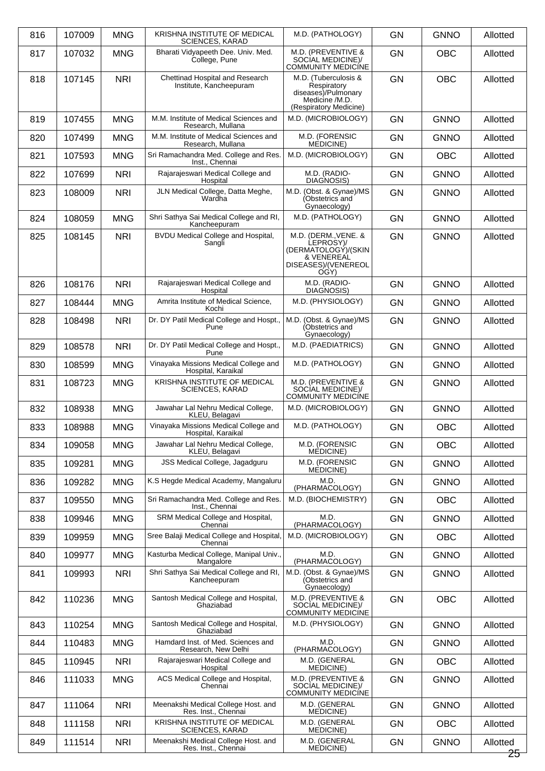| 816 | 107009 | <b>MNG</b> | KRISHNA INSTITUTE OF MEDICAL<br><b>SCIENCES, KARAD</b>      | M.D. (PATHOLOGY)                                                                                       | <b>GN</b> | <b>GNNO</b> | Allotted           |
|-----|--------|------------|-------------------------------------------------------------|--------------------------------------------------------------------------------------------------------|-----------|-------------|--------------------|
| 817 | 107032 | <b>MNG</b> | Bharati Vidyapeeth Dee. Univ. Med.<br>College, Pune         | M.D. (PREVENTIVE &<br>SOCIAL MEDICINE)/<br><b>COMMUNITY MEDICINE</b>                                   | <b>GN</b> | <b>OBC</b>  | Allotted           |
| 818 | 107145 | <b>NRI</b> | Chettinad Hospital and Research<br>Institute, Kancheepuram  | M.D. (Tuberculosis &<br>Respiratory<br>diseases)/Pulmonary<br>Medicine /M.D.<br>(Respiratory Medicine) | <b>GN</b> | <b>OBC</b>  | Allotted           |
| 819 | 107455 | <b>MNG</b> | M.M. Institute of Medical Sciences and<br>Research, Mullana | M.D. (MICROBIOLOGY)                                                                                    | <b>GN</b> | <b>GNNO</b> | Allotted           |
| 820 | 107499 | <b>MNG</b> | M.M. Institute of Medical Sciences and<br>Research, Mullana | M.D. (FORENSIC<br><b>MEDICINE</b> )                                                                    | <b>GN</b> | <b>GNNO</b> | Allotted           |
| 821 | 107593 | <b>MNG</b> | Sri Ramachandra Med. College and Res.<br>Inst., Chennai     | M.D. (MICROBIOLOGY)                                                                                    | <b>GN</b> | <b>OBC</b>  | Allotted           |
| 822 | 107699 | <b>NRI</b> | Rajarajeswari Medical College and<br>Hospital               | M.D. (RADIO-<br>DIAGNOSIS)                                                                             | <b>GN</b> | <b>GNNO</b> | Allotted           |
| 823 | 108009 | <b>NRI</b> | JLN Medical College, Datta Meghe,<br>Wardha                 | M.D. (Obst. & Gynae)/MS<br>(Obstetrics and<br>Gynaecology)                                             | <b>GN</b> | <b>GNNO</b> | Allotted           |
| 824 | 108059 | <b>MNG</b> | Shri Sathya Sai Medical College and RI,<br>Kancheepuram     | M.D. (PATHOLOGY)                                                                                       | <b>GN</b> | <b>GNNO</b> | Allotted           |
| 825 | 108145 | <b>NRI</b> | BVDU Medical College and Hospital,<br>Sangli                | M.D. (DERM., VENE. &<br>LEPROSY)/<br>(DERMATOLOGÝ)/(SKIN<br>& VENEREAL<br>DISEASES)/(VENEREOL<br>OGY)  | <b>GN</b> | <b>GNNO</b> | Allotted           |
| 826 | 108176 | <b>NRI</b> | Rajarajeswari Medical College and<br>Hospital               | M.D. (RADIO-<br>DIAGNOSIS)                                                                             | <b>GN</b> | <b>GNNO</b> | Allotted           |
| 827 | 108444 | <b>MNG</b> | Amrita Institute of Medical Science,<br>Kochi               | M.D. (PHYSIOLOGY)                                                                                      | <b>GN</b> | <b>GNNO</b> | Allotted           |
| 828 | 108498 | <b>NRI</b> | Dr. DY Patil Medical College and Hospt.,<br>Pune            | M.D. (Obst. & Gynae)/MS<br>(Obstetrics and<br>Gynaecology)                                             | <b>GN</b> | <b>GNNO</b> | Allotted           |
| 829 | 108578 | <b>NRI</b> | Dr. DY Patil Medical College and Hospt.,<br>Pune            | M.D. (PAEDIATRICS)                                                                                     | <b>GN</b> | <b>GNNO</b> | Allotted           |
| 830 | 108599 | <b>MNG</b> | Vinayaka Missions Medical College and<br>Hospital, Karaikal | M.D. (PATHOLOGY)                                                                                       | <b>GN</b> | <b>GNNO</b> | Allotted           |
| 831 | 108723 | <b>MNG</b> | KRISHNA INSTITUTE OF MEDICAL<br><b>SCIENCES, KARAD</b>      | M.D. (PREVENTIVE &<br>SOCIAL MEDICINE)/<br><b>COMMUNITY MEDICINE</b>                                   | <b>GN</b> | <b>GNNO</b> | Allotted           |
| 832 | 108938 | <b>MNG</b> | Jawahar Lal Nehru Medical College,<br>KLEU, Belagavi        | M.D. (MICROBIOLOGY)                                                                                    | <b>GN</b> | <b>GNNO</b> | Allotted           |
| 833 | 108988 | <b>MNG</b> | Vinayaka Missions Medical College and<br>Hospital, Karaikal | M.D. (PATHOLOGY)                                                                                       | GN        | OBC         | Allotted           |
| 834 | 109058 | <b>MNG</b> | Jawahar Lal Nehru Medical College,<br>KLEU, Belagavi        | M.D. (FORENSIC<br><b>MEDICINE</b> )                                                                    | <b>GN</b> | <b>OBC</b>  | Allotted           |
| 835 | 109281 | <b>MNG</b> | <b>JSS Medical College, Jagadguru</b>                       | M.D. (FORENSIC<br>MEDICINE)                                                                            | GN        | <b>GNNO</b> | Allotted           |
| 836 | 109282 | <b>MNG</b> | K.S Hegde Medical Academy, Mangaluru                        | M.D.<br>(PHARMACOLOGY)                                                                                 | <b>GN</b> | <b>GNNO</b> | Allotted           |
| 837 | 109550 | <b>MNG</b> | Sri Ramachandra Med. College and Res.<br>Inst., Chennai     | M.D. (BIOCHEMISTRY)                                                                                    | <b>GN</b> | OBC         | Allotted           |
| 838 | 109946 | <b>MNG</b> | SRM Medical College and Hospital,<br>Chennai                | M.D.<br>(PHARMACOLOGY)                                                                                 | GN        | <b>GNNO</b> | Allotted           |
| 839 | 109959 | <b>MNG</b> | Sree Balaji Medical College and Hospital,<br>Chennai        | M.D. (MICROBIOLOGY)                                                                                    | <b>GN</b> | <b>OBC</b>  | Allotted           |
| 840 | 109977 | <b>MNG</b> | Kasturba Medical College, Manipal Univ.,<br>Mangalore       | M.D.<br>(PHARMACOLOGY)                                                                                 | <b>GN</b> | <b>GNNO</b> | Allotted           |
| 841 | 109993 | <b>NRI</b> | Shri Sathya Sai Medical College and RI,<br>Kancheepuram     | M.D. (Obst. & Gynae)/MS<br>(Obstetrics and<br>Gynaecology)                                             | <b>GN</b> | <b>GNNO</b> | Allotted           |
| 842 | 110236 | <b>MNG</b> | Santosh Medical College and Hospital,<br>Ghaziabad          | M.D. (PREVENTIVE &<br>SOCIAL MEDICINE)/<br>COMMUNITY MEDICÍNE                                          | <b>GN</b> | OBC         | Allotted           |
| 843 | 110254 | <b>MNG</b> | Santosh Medical College and Hospital,<br>Ghaziabad          | M.D. (PHYSIOLOGY)                                                                                      | <b>GN</b> | <b>GNNO</b> | Allotted           |
| 844 | 110483 | <b>MNG</b> | Hamdard Inst. of Med. Sciences and<br>Research, New Delhi   | M.D.<br>(PHARMACOLOGY)                                                                                 | <b>GN</b> | <b>GNNO</b> | Allotted           |
| 845 | 110945 | <b>NRI</b> | Rajarajeswari Medical College and<br>Hospital               | M.D. (GENERAL<br><b>MEDICINE)</b>                                                                      | <b>GN</b> | <b>OBC</b>  | Allotted           |
| 846 | 111033 | <b>MNG</b> | ACS Medical College and Hospital,<br>Chennai                | M.D. (PREVENTIVE &<br>SOCIAL MEDICINE)/<br><b>COMMUNITY MEDICINE</b>                                   | GN        | <b>GNNO</b> | Allotted           |
| 847 | 111064 | <b>NRI</b> | Meenakshi Medical College Host. and<br>Res. Inst., Chennai  | M.D. (GENERAL<br><b>MEDICINE)</b>                                                                      | <b>GN</b> | <b>GNNO</b> | Allotted           |
| 848 | 111158 | <b>NRI</b> | KRISHNA INSTITUTE OF MEDICAL<br>SCIENCES, KARAD             | M.D. (GENERAL<br>MEDICINE)                                                                             | GN        | <b>OBC</b>  | Allotted           |
| 849 | 111514 | <b>NRI</b> | Meenakshi Medical College Host. and<br>Res. Inst., Chennai  | M.D. (GENERAL<br>MEDICINE)                                                                             | <b>GN</b> | <b>GNNO</b> | Allotted<br>$25 -$ |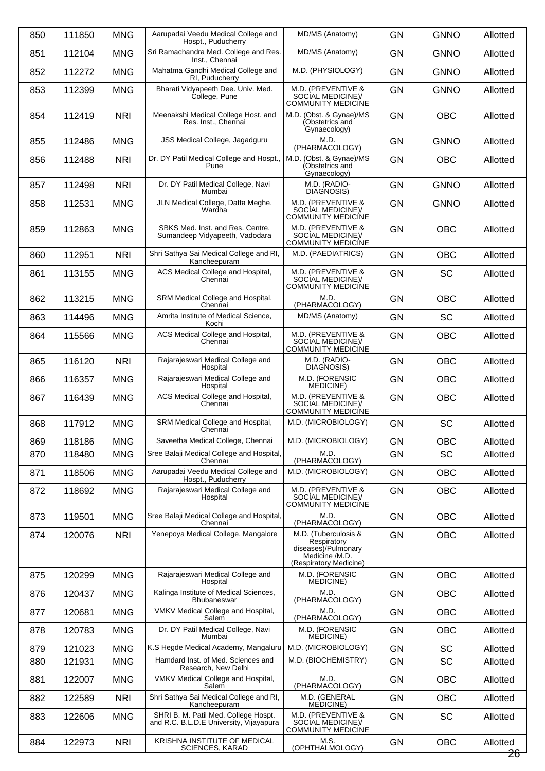| 850 | 111850 | <b>MNG</b> | Aarupadai Veedu Medical College and<br>Hospt., Puducherry                                       | MD/MS (Anatomy)                                                                                        | <b>GN</b> | <b>GNNO</b> | Allotted           |
|-----|--------|------------|-------------------------------------------------------------------------------------------------|--------------------------------------------------------------------------------------------------------|-----------|-------------|--------------------|
| 851 | 112104 | <b>MNG</b> | Sri Ramachandra Med. College and Res.<br>Inst., Chennai                                         | MD/MS (Anatomy)                                                                                        | <b>GN</b> | <b>GNNO</b> | Allotted           |
| 852 | 112272 | <b>MNG</b> | Mahatma Gandhi Medical College and<br>RI, Puducherry                                            | M.D. (PHYSIOLOGY)                                                                                      | <b>GN</b> | <b>GNNO</b> | Allotted           |
| 853 | 112399 | <b>MNG</b> | Bharati Vidyapeeth Dee. Univ. Med.<br>College, Pune                                             | M.D. (PREVENTIVE &<br>SOCIAL MEDICINE)/<br><b>COMMUNITY MEDICÍNE</b>                                   | <b>GN</b> | <b>GNNO</b> | Allotted           |
| 854 | 112419 | <b>NRI</b> | Meenakshi Medical College Host. and<br>Res. Inst., Chennai                                      | M.D. (Obst. & Gynae)/MS<br>(Obstetrics and<br>Gynaecology)                                             | <b>GN</b> | <b>OBC</b>  | Allotted           |
| 855 | 112486 | <b>MNG</b> | JSS Medical College, Jagadguru                                                                  | M.D.<br>(PHARMACOLOGY)                                                                                 | <b>GN</b> | <b>GNNO</b> | Allotted           |
| 856 | 112488 | <b>NRI</b> | Dr. DY Patil Medical College and Hospt.,<br>Pune                                                | M.D. (Obst. & Gynae)/MS<br>(Obstetrics and<br>Gynaecology)                                             | <b>GN</b> | <b>OBC</b>  | Allotted           |
| 857 | 112498 | <b>NRI</b> | Dr. DY Patil Medical College, Navi<br>Mumbai                                                    | M.D. (RADIO-<br>DIAGNOSIS)                                                                             | <b>GN</b> | <b>GNNO</b> | Allotted           |
| 858 | 112531 | <b>MNG</b> | JLN Medical College, Datta Meghe,<br>Wardha                                                     | M.D. (PREVENTIVE &<br>SOCIAL MEDICINE)/<br><b>COMMUNITY MEDICÍNE</b>                                   | <b>GN</b> | <b>GNNO</b> | Allotted           |
| 859 | 112863 | <b>MNG</b> | SBKS Med. Inst. and Res. Centre.<br>Sumandeep Vidyapeeth, Vadodara                              | M.D. (PREVENTIVE &<br>SOCIAL MEDICINE)/<br><b>COMMUNITY MEDICÍNE</b>                                   | <b>GN</b> | <b>OBC</b>  | Allotted           |
| 860 | 112951 | <b>NRI</b> | Shri Sathya Sai Medical College and RI,<br>Kancheepuram                                         | M.D. (PAEDIATRICS)                                                                                     | <b>GN</b> | <b>OBC</b>  | Allotted           |
| 861 | 113155 | <b>MNG</b> | ACS Medical College and Hospital,<br>Chennai                                                    | M.D. (PREVENTIVE &<br>SOCIAL MEDICINE)/<br><b>COMMUNITY MEDICÍNE</b>                                   | <b>GN</b> | SC          | Allotted           |
| 862 | 113215 | <b>MNG</b> | SRM Medical College and Hospital,<br>Chennai                                                    | M.D.<br>(PHARMACOLOGY)                                                                                 | <b>GN</b> | <b>OBC</b>  | Allotted           |
| 863 | 114496 | <b>MNG</b> | Amrita Institute of Medical Science,<br>Kochi                                                   | MD/MS (Anatomy)                                                                                        | <b>GN</b> | SC          | Allotted           |
| 864 | 115566 | <b>MNG</b> | ACS Medical College and Hospital,<br>Chennai                                                    | M.D. (PREVENTIVE &<br>SOCIAL MEDICINE)/<br><b>COMMUNITY MEDICINE</b>                                   | GN        | <b>OBC</b>  | Allotted           |
| 865 | 116120 | <b>NRI</b> | Rajarajeswari Medical College and<br>Hospital                                                   | M.D. (RADIO-<br>DIAGNOSIS)                                                                             | <b>GN</b> | <b>OBC</b>  | Allotted           |
| 866 | 116357 | <b>MNG</b> | Rajarajeswari Medical College and<br>Hospital                                                   | M.D. (FORENSIC<br>MEDICINE)                                                                            | <b>GN</b> | <b>OBC</b>  | Allotted           |
| 867 | 116439 | <b>MNG</b> | ACS Medical College and Hospital,<br>Chennai                                                    | M.D. (PREVENTIVE &<br>SOCIAL MEDICINE)/<br><b>COMMUNITY MEDICÍNE</b>                                   | <b>GN</b> | <b>OBC</b>  | Allotted           |
| 868 | 117912 | <b>MNG</b> | SRM Medical College and Hospital,<br>Chennai                                                    | M.D. (MICROBIOLOGY)                                                                                    | <b>GN</b> | SC          | Allotted           |
| 869 | 118186 | <b>MNG</b> | Saveetha Medical College, Chennai                                                               | M.D. (MICROBIOLOGY)                                                                                    | <b>GN</b> | <b>OBC</b>  | Allotted           |
| 870 | 118480 | <b>MNG</b> | Sree Balaji Medical College and Hospital,<br>Chennai                                            | M.D.<br>(PHARMACOLOGY)                                                                                 | <b>GN</b> | SC          | Allotted           |
| 871 | 118506 | <b>MNG</b> | Aarupadai Veedu Medical College and<br>Hospt., Puducherry                                       | M.D. (MICROBIOLOGY)                                                                                    | <b>GN</b> | <b>OBC</b>  | Allotted           |
| 872 | 118692 | <b>MNG</b> | Rajarajeswari Medical College and<br>Hospital                                                   | M.D. (PREVENTIVE &<br>SOCIAL MEDICINEY<br><b>COMMUNITY MEDICÍNE</b>                                    | GN        | <b>OBC</b>  | Allotted           |
| 873 | 119501 | <b>MNG</b> | Sree Balaji Medical College and Hospital,<br>Chennai                                            | M.D.<br>(PHARMACOLOGY)                                                                                 | GN        | <b>OBC</b>  | Allotted           |
| 874 | 120076 | <b>NRI</b> | Yenepoya Medical College, Mangalore                                                             | M.D. (Tuberculosis &<br>Respiratory<br>diseases)/Pulmonary<br>Medicine /M.D.<br>(Respiratory Medicine) | GN        | <b>OBC</b>  | Allotted           |
| 875 | 120299 | <b>MNG</b> | Rajarajeswari Medical College and<br>Hospital                                                   | M.D. (FORENSIC<br>MEDICINE)                                                                            | <b>GN</b> | <b>OBC</b>  | Allotted           |
| 876 | 120437 | <b>MNG</b> | Kalinga Institute of Medical Sciences,<br>Bhubaneswar                                           | M.D.<br>(PHARMACOLOGY)                                                                                 | <b>GN</b> | <b>OBC</b>  | Allotted           |
| 877 | 120681 | <b>MNG</b> | VMKV Medical College and Hospital,<br>Salem                                                     | M.D.<br>(PHARMACOLOGY)                                                                                 | GN        | <b>OBC</b>  | Allotted           |
| 878 | 120783 | <b>MNG</b> | Dr. DY Patil Medical College, Navi<br>Mumbai                                                    | M.D. (FORENSIC<br>MEDICINE)                                                                            | <b>GN</b> | <b>OBC</b>  | Allotted           |
| 879 | 121023 | <b>MNG</b> | K.S Hegde Medical Academy, Mangaluru                                                            | M.D. (MICROBIOLOGY)                                                                                    | <b>GN</b> | <b>SC</b>   | Allotted           |
| 880 | 121931 | <b>MNG</b> | Hamdard Inst. of Med. Sciences and<br>Research, New Delhi                                       | M.D. (BIOCHEMISTRY)                                                                                    | GN        | SC          | Allotted           |
| 881 | 122007 | <b>MNG</b> | VMKV Medical College and Hospital,<br>Salem                                                     | M.D.<br>(PHARMACOLOGY)                                                                                 | GN        | <b>OBC</b>  | Allotted           |
| 882 | 122589 | <b>NRI</b> | Shri Sathya Sai Medical College and RI,                                                         | M.D. (GENERAL                                                                                          | <b>GN</b> | <b>OBC</b>  | Allotted           |
| 883 | 122606 | <b>MNG</b> | Kancheepuram<br>SHRI B. M. Patil Med. College Hospt.<br>and R.C. B.L.D.E University, Vijayapura | MEDICINE)<br>M.D. (PREVENTIVE &<br>SOCIAL MEDICINE)/<br>COMMUNITY MEDICÍNE                             | <b>GN</b> | SC          | Allotted           |
| 884 | 122973 | <b>NRI</b> | KRISHNA INSTITUTE OF MEDICAL<br><b>SCIENCES, KARAD</b>                                          | M.S.<br>(OPHTHALMOLOGY)                                                                                | GN        | <b>OBC</b>  | Allotted<br>$26 -$ |